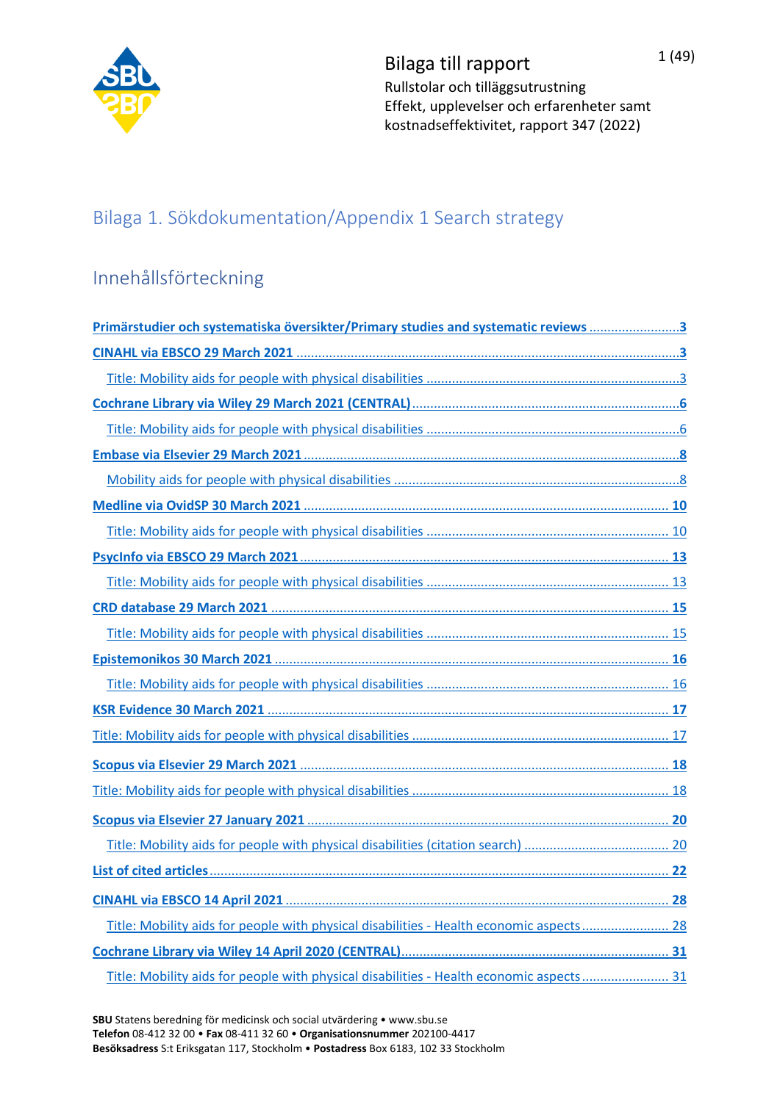

Bilaga till rapport  $1(49)$ Rullstolar och tilläggsutrustning Effekt, upplevelser och erfarenheter samt kostnadseffektivitet, rapport 347 (2022)

## Bilaga 1. Sökdokumentation/Appendix 1 Search strategy

# Innehållsförteckning

| Primärstudier och systematiska översikter/Primary studies and systematic reviews 3      |
|-----------------------------------------------------------------------------------------|
|                                                                                         |
|                                                                                         |
|                                                                                         |
|                                                                                         |
|                                                                                         |
|                                                                                         |
|                                                                                         |
|                                                                                         |
|                                                                                         |
|                                                                                         |
|                                                                                         |
|                                                                                         |
|                                                                                         |
|                                                                                         |
|                                                                                         |
|                                                                                         |
|                                                                                         |
|                                                                                         |
|                                                                                         |
|                                                                                         |
|                                                                                         |
|                                                                                         |
| Title: Mobility aids for people with physical disabilities - Health economic aspects 28 |
|                                                                                         |
| Title: Mobility aids for people with physical disabilities - Health economic aspects 31 |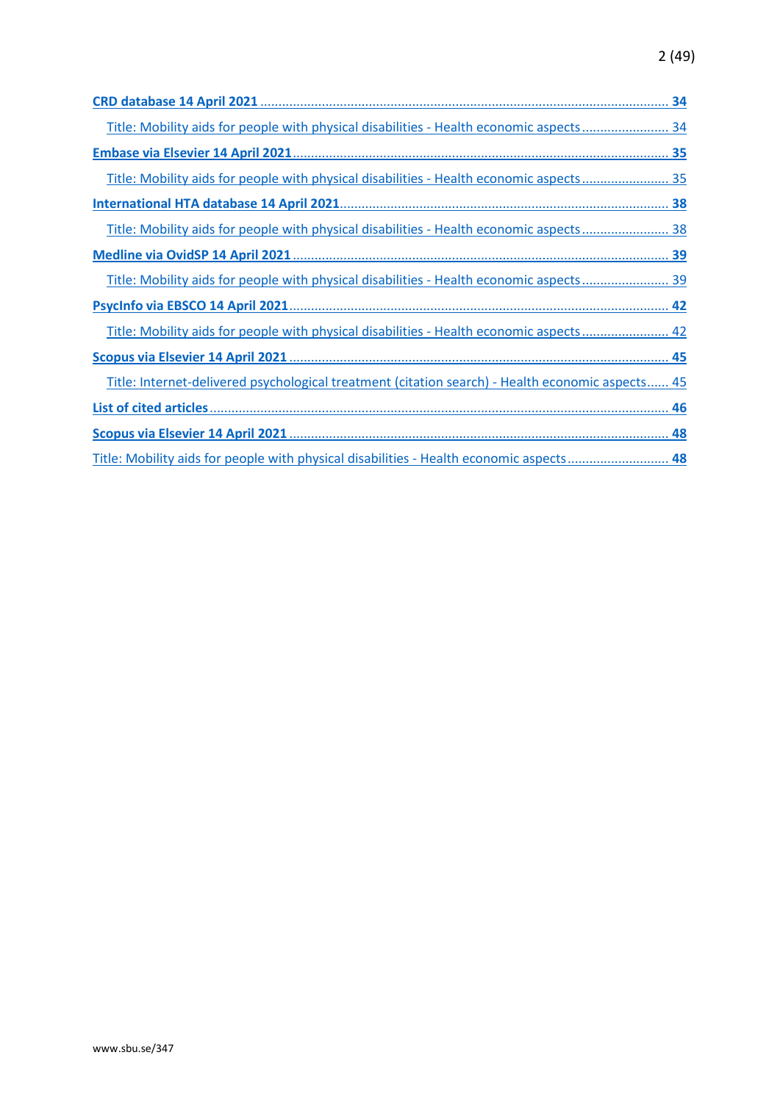## 2 (49)

| Title: Mobility aids for people with physical disabilities - Health economic aspects 34          |
|--------------------------------------------------------------------------------------------------|
|                                                                                                  |
| Title: Mobility aids for people with physical disabilities - Health economic aspects 35          |
|                                                                                                  |
| Title: Mobility aids for people with physical disabilities - Health economic aspects 38          |
|                                                                                                  |
| Title: Mobility aids for people with physical disabilities - Health economic aspects 39          |
|                                                                                                  |
| Title: Mobility aids for people with physical disabilities - Health economic aspects 42          |
|                                                                                                  |
| Title: Internet-delivered psychological treatment (citation search) - Health economic aspects 45 |
|                                                                                                  |
|                                                                                                  |
| Title: Mobility aids for people with physical disabilities - Health economic aspects 48          |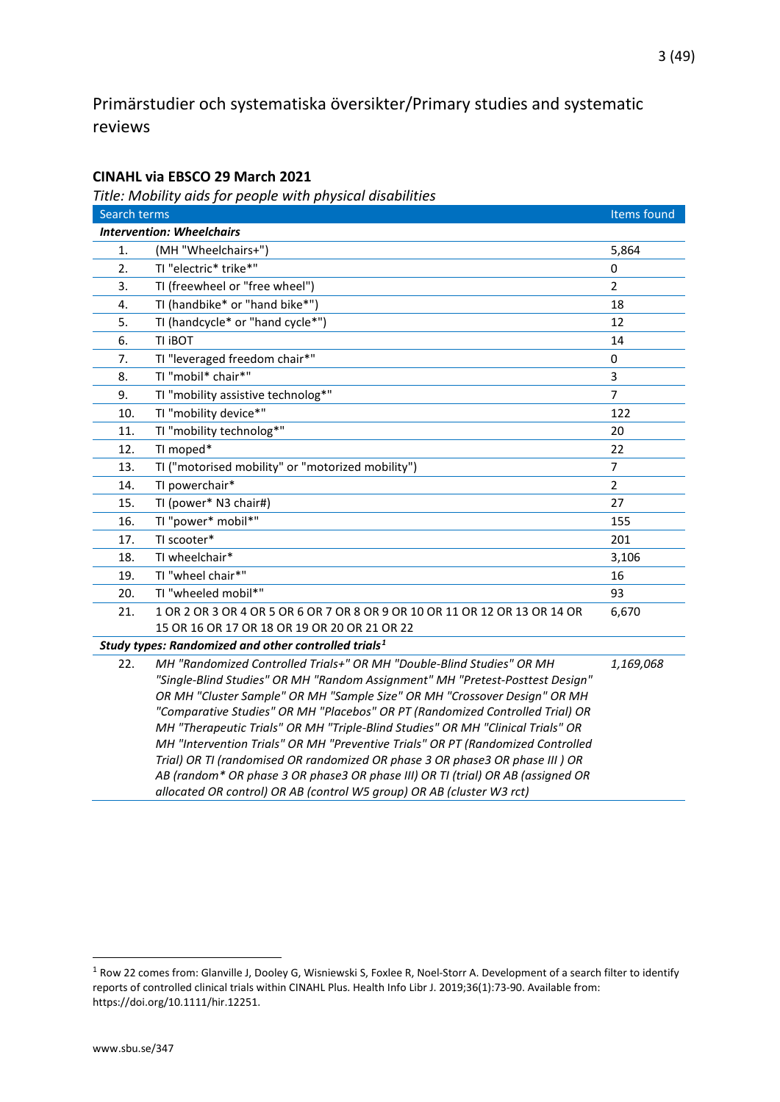## <span id="page-2-0"></span>Primärstudier och systematiska översikter/Primary studies and systematic reviews

#### <span id="page-2-1"></span>**CINAHL via EBSCO 29 March 2021**

<span id="page-2-2"></span>*Title: Mobility aids for people with physical disabilities*

| Search terms |                                                                                                                                                                                                                                                                                                                                                                                                                                                                                                                                                                             | Items found    |  |
|--------------|-----------------------------------------------------------------------------------------------------------------------------------------------------------------------------------------------------------------------------------------------------------------------------------------------------------------------------------------------------------------------------------------------------------------------------------------------------------------------------------------------------------------------------------------------------------------------------|----------------|--|
|              | <b>Intervention: Wheelchairs</b>                                                                                                                                                                                                                                                                                                                                                                                                                                                                                                                                            |                |  |
| 1.           | (MH "Wheelchairs+")                                                                                                                                                                                                                                                                                                                                                                                                                                                                                                                                                         | 5,864          |  |
| 2.           | TI "electric* trike*"                                                                                                                                                                                                                                                                                                                                                                                                                                                                                                                                                       | 0              |  |
| 3.           | TI (freewheel or "free wheel")                                                                                                                                                                                                                                                                                                                                                                                                                                                                                                                                              | $\overline{2}$ |  |
| 4.           | TI (handbike* or "hand bike*")                                                                                                                                                                                                                                                                                                                                                                                                                                                                                                                                              | 18             |  |
| 5.           | TI (handcycle* or "hand cycle*")                                                                                                                                                                                                                                                                                                                                                                                                                                                                                                                                            | 12             |  |
| 6.           | TI <b>BOT</b>                                                                                                                                                                                                                                                                                                                                                                                                                                                                                                                                                               | 14             |  |
| 7.           | TI "leveraged freedom chair*"                                                                                                                                                                                                                                                                                                                                                                                                                                                                                                                                               | 0              |  |
| 8.           | TI "mobil* chair*"                                                                                                                                                                                                                                                                                                                                                                                                                                                                                                                                                          | 3              |  |
| 9.           | TI "mobility assistive technolog*"                                                                                                                                                                                                                                                                                                                                                                                                                                                                                                                                          | $\overline{7}$ |  |
| 10.          | TI "mobility device*"                                                                                                                                                                                                                                                                                                                                                                                                                                                                                                                                                       | 122            |  |
| 11.          | TI "mobility technolog*"                                                                                                                                                                                                                                                                                                                                                                                                                                                                                                                                                    | 20             |  |
| 12.          | TI moped*                                                                                                                                                                                                                                                                                                                                                                                                                                                                                                                                                                   | 22             |  |
| 13.          | TI ("motorised mobility" or "motorized mobility")                                                                                                                                                                                                                                                                                                                                                                                                                                                                                                                           | $\overline{7}$ |  |
| 14.          | TI powerchair*                                                                                                                                                                                                                                                                                                                                                                                                                                                                                                                                                              | $\overline{2}$ |  |
| 15.          | TI (power* N3 chair#)                                                                                                                                                                                                                                                                                                                                                                                                                                                                                                                                                       | 27             |  |
| 16.          | TI "power* mobil*"                                                                                                                                                                                                                                                                                                                                                                                                                                                                                                                                                          | 155            |  |
| 17.          | TI scooter*                                                                                                                                                                                                                                                                                                                                                                                                                                                                                                                                                                 | 201            |  |
| 18.          | TI wheelchair*                                                                                                                                                                                                                                                                                                                                                                                                                                                                                                                                                              | 3,106          |  |
| 19.          | TI "wheel chair*"                                                                                                                                                                                                                                                                                                                                                                                                                                                                                                                                                           | 16             |  |
| 20.          | TI "wheeled mobil*"                                                                                                                                                                                                                                                                                                                                                                                                                                                                                                                                                         | 93             |  |
| 21.          | 1 OR 2 OR 3 OR 4 OR 5 OR 6 OR 7 OR 8 OR 9 OR 10 OR 11 OR 12 OR 13 OR 14 OR                                                                                                                                                                                                                                                                                                                                                                                                                                                                                                  | 6,670          |  |
|              | 15 OR 16 OR 17 OR 18 OR 19 OR 20 OR 21 OR 22                                                                                                                                                                                                                                                                                                                                                                                                                                                                                                                                |                |  |
|              | Study types: Randomized and other controlled trials <sup>1</sup>                                                                                                                                                                                                                                                                                                                                                                                                                                                                                                            |                |  |
| 22.          | MH "Randomized Controlled Trials+" OR MH "Double-Blind Studies" OR MH<br>"Single-Blind Studies" OR MH "Random Assignment" MH "Pretest-Posttest Design"<br>OR MH "Cluster Sample" OR MH "Sample Size" OR MH "Crossover Design" OR MH<br>"Comparative Studies" OR MH "Placebos" OR PT (Randomized Controlled Trial) OR<br>MH "Therapeutic Trials" OR MH "Triple-Blind Studies" OR MH "Clinical Trials" OR<br>MH "Intervention Trials" OR MH "Preventive Trials" OR PT (Randomized Controlled<br>Trial) OR TI (randomised OR randomized OR phase 3 OR phase3 OR phase III ) OR | 1,169,068      |  |

*AB (random\* OR phase 3 OR phase3 OR phase III) OR TI (trial) OR AB (assigned OR* 

*allocated OR control) OR AB (control W5 group) OR AB (cluster W3 rct)*

<span id="page-2-3"></span><sup>&</sup>lt;sup>1</sup> Row 22 comes from: Glanville J, Dooley G, Wisniewski S, Foxlee R, Noel-Storr A. Development of a search filter to identify reports of controlled clinical trials within CINAHL Plus. Health Info Libr J. 2019;36(1):73-90. Available from: https://doi.org/10.1111/hir.12251.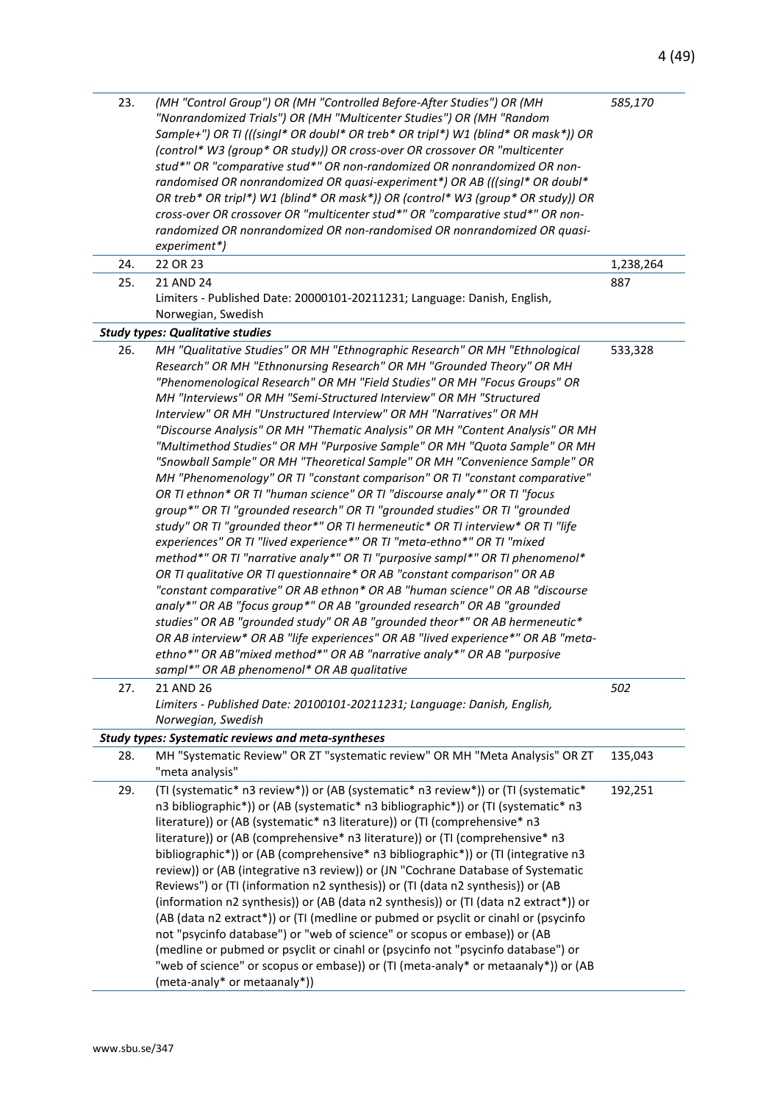| 23. | (MH "Control Group") OR (MH "Controlled Before-After Studies") OR (MH<br>"Nonrandomized Trials") OR (MH "Multicenter Studies") OR (MH "Random<br>Sample+") OR TI (((singl* OR doubl* OR treb* OR tripl*) W1 (blind* OR mask*)) OR<br>(control* W3 (group* OR study)) OR cross-over OR crossover OR "multicenter<br>stud*" OR "comparative stud*" OR non-randomized OR nonrandomized OR non-<br>randomised OR nonrandomized OR quasi-experiment*) OR AB (((singl* OR doubl*<br>OR treb* OR tripl*) W1 (blind* OR mask*)) OR (control* W3 (group* OR study)) OR<br>cross-over OR crossover OR "multicenter stud*" OR "comparative stud*" OR non-<br>randomized OR nonrandomized OR non-randomised OR nonrandomized OR quasi-<br>experiment*)                                                                                                                                                                                                                                                                                                                                                                                                                                                                                                                                                                                                                                                                                                                                                                                                                                                                                                       | 585,170   |
|-----|--------------------------------------------------------------------------------------------------------------------------------------------------------------------------------------------------------------------------------------------------------------------------------------------------------------------------------------------------------------------------------------------------------------------------------------------------------------------------------------------------------------------------------------------------------------------------------------------------------------------------------------------------------------------------------------------------------------------------------------------------------------------------------------------------------------------------------------------------------------------------------------------------------------------------------------------------------------------------------------------------------------------------------------------------------------------------------------------------------------------------------------------------------------------------------------------------------------------------------------------------------------------------------------------------------------------------------------------------------------------------------------------------------------------------------------------------------------------------------------------------------------------------------------------------------------------------------------------------------------------------------------------------|-----------|
| 24. | 22 OR 23                                                                                                                                                                                                                                                                                                                                                                                                                                                                                                                                                                                                                                                                                                                                                                                                                                                                                                                                                                                                                                                                                                                                                                                                                                                                                                                                                                                                                                                                                                                                                                                                                                         | 1,238,264 |
| 25. | 21 AND 24<br>Limiters - Published Date: 20000101-20211231; Language: Danish, English,<br>Norwegian, Swedish                                                                                                                                                                                                                                                                                                                                                                                                                                                                                                                                                                                                                                                                                                                                                                                                                                                                                                                                                                                                                                                                                                                                                                                                                                                                                                                                                                                                                                                                                                                                      | 887       |
|     | <b>Study types: Qualitative studies</b>                                                                                                                                                                                                                                                                                                                                                                                                                                                                                                                                                                                                                                                                                                                                                                                                                                                                                                                                                                                                                                                                                                                                                                                                                                                                                                                                                                                                                                                                                                                                                                                                          |           |
| 26. | MH "Qualitative Studies" OR MH "Ethnographic Research" OR MH "Ethnological<br>Research" OR MH "Ethnonursing Research" OR MH "Grounded Theory" OR MH<br>"Phenomenological Research" OR MH "Field Studies" OR MH "Focus Groups" OR<br>MH "Interviews" OR MH "Semi-Structured Interview" OR MH "Structured<br>Interview" OR MH "Unstructured Interview" OR MH "Narratives" OR MH<br>"Discourse Analysis" OR MH "Thematic Analysis" OR MH "Content Analysis" OR MH<br>"Multimethod Studies" OR MH "Purposive Sample" OR MH "Quota Sample" OR MH<br>"Snowball Sample" OR MH "Theoretical Sample" OR MH "Convenience Sample" OR<br>MH "Phenomenology" OR TI "constant comparison" OR TI "constant comparative"<br>OR TI ethnon* OR TI "human science" OR TI "discourse analy*" OR TI "focus<br>group*" OR TI "grounded research" OR TI "grounded studies" OR TI "grounded<br>study" OR TI "grounded theor*" OR TI hermeneutic* OR TI interview* OR TI "life<br>experiences" OR TI "lived experience*" OR TI "meta-ethno*" OR TI "mixed<br>method*" OR TI "narrative analy*" OR TI "purposive sampl*" OR TI phenomenol*<br>OR TI qualitative OR TI questionnaire* OR AB "constant comparison" OR AB<br>"constant comparative" OR AB ethnon* OR AB "human science" OR AB "discourse<br>analy*" OR AB "focus group*" OR AB "grounded research" OR AB "grounded<br>studies" OR AB "grounded study" OR AB "grounded theor*" OR AB hermeneutic*<br>OR AB interview* OR AB "life experiences" OR AB "lived experience*" OR AB "meta-<br>ethno*" OR AB"mixed method*" OR AB "narrative analy*" OR AB "purposive<br>sampl*" OR AB phenomenol* OR AB qualitative | 533,328   |
| 27. | 21 AND 26                                                                                                                                                                                                                                                                                                                                                                                                                                                                                                                                                                                                                                                                                                                                                                                                                                                                                                                                                                                                                                                                                                                                                                                                                                                                                                                                                                                                                                                                                                                                                                                                                                        | 502       |
|     | Limiters - Published Date: 20100101-20211231; Language: Danish, English,                                                                                                                                                                                                                                                                                                                                                                                                                                                                                                                                                                                                                                                                                                                                                                                                                                                                                                                                                                                                                                                                                                                                                                                                                                                                                                                                                                                                                                                                                                                                                                         |           |
|     | Norwegian, Swedish                                                                                                                                                                                                                                                                                                                                                                                                                                                                                                                                                                                                                                                                                                                                                                                                                                                                                                                                                                                                                                                                                                                                                                                                                                                                                                                                                                                                                                                                                                                                                                                                                               |           |
|     | <b>Study types: Systematic reviews and meta-syntheses</b>                                                                                                                                                                                                                                                                                                                                                                                                                                                                                                                                                                                                                                                                                                                                                                                                                                                                                                                                                                                                                                                                                                                                                                                                                                                                                                                                                                                                                                                                                                                                                                                        |           |
| 28. | MH "Systematic Review" OR ZT "systematic review" OR MH "Meta Analysis" OR ZT<br>"meta analysis"                                                                                                                                                                                                                                                                                                                                                                                                                                                                                                                                                                                                                                                                                                                                                                                                                                                                                                                                                                                                                                                                                                                                                                                                                                                                                                                                                                                                                                                                                                                                                  | 135,043   |
| 29. | (TI (systematic* n3 review*)) or (AB (systematic* n3 review*)) or (TI (systematic*<br>n3 bibliographic*)) or (AB (systematic* n3 bibliographic*)) or (TI (systematic* n3<br>literature)) or (AB (systematic* n3 literature)) or (TI (comprehensive* n3<br>literature)) or (AB (comprehensive* n3 literature)) or (TI (comprehensive* n3<br>bibliographic*)) or (AB (comprehensive* n3 bibliographic*)) or (TI (integrative n3<br>review)) or (AB (integrative n3 review)) or (JN "Cochrane Database of Systematic<br>Reviews") or (TI (information n2 synthesis)) or (TI (data n2 synthesis)) or (AB<br>(information n2 synthesis)) or (AB (data n2 synthesis)) or (TI (data n2 extract*)) or<br>(AB (data n2 extract*)) or (TI (medline or pubmed or psyclit or cinahl or (psycinfo<br>not "psycinfo database") or "web of science" or scopus or embase)) or (AB<br>(medline or pubmed or psyclit or cinahl or (psycinfo not "psycinfo database") or<br>"web of science" or scopus or embase)) or (TI (meta-analy* or metaanaly*)) or (AB<br>(meta-analy* or metaanaly*))                                                                                                                                                                                                                                                                                                                                                                                                                                                                                                                                                                       | 192,251   |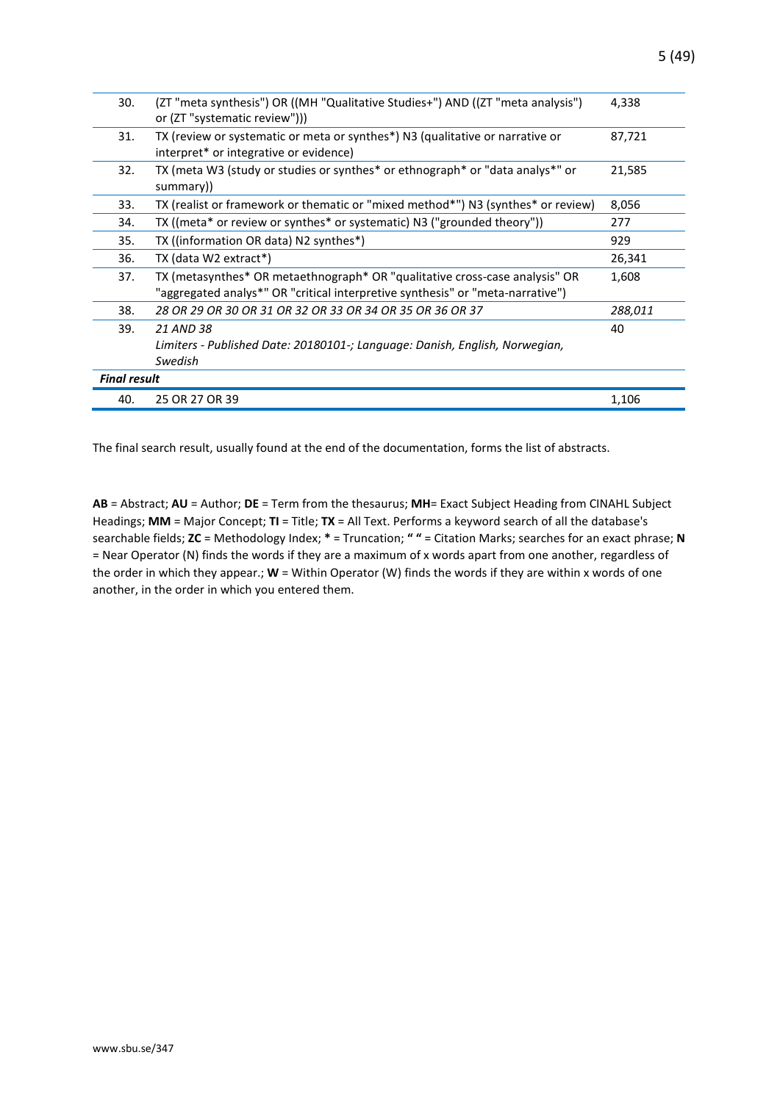| 30.                 | (ZT "meta synthesis") OR ((MH "Qualitative Studies+") AND ((ZT "meta analysis")<br>or (ZT "systematic review")))                                              | 4,338   |
|---------------------|---------------------------------------------------------------------------------------------------------------------------------------------------------------|---------|
| 31.                 | TX (review or systematic or meta or synthes*) N3 (qualitative or narrative or<br>interpret* or integrative or evidence)                                       | 87,721  |
| 32.                 | TX (meta W3 (study or studies or synthes* or ethnograph* or "data analys*" or<br>summary))                                                                    | 21,585  |
| 33.                 | TX (realist or framework or thematic or "mixed method*") N3 (synthes* or review)                                                                              | 8,056   |
| 34.                 | TX ((meta* or review or synthes* or systematic) N3 ("grounded theory"))                                                                                       | 277     |
| 35.                 | TX ((information OR data) N2 synthes*)                                                                                                                        | 929     |
| 36.                 | TX (data W2 extract*)                                                                                                                                         | 26,341  |
| 37.                 | TX (metasynthes* OR metaethnograph* OR "qualitative cross-case analysis" OR<br>"aggregated analys*" OR "critical interpretive synthesis" or "meta-narrative") | 1,608   |
| 38.                 | 28 OR 29 OR 30 OR 31 OR 32 OR 33 OR 34 OR 35 OR 36 OR 37                                                                                                      | 288,011 |
| 39.                 | 21 AND 38                                                                                                                                                     | 40      |
|                     | Limiters - Published Date: 20180101-; Language: Danish, English, Norwegian,                                                                                   |         |
|                     | Swedish                                                                                                                                                       |         |
| <b>Final result</b> |                                                                                                                                                               |         |
| 40.                 | 25 OR 27 OR 39                                                                                                                                                | 1,106   |

The final search result, usually found at the end of the documentation, forms the list of abstracts.

**AB** = Abstract; **AU** = Author; **DE** = Term from the thesaurus; **MH**= Exact Subject Heading from CINAHL Subject Headings; **MM** = Major Concept; **TI** = Title; **TX** = All Text. Performs a keyword search of all the database's searchable fields; **ZC** = Methodology Index; **\*** = Truncation; **" "** = Citation Marks; searches for an exact phrase; **N** = Near Operator (N) finds the words if they are a maximum of x words apart from one another, regardless of the order in which they appear.; **W** = Within Operator (W) finds the words if they are within x words of one another, in the order in which you entered them.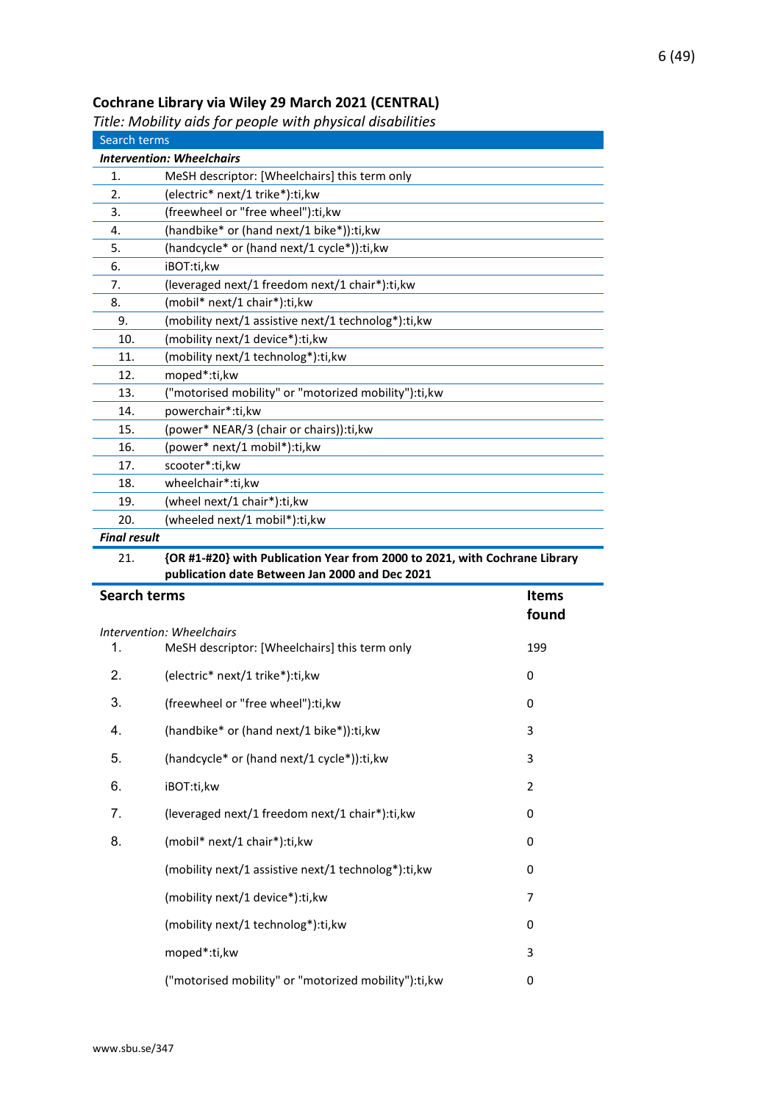## <span id="page-5-0"></span>**Cochrane Library via Wiley 29 March 2021 (CENTRAL)**

<span id="page-5-1"></span>*Title: Mobility aids for people with physical disabilities*

|                     | ritic. Mobility and for people with physical disabilities                  |                |
|---------------------|----------------------------------------------------------------------------|----------------|
| Search terms        |                                                                            |                |
|                     | <b>Intervention: Wheelchairs</b>                                           |                |
| 1.                  | MeSH descriptor: [Wheelchairs] this term only                              |                |
| 2.                  | (electric* next/1 trike*):ti,kw                                            |                |
| 3.                  | (freewheel or "free wheel"):ti,kw                                          |                |
| 4.                  | (handbike* or (hand next/1 bike*)):ti,kw                                   |                |
| 5.<br>6.            | (handcycle* or (hand next/1 cycle*)):ti,kw<br>iBOT:ti,kw                   |                |
| 7.                  | (leveraged next/1 freedom next/1 chair*):ti, kw                            |                |
| 8.                  | (mobil* next/1 chair*):ti,kw                                               |                |
| 9.                  | (mobility next/1 assistive next/1 technolog*):ti, kw                       |                |
| 10.                 | (mobility next/1 device*):ti, kw                                           |                |
| 11.                 | (mobility next/1 technolog*):ti,kw                                         |                |
| 12.                 | moped*:ti,kw                                                               |                |
| 13.                 | ("motorised mobility" or "motorized mobility"):ti,kw                       |                |
| 14.                 | powerchair*:ti,kw                                                          |                |
| 15.                 | (power* NEAR/3 (chair or chairs)):ti,kw                                    |                |
| 16.                 | (power* next/1 mobil*):ti,kw                                               |                |
| 17.                 | scooter*:ti,kw                                                             |                |
| 18.                 | wheelchair*:ti,kw                                                          |                |
| 19.                 | (wheel next/1 chair*):ti,kw                                                |                |
| 20.                 | (wheeled next/1 mobil*):ti,kw                                              |                |
| <b>Final result</b> |                                                                            |                |
| 21.                 | {OR #1-#20} with Publication Year from 2000 to 2021, with Cochrane Library |                |
|                     | publication date Between Jan 2000 and Dec 2021                             |                |
| <b>Search terms</b> |                                                                            | <b>Items</b>   |
|                     |                                                                            | found          |
|                     | Intervention: Wheelchairs                                                  |                |
| 1.                  | MeSH descriptor: [Wheelchairs] this term only                              | 199            |
| 2.                  | (electric* next/1 trike*):ti,kw                                            | 0              |
| 3.                  | (freewheel or "free wheel"):ti,kw                                          | 0              |
| 4.                  | (handbike* or (hand next/1 bike*)):ti,kw                                   | 3              |
| 5.                  | (handcycle* or (hand next/1 cycle*)):ti,kw                                 | 3              |
| 6.                  | iBOT:ti,kw                                                                 | $\overline{2}$ |
| 7.                  | (leveraged next/1 freedom next/1 chair*):ti,kw                             | 0              |
| 8.                  | (mobil* next/1 chair*):ti,kw                                               | 0              |
|                     | (mobility next/1 assistive next/1 technolog*):ti, kw                       | 0              |

(mobility next/1 device\*):ti,kw 7

(mobility next/1 technolog\*):ti,kw 0

moped\*:ti,kw 3

("motorised mobility" or "motorized mobility"):ti,kw 0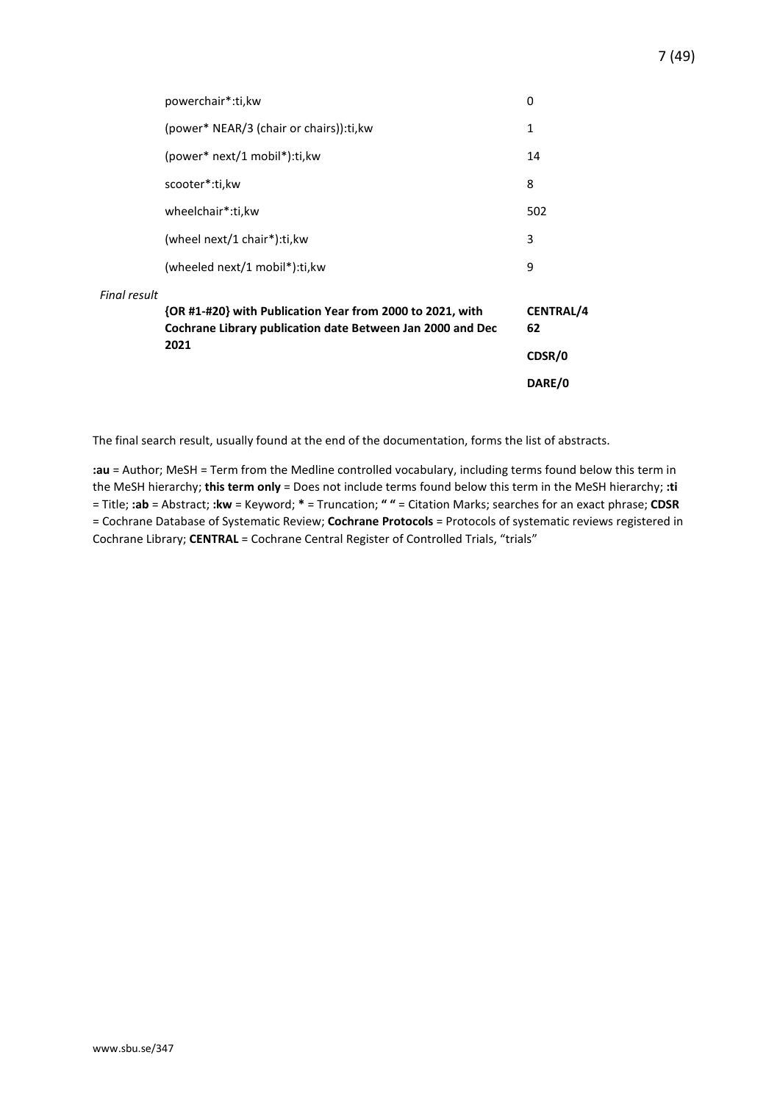|                     |                                                                                                                         | DARE/0                 |
|---------------------|-------------------------------------------------------------------------------------------------------------------------|------------------------|
|                     | 2021                                                                                                                    | CDSR/0                 |
|                     | {OR #1-#20} with Publication Year from 2000 to 2021, with<br>Cochrane Library publication date Between Jan 2000 and Dec | <b>CENTRAL/4</b><br>62 |
| <b>Final result</b> |                                                                                                                         |                        |
|                     | (wheeled next/1 mobil*):ti, kw                                                                                          | 9                      |
|                     | (wheel next/1 chair*):ti, kw                                                                                            | 3                      |
|                     | wheelchair*:ti,kw                                                                                                       | 502                    |
|                     | scooter*:ti,kw                                                                                                          | 8                      |
|                     | (power* next/1 mobil*):ti, kw                                                                                           | 14                     |
|                     | (power* NEAR/3 (chair or chairs)): ti, kw                                                                               | 1                      |
|                     | powerchair*:ti, kw                                                                                                      | 0                      |
|                     |                                                                                                                         |                        |

The final search result, usually found at the end of the documentation, forms the list of abstracts.

**:au** = Author; MeSH = Term from the Medline controlled vocabulary, including terms found below this term in the MeSH hierarchy; **this term only** = Does not include terms found below this term in the MeSH hierarchy; **:ti** = Title; **:ab** = Abstract; **:kw** = Keyword; **\*** = Truncation; **" "** = Citation Marks; searches for an exact phrase; **CDSR** = Cochrane Database of Systematic Review; **Cochrane Protocols** = Protocols of systematic reviews registered in Cochrane Library; **CENTRAL** = Cochrane Central Register of Controlled Trials, "trials"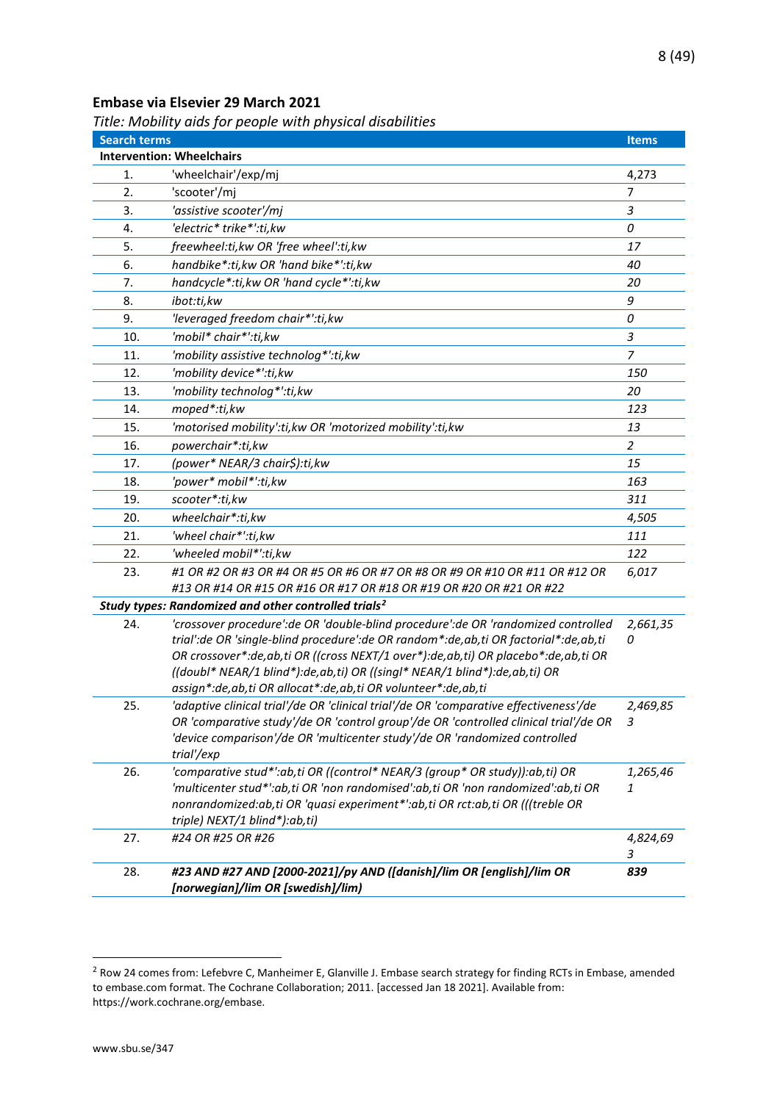#### <span id="page-7-0"></span>**Embase via Elsevier 29 March 2021**

<span id="page-7-1"></span>*Title: Mobility aids for people with physical disabilities*

| <b>Search terms</b> |                                                                                                                                                                                                                                                                                                                                                                                                                        | <b>Items</b>   |
|---------------------|------------------------------------------------------------------------------------------------------------------------------------------------------------------------------------------------------------------------------------------------------------------------------------------------------------------------------------------------------------------------------------------------------------------------|----------------|
|                     | <b>Intervention: Wheelchairs</b>                                                                                                                                                                                                                                                                                                                                                                                       |                |
| 1.                  | 'wheelchair'/exp/mj                                                                                                                                                                                                                                                                                                                                                                                                    | 4,273          |
| 2.                  | 'scooter'/mj                                                                                                                                                                                                                                                                                                                                                                                                           | 7              |
| 3.                  | 'assistive scooter'/mj                                                                                                                                                                                                                                                                                                                                                                                                 | 3              |
| 4.                  | 'electric* trike*':ti,kw                                                                                                                                                                                                                                                                                                                                                                                               | 0              |
| 5.                  | freewheel:ti, kw OR 'free wheel':ti, kw                                                                                                                                                                                                                                                                                                                                                                                | 17             |
| 6.                  | handbike*:ti, kw OR 'hand bike*':ti, kw                                                                                                                                                                                                                                                                                                                                                                                | 40             |
| 7.                  | handcycle*:ti, kw OR 'hand cycle*':ti, kw                                                                                                                                                                                                                                                                                                                                                                              | 20             |
| 8.                  | ibot:ti,kw                                                                                                                                                                                                                                                                                                                                                                                                             | 9              |
| 9.                  | 'leveraged freedom chair*':ti, kw                                                                                                                                                                                                                                                                                                                                                                                      | 0              |
| 10.                 | 'mobil* chair*':ti,kw                                                                                                                                                                                                                                                                                                                                                                                                  | $\mathfrak{Z}$ |
| 11.                 | 'mobility assistive technolog*':ti, kw                                                                                                                                                                                                                                                                                                                                                                                 | $\overline{z}$ |
| 12.                 | 'mobility device*':ti,kw                                                                                                                                                                                                                                                                                                                                                                                               | 150            |
| 13.                 | 'mobility technolog*':ti,kw                                                                                                                                                                                                                                                                                                                                                                                            | 20             |
| 14.                 | moped*:ti,kw                                                                                                                                                                                                                                                                                                                                                                                                           | 123            |
| 15.                 | 'motorised mobility':ti, kw OR 'motorized mobility':ti, kw                                                                                                                                                                                                                                                                                                                                                             | 13             |
| 16.                 | powerchair*:ti,kw                                                                                                                                                                                                                                                                                                                                                                                                      | 2              |
| 17.                 | (power* NEAR/3 chair\$):ti,kw                                                                                                                                                                                                                                                                                                                                                                                          | 15             |
| 18.                 | 'power* mobil*':ti,kw                                                                                                                                                                                                                                                                                                                                                                                                  | 163            |
| 19.                 | scooter*:ti,kw                                                                                                                                                                                                                                                                                                                                                                                                         | 311            |
| 20.                 | wheelchair*:ti,kw                                                                                                                                                                                                                                                                                                                                                                                                      | 4,505          |
| 21.                 | 'wheel chair*':ti,kw                                                                                                                                                                                                                                                                                                                                                                                                   | 111            |
| 22.                 | 'wheeled mobil*':ti,kw                                                                                                                                                                                                                                                                                                                                                                                                 | 122            |
| 23.                 | #1 OR #2 OR #3 OR #4 OR #5 OR #6 OR #7 OR #8 OR #9 OR #10 OR #11 OR #12 OR<br>#13 OR #14 OR #15 OR #16 OR #17 OR #18 OR #19 OR #20 OR #21 OR #22                                                                                                                                                                                                                                                                       | 6,017          |
|                     | Study types: Randomized and other controlled trials <sup>2</sup>                                                                                                                                                                                                                                                                                                                                                       |                |
| 24.                 | 'crossover procedure': de OR 'double-blind procedure': de OR 'randomized controlled<br>trial': de OR 'single-blind procedure': de OR random *: de, ab, ti OR factorial *: de, ab, ti<br>OR crossover*:de,ab,ti OR ((cross NEXT/1 over*):de,ab,ti) OR placebo*:de,ab,ti OR<br>((doubl* NEAR/1 blind*):de,ab,ti) OR ((singl* NEAR/1 blind*):de,ab,ti) OR<br>assign*:de,ab,ti OR allocat*:de,ab,ti OR volunteer*:de,ab,ti | 2,661,35<br>0  |
| 25.                 | 'adaptive clinical trial'/de OR 'clinical trial'/de OR 'comparative effectiveness'/de<br>OR 'comparative study'/de OR 'control group'/de OR 'controlled clinical trial'/de OR<br>'device comparison'/de OR 'multicenter study'/de OR 'randomized controlled<br>trial'/exp                                                                                                                                              | 2,469,85<br>3  |
| 26.                 | 'comparative stud*':ab,ti OR ((control* NEAR/3 (group* OR study)):ab,ti) OR<br>'multicenter stud*':ab,ti OR 'non randomised':ab,ti OR 'non randomized':ab,ti OR<br>nonrandomized:ab,ti OR 'quasi experiment*':ab,ti OR rct:ab,ti OR (((treble OR<br>triple) NEXT/1 blind*):ab,ti)                                                                                                                                      | 1,265,46<br>1  |
| 27.                 | #24 OR #25 OR #26                                                                                                                                                                                                                                                                                                                                                                                                      | 4,824,69<br>3  |
| 28.                 | #23 AND #27 AND [2000-2021]/py AND ([danish]/lim OR [english]/lim OR<br>[norwegian]/lim OR [swedish]/lim)                                                                                                                                                                                                                                                                                                              | 839            |

<span id="page-7-2"></span><sup>&</sup>lt;sup>2</sup> Row 24 comes from: Lefebvre C, Manheimer E, Glanville J. Embase search strategy for finding RCTs in Embase, amended to embase.com format. The Cochrane Collaboration; 2011. [accessed Jan 18 2021]. Available from: https://work.cochrane.org/embase.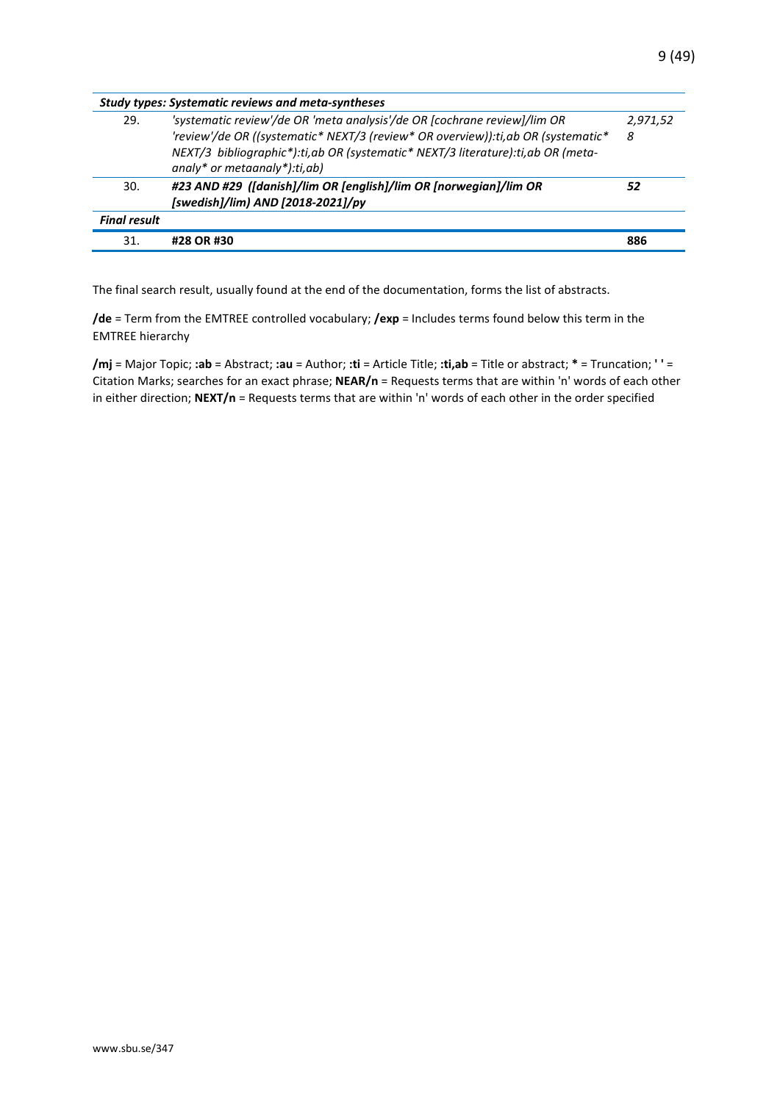| <b>Study types: Systematic reviews and meta-syntheses</b> |                                                                                                                                                                                                                                                                                   |               |  |
|-----------------------------------------------------------|-----------------------------------------------------------------------------------------------------------------------------------------------------------------------------------------------------------------------------------------------------------------------------------|---------------|--|
| 29.                                                       | 'systematic review'/de OR 'meta analysis'/de OR [cochrane review]/lim OR<br>'review'/de OR ((systematic* NEXT/3 (review* OR overview)): ti, ab OR (systematic*<br>NEXT/3 bibliographic*):ti,ab OR (systematic* NEXT/3 literature):ti,ab OR (meta-<br>analy* or metaanaly*):ti,ab) | 2,971,52<br>8 |  |
| 30.                                                       | #23 AND #29 ([danish]/lim OR [english]/lim OR [norwegian]/lim OR<br>[swedish]/lim) AND [2018-2021]/py                                                                                                                                                                             | 52            |  |
| <b>Final result</b>                                       |                                                                                                                                                                                                                                                                                   |               |  |
| 31.                                                       | #28 OR #30                                                                                                                                                                                                                                                                        | 886           |  |

The final search result, usually found at the end of the documentation, forms the list of abstracts.

**/de** = Term from the EMTREE controlled vocabulary; **/exp** = Includes terms found below this term in the EMTREE hierarchy

**/mj** = Major Topic; **:ab** = Abstract; **:au** = Author; **:ti** = Article Title; **:ti,ab** = Title or abstract; **\*** = Truncation; **' '** = Citation Marks; searches for an exact phrase; **NEAR/n** = Requests terms that are within 'n' words of each other in either direction; **NEXT/n** = Requests terms that are within 'n' words of each other in the order specified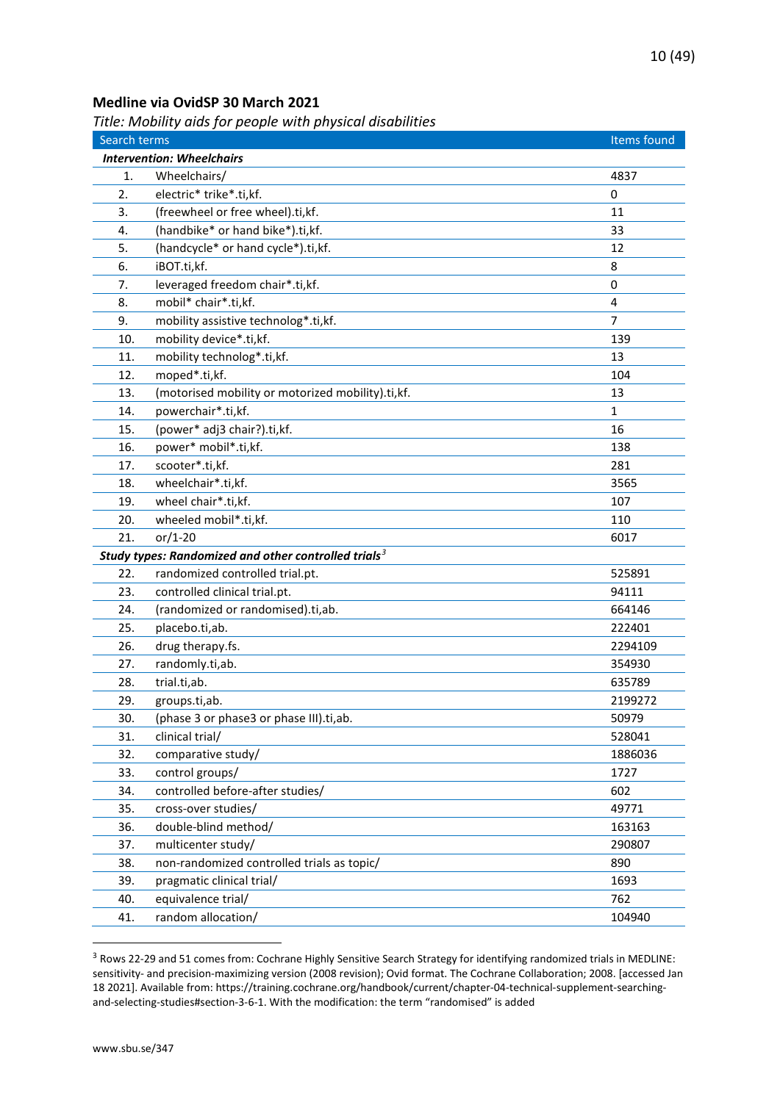#### <span id="page-9-0"></span>**Medline via OvidSP 30 March 2021**

<span id="page-9-1"></span>*Title: Mobility aids for people with physical disabilities*

| Search terms |                                                         | Items found    |
|--------------|---------------------------------------------------------|----------------|
|              | <b>Intervention: Wheelchairs</b>                        |                |
| 1.           | Wheelchairs/                                            | 4837           |
| 2.           | electric* trike*.ti,kf.                                 | 0              |
| 3.           | (freewheel or free wheel).ti,kf.                        | 11             |
| 4.           | (handbike* or hand bike*).ti,kf.                        | 33             |
| 5.           | (handcycle* or hand cycle*).ti,kf.                      | 12             |
| 6.           | iBOT.ti,kf.                                             | 8              |
| 7.           | leveraged freedom chair*.ti,kf.                         | $\mathbf 0$    |
| 8.           | mobil* chair*.ti,kf.                                    | $\overline{4}$ |
| 9.           | mobility assistive technolog*.ti,kf.                    | 7              |
| 10.          | mobility device*.ti,kf.                                 | 139            |
| 11.          | mobility technolog*.ti,kf.                              | 13             |
| 12.          | moped*.ti,kf.                                           | 104            |
| 13.          | (motorised mobility or motorized mobility).ti,kf.       | 13             |
| 14.          | powerchair*.ti,kf.                                      | 1              |
| 15.          | (power* adj3 chair?).ti,kf.                             | 16             |
| 16.          | power* mobil*.ti,kf.                                    | 138            |
| 17.          | scooter*.ti,kf.                                         | 281            |
| 18.          | wheelchair*.ti,kf.                                      | 3565           |
| 19.          | wheel chair*.ti,kf.                                     | 107            |
| 20.          | wheeled mobil*.ti,kf.                                   | 110            |
| 21.          | $or/1-20$                                               | 6017           |
|              | Study types: Randomized and other controlled trials $3$ |                |
| 22.          | randomized controlled trial.pt.                         | 525891         |
| 23.          | controlled clinical trial.pt.                           | 94111          |
| 24.          | (randomized or randomised).ti,ab.                       | 664146         |
| 25.          | placebo.ti,ab.                                          | 222401         |
| 26.          | drug therapy.fs.                                        | 2294109        |
| 27.          | randomly.ti,ab.                                         | 354930         |
| 28.          | trial.ti,ab.                                            | 635789         |
| 29.          | groups.ti,ab.                                           | 2199272        |
| 30.          | (phase 3 or phase3 or phase III).ti,ab.                 | 50979          |
| 31.          | clinical trial/                                         | 528041         |
| 32.          | comparative study/                                      | 1886036        |
| 33.          | control groups/                                         | 1727           |
| 34.          | controlled before-after studies/                        | 602            |
| 35.          | cross-over studies/                                     | 49771          |
| 36.          | double-blind method/                                    | 163163         |
| 37.          | multicenter study/                                      | 290807         |
| 38.          | non-randomized controlled trials as topic/              | 890            |
| 39.          | pragmatic clinical trial/                               | 1693           |
| 40.          | equivalence trial/                                      | 762            |
| 41.          | random allocation/                                      | 104940         |

<span id="page-9-2"></span><sup>&</sup>lt;sup>3</sup> Rows 22-29 and 51 comes from: Cochrane Highly Sensitive Search Strategy for identifying randomized trials in MEDLINE: sensitivity- and precision-maximizing version (2008 revision); Ovid format. The Cochrane Collaboration; 2008. [accessed Jan 18 2021]. Available from: https://training.cochrane.org/handbook/current/chapter-04-technical-supplement-searchingand-selecting-studies#section-3-6-1. With the modification: the term "randomised" is added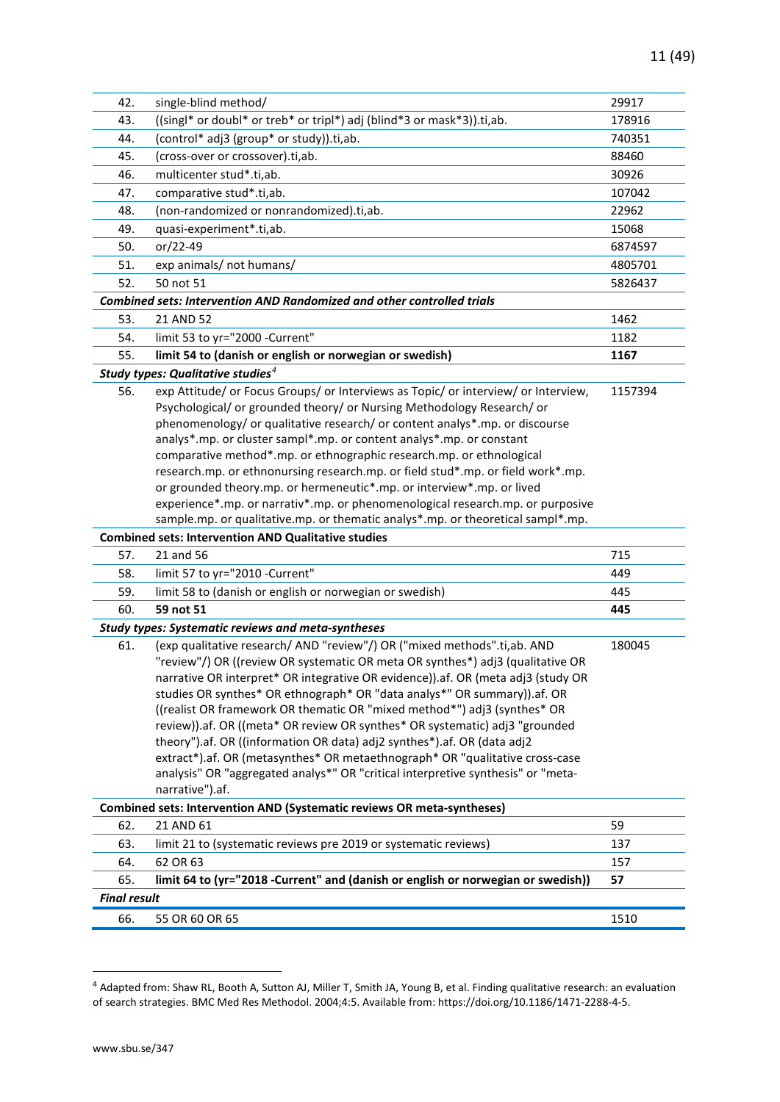| 42.                 | single-blind method/                                                                                                                                         | 29917   |
|---------------------|--------------------------------------------------------------------------------------------------------------------------------------------------------------|---------|
| 43.                 | ((singl* or doubl* or treb* or tripl*) adj (blind*3 or mask*3)).ti,ab.                                                                                       | 178916  |
| 44.                 | (control* adj3 (group* or study)).ti,ab.                                                                                                                     | 740351  |
| 45.                 | (cross-over or crossover).ti,ab.                                                                                                                             | 88460   |
| 46.                 | multicenter stud*.ti,ab.                                                                                                                                     | 30926   |
| 47.                 | comparative stud*.ti,ab.                                                                                                                                     | 107042  |
| 48.                 | (non-randomized or nonrandomized).ti,ab.                                                                                                                     | 22962   |
| 49.                 | quasi-experiment*.ti,ab.                                                                                                                                     | 15068   |
| 50.                 | or/22-49                                                                                                                                                     | 6874597 |
| 51.                 | exp animals/ not humans/                                                                                                                                     | 4805701 |
| 52.                 | 50 not 51                                                                                                                                                    | 5826437 |
|                     | <b>Combined sets: Intervention AND Randomized and other controlled trials</b>                                                                                |         |
| 53.                 | 21 AND 52                                                                                                                                                    | 1462    |
| 54.                 | limit 53 to yr="2000 -Current"                                                                                                                               | 1182    |
| 55.                 | limit 54 to (danish or english or norwegian or swedish)                                                                                                      | 1167    |
|                     | Study types: Qualitative studies <sup>4</sup>                                                                                                                |         |
| 56.                 | exp Attitude/ or Focus Groups/ or Interviews as Topic/ or interview/ or Interview,<br>Psychological/ or grounded theory/ or Nursing Methodology Research/ or | 1157394 |
|                     | phenomenology/ or qualitative research/ or content analys*.mp. or discourse                                                                                  |         |
|                     | analys*.mp. or cluster sampl*.mp. or content analys*.mp. or constant                                                                                         |         |
|                     | comparative method*.mp. or ethnographic research.mp. or ethnological<br>research.mp. or ethnonursing research.mp. or field stud*.mp. or field work*.mp.      |         |
|                     | or grounded theory.mp. or hermeneutic*.mp. or interview*.mp. or lived                                                                                        |         |
|                     | experience*.mp. or narrativ*.mp. or phenomenological research.mp. or purposive                                                                               |         |
|                     | sample.mp. or qualitative.mp. or thematic analys*.mp. or theoretical sampl*.mp.                                                                              |         |
|                     | <b>Combined sets: Intervention AND Qualitative studies</b>                                                                                                   |         |
| 57.                 | 21 and 56                                                                                                                                                    | 715     |
| 58.                 | limit 57 to yr="2010 -Current"                                                                                                                               | 449     |
| 59.                 | limit 58 to (danish or english or norwegian or swedish)                                                                                                      | 445     |
| 60.                 | 59 not 51                                                                                                                                                    | 445     |
|                     | <b>Study types: Systematic reviews and meta-syntheses</b>                                                                                                    |         |
| 61.                 | (exp qualitative research/ AND "review"/) OR ("mixed methods".ti,ab. AND                                                                                     | 180045  |
|                     | "review"/) OR ((review OR systematic OR meta OR synthes*) adj3 (qualitative OR                                                                               |         |
|                     | narrative OR interpret* OR integrative OR evidence)).af. OR (meta adj3 (study OR                                                                             |         |
|                     | studies OR synthes* OR ethnograph* OR "data analys*" OR summary)).af. OR                                                                                     |         |
|                     | ((realist OR framework OR thematic OR "mixed method*") adj3 (synthes* OR                                                                                     |         |
|                     | review)).af. OR ((meta* OR review OR synthes* OR systematic) adj3 "grounded                                                                                  |         |
|                     | theory").af. OR ((information OR data) adj2 synthes*).af. OR (data adj2<br>extract*).af. OR (metasynthes* OR metaethnograph* OR "qualitative cross-case      |         |
|                     | analysis" OR "aggregated analys*" OR "critical interpretive synthesis" or "meta-                                                                             |         |
|                     | narrative").af.                                                                                                                                              |         |
|                     | Combined sets: Intervention AND (Systematic reviews OR meta-syntheses)                                                                                       |         |
| 62.                 | 21 AND 61                                                                                                                                                    | 59      |
| 63.                 | limit 21 to (systematic reviews pre 2019 or systematic reviews)                                                                                              | 137     |
| 64.                 | 62 OR 63                                                                                                                                                     | 157     |
| 65.                 | limit 64 to (yr="2018 -Current" and (danish or english or norwegian or swedish))                                                                             | 57      |
| <b>Final result</b> |                                                                                                                                                              |         |
| 66.                 | 55 OR 60 OR 65                                                                                                                                               | 1510    |
|                     |                                                                                                                                                              |         |

<span id="page-10-0"></span><sup>4</sup> Adapted from: Shaw RL, Booth A, Sutton AJ, Miller T, Smith JA, Young B, et al. Finding qualitative research: an evaluation of search strategies. BMC Med Res Methodol. 2004;4:5. Available from: https://doi.org/10.1186/1471-2288-4-5.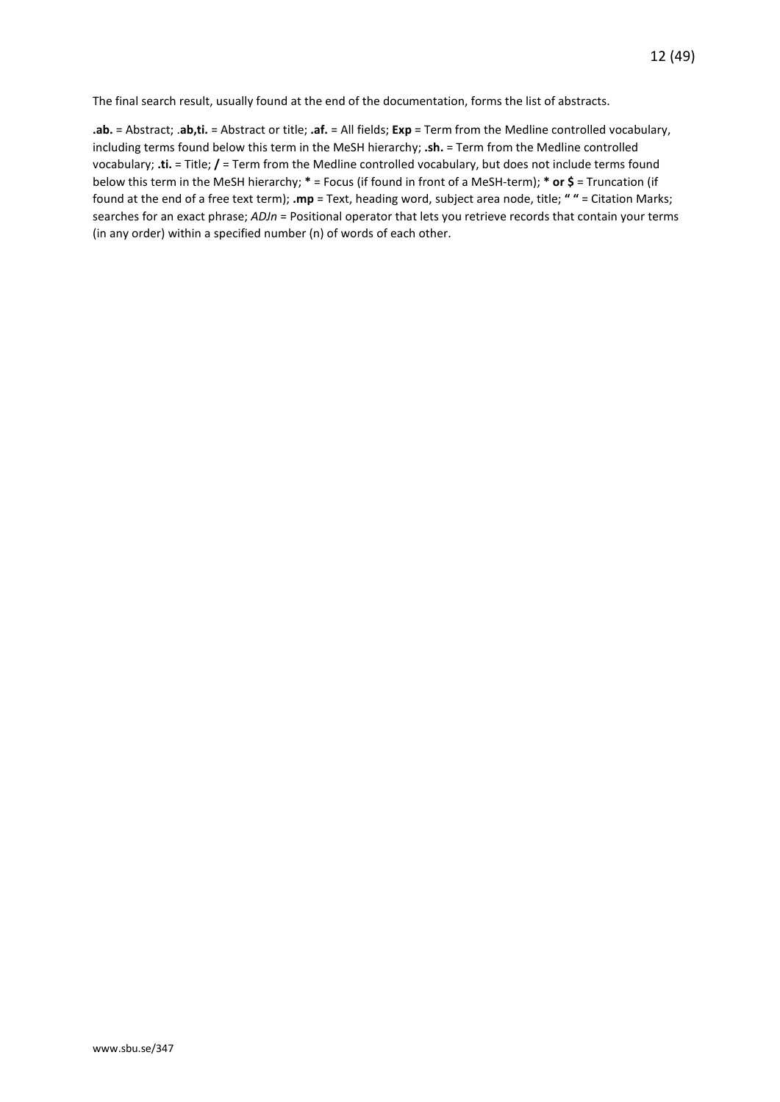The final search result, usually found at the end of the documentation, forms the list of abstracts.

**.ab.** = Abstract; .**ab,ti.** = Abstract or title; **.af.** = All fields; **Exp** = Term from the Medline controlled vocabulary, including terms found below this term in the MeSH hierarchy; **.sh.** = Term from the Medline controlled vocabulary; **.ti.** = Title; **/** = Term from the Medline controlled vocabulary, but does not include terms found below this term in the MeSH hierarchy; **\*** = Focus (if found in front of a MeSH-term); **\* or \$** = Truncation (if found at the end of a free text term); **.mp** = Text, heading word, subject area node, title; **" "** = Citation Marks; searches for an exact phrase; *ADJn* = Positional operator that lets you retrieve records that contain your terms (in any order) within a specified number (n) of words of each other.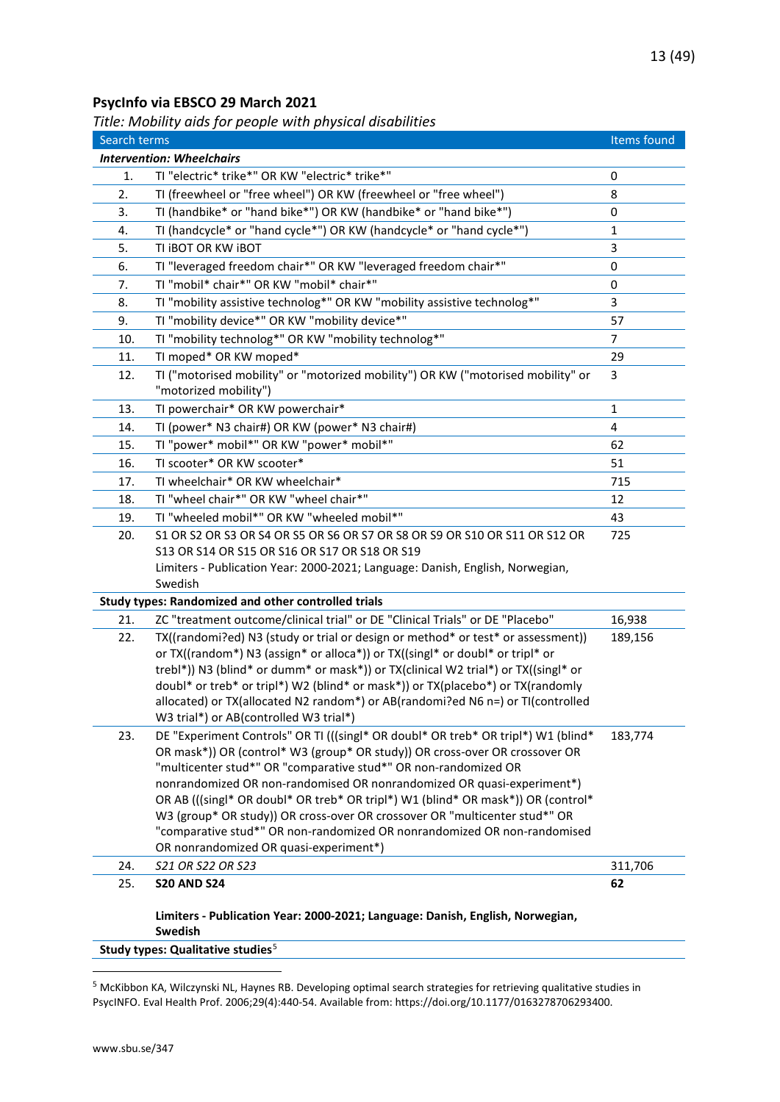## <span id="page-12-0"></span>**PsycInfo via EBSCO 29 March 2021**

<span id="page-12-1"></span>*Title: Mobility aids for people with physical disabilities*

| Search terms                     |                                                                                                                                                                     | Items found    |
|----------------------------------|---------------------------------------------------------------------------------------------------------------------------------------------------------------------|----------------|
| <b>Intervention: Wheelchairs</b> |                                                                                                                                                                     |                |
| 1.                               | TI "electric* trike*" OR KW "electric* trike*"                                                                                                                      | 0              |
| 2.                               | TI (freewheel or "free wheel") OR KW (freewheel or "free wheel")                                                                                                    | 8              |
| 3.                               | TI (handbike* or "hand bike*") OR KW (handbike* or "hand bike*")                                                                                                    | 0              |
| 4.                               | TI (handcycle* or "hand cycle*") OR KW (handcycle* or "hand cycle*")                                                                                                | $\mathbf{1}$   |
| 5.                               | TI IBOT OR KW IBOT                                                                                                                                                  | 3              |
| 6.                               | TI "leveraged freedom chair*" OR KW "leveraged freedom chair*"                                                                                                      | 0              |
| 7.                               | TI "mobil* chair*" OR KW "mobil* chair*"                                                                                                                            | 0              |
| 8.                               | TI "mobility assistive technolog*" OR KW "mobility assistive technolog*"                                                                                            | 3              |
| 9.                               | TI "mobility device*" OR KW "mobility device*"                                                                                                                      | 57             |
| 10.                              | TI "mobility technolog*" OR KW "mobility technolog*"                                                                                                                | $\overline{7}$ |
| 11.                              | TI moped* OR KW moped*                                                                                                                                              | 29             |
| 12.                              | TI ("motorised mobility" or "motorized mobility") OR KW ("motorised mobility" or<br>"motorized mobility")                                                           | 3              |
| 13.                              | TI powerchair* OR KW powerchair*                                                                                                                                    | 1              |
| 14.                              | TI (power* N3 chair#) OR KW (power* N3 chair#)                                                                                                                      | 4              |
| 15.                              | TI "power* mobil*" OR KW "power* mobil*"                                                                                                                            | 62             |
| 16.                              | TI scooter* OR KW scooter*                                                                                                                                          | 51             |
| 17.                              | TI wheelchair* OR KW wheelchair*                                                                                                                                    | 715            |
| 18.                              | TI "wheel chair*" OR KW "wheel chair*"                                                                                                                              | 12             |
| 19.                              | TI "wheeled mobil*" OR KW "wheeled mobil*"                                                                                                                          | 43             |
| 20.                              | S1 OR S2 OR S3 OR S4 OR S5 OR S6 OR S7 OR S8 OR S9 OR S10 OR S11 OR S12 OR                                                                                          | 725            |
|                                  | S13 OR S14 OR S15 OR S16 OR S17 OR S18 OR S19                                                                                                                       |                |
|                                  | Limiters - Publication Year: 2000-2021; Language: Danish, English, Norwegian,                                                                                       |                |
|                                  | Swedish                                                                                                                                                             |                |
|                                  | Study types: Randomized and other controlled trials                                                                                                                 |                |
| 21.                              | ZC "treatment outcome/clinical trial" or DE "Clinical Trials" or DE "Placebo"                                                                                       | 16,938         |
| 22.                              | TX((randomi?ed) N3 (study or trial or design or method* or test* or assessment))                                                                                    | 189,156        |
|                                  | or TX((random*) N3 (assign* or alloca*)) or TX((singl* or doubl* or tripl* or<br>trebl*)) N3 (blind* or dumm* or mask*)) or TX(clinical W2 trial*) or TX((singl* or |                |
|                                  | doubl* or treb* or tripl*) W2 (blind* or mask*)) or TX(placebo*) or TX(randomly                                                                                     |                |
|                                  | allocated) or TX(allocated N2 random*) or AB(randomi?ed N6 n=) or TI(controlled                                                                                     |                |
|                                  | W3 trial*) or AB(controlled W3 trial*)                                                                                                                              |                |
| 23.                              | DE "Experiment Controls" OR TI (((singl* OR doubl* OR treb* OR tripl*) W1 (blind*                                                                                   | 183,774        |
|                                  | OR mask*)) OR (control* W3 (group* OR study)) OR cross-over OR crossover OR                                                                                         |                |
|                                  | "multicenter stud*" OR "comparative stud*" OR non-randomized OR                                                                                                     |                |
|                                  | nonrandomized OR non-randomised OR nonrandomized OR quasi-experiment*)                                                                                              |                |
|                                  | OR AB (((singl* OR doubl* OR treb* OR tripl*) W1 (blind* OR mask*)) OR (control*                                                                                    |                |
|                                  | W3 (group* OR study)) OR cross-over OR crossover OR "multicenter stud*" OR<br>"comparative stud*" OR non-randomized OR nonrandomized OR non-randomised              |                |
|                                  | OR nonrandomized OR quasi-experiment*)                                                                                                                              |                |
| 24.                              | S21 OR S22 OR S23                                                                                                                                                   | 311,706        |
| 25.                              | <b>S20 AND S24</b>                                                                                                                                                  | 62             |
|                                  |                                                                                                                                                                     |                |
|                                  | Limiters - Publication Year: 2000-2021; Language: Danish, English, Norwegian,                                                                                       |                |
|                                  | Swedish                                                                                                                                                             |                |

**Study types: Qualitative studies**[5](#page-12-2)

<span id="page-12-2"></span><sup>5</sup> McKibbon KA, Wilczynski NL, Haynes RB. Developing optimal search strategies for retrieving qualitative studies in PsycINFO. Eval Health Prof. 2006;29(4):440-54. Available from: https://doi.org/10.1177/0163278706293400.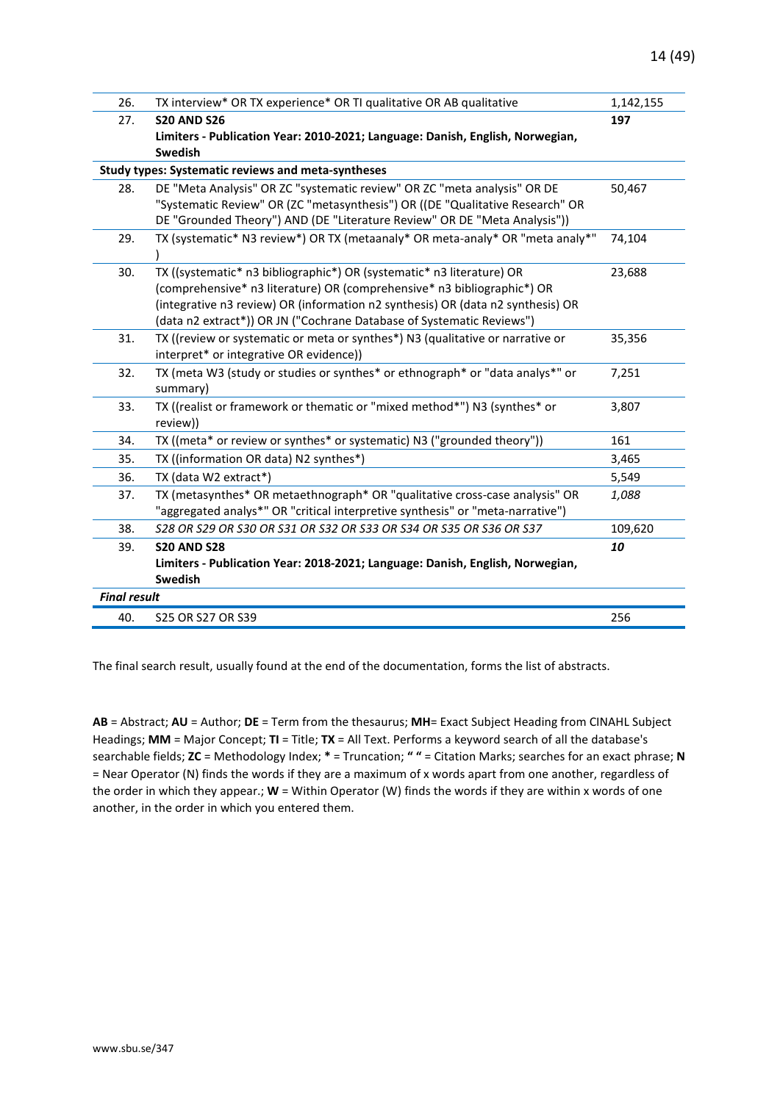| 26.                 | TX interview* OR TX experience* OR TI qualitative OR AB qualitative                                                                                        | 1,142,155 |
|---------------------|------------------------------------------------------------------------------------------------------------------------------------------------------------|-----------|
| 27.                 | <b>S20 AND S26</b>                                                                                                                                         | 197       |
|                     | Limiters - Publication Year: 2010-2021; Language: Danish, English, Norwegian,                                                                              |           |
|                     | <b>Swedish</b>                                                                                                                                             |           |
|                     | Study types: Systematic reviews and meta-syntheses                                                                                                         |           |
| 28.                 | DE "Meta Analysis" OR ZC "systematic review" OR ZC "meta analysis" OR DE                                                                                   | 50,467    |
|                     | "Systematic Review" OR (ZC "metasynthesis") OR ((DE "Qualitative Research" OR                                                                              |           |
|                     | DE "Grounded Theory") AND (DE "Literature Review" OR DE "Meta Analysis"))                                                                                  |           |
| 29.                 | TX (systematic* N3 review*) OR TX (metaanaly* OR meta-analy* OR "meta analy*"                                                                              | 74,104    |
|                     |                                                                                                                                                            |           |
| 30.                 | TX ((systematic* n3 bibliographic*) OR (systematic* n3 literature) OR                                                                                      | 23,688    |
|                     | (comprehensive* n3 literature) OR (comprehensive* n3 bibliographic*) OR<br>(integrative n3 review) OR (information n2 synthesis) OR (data n2 synthesis) OR |           |
|                     | (data n2 extract*)) OR JN ("Cochrane Database of Systematic Reviews")                                                                                      |           |
| 31.                 | TX ((review or systematic or meta or synthes*) N3 (qualitative or narrative or                                                                             | 35,356    |
|                     | interpret* or integrative OR evidence))                                                                                                                    |           |
| 32.                 | TX (meta W3 (study or studies or synthes* or ethnograph* or "data analys*" or                                                                              | 7,251     |
|                     | summary)                                                                                                                                                   |           |
| 33.                 | TX ((realist or framework or thematic or "mixed method*") N3 (synthes* or                                                                                  | 3,807     |
|                     | review))                                                                                                                                                   |           |
| 34.                 | TX ((meta* or review or synthes* or systematic) N3 ("grounded theory"))                                                                                    | 161       |
| 35.                 | TX ((information OR data) N2 synthes*)                                                                                                                     | 3,465     |
| 36.                 | TX (data W2 extract*)                                                                                                                                      | 5,549     |
| 37.                 | TX (metasynthes* OR metaethnograph* OR "qualitative cross-case analysis" OR                                                                                | 1,088     |
|                     | "aggregated analys*" OR "critical interpretive synthesis" or "meta-narrative")                                                                             |           |
| 38.                 | S28 OR S29 OR S30 OR S31 OR S32 OR S33 OR S34 OR S35 OR S36 OR S37                                                                                         | 109,620   |
| 39.                 | <b>S20 AND S28</b>                                                                                                                                         | 10        |
|                     | Limiters - Publication Year: 2018-2021; Language: Danish, English, Norwegian,                                                                              |           |
|                     | Swedish                                                                                                                                                    |           |
| <b>Final result</b> |                                                                                                                                                            |           |
| 40.                 | S25 OR S27 OR S39                                                                                                                                          | 256       |
|                     |                                                                                                                                                            |           |

The final search result, usually found at the end of the documentation, forms the list of abstracts.

**AB** = Abstract; **AU** = Author; **DE** = Term from the thesaurus; **MH**= Exact Subject Heading from CINAHL Subject Headings; **MM** = Major Concept; **TI** = Title; **TX** = All Text. Performs a keyword search of all the database's searchable fields; **ZC** = Methodology Index; **\*** = Truncation; **" "** = Citation Marks; searches for an exact phrase; **N** = Near Operator (N) finds the words if they are a maximum of x words apart from one another, regardless of the order in which they appear.; **W** = Within Operator (W) finds the words if they are within x words of one another, in the order in which you entered them.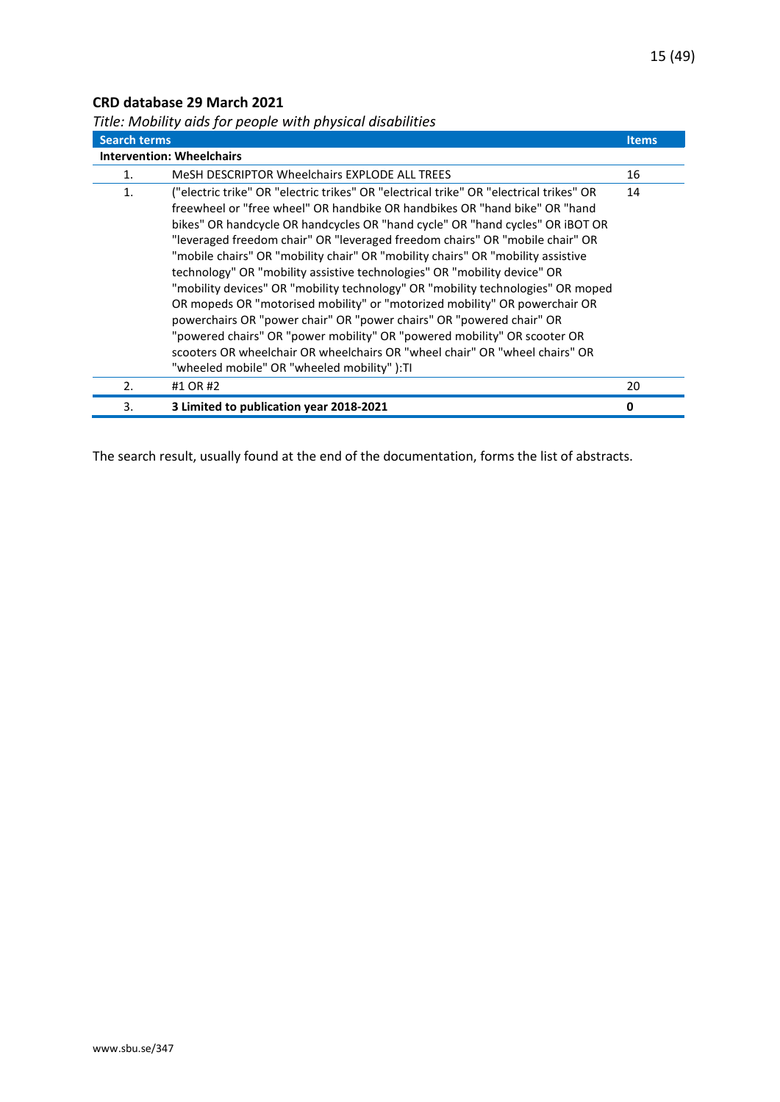### <span id="page-14-0"></span>**CRD database 29 March 2021**

| <b>Search terms</b> |                                                                                                                                                                                                                                                                                                                                                                                                                                                                                                                                                                                                                                                                                                                                                                                                                                                                                                                                                         | <b>Items</b> |
|---------------------|---------------------------------------------------------------------------------------------------------------------------------------------------------------------------------------------------------------------------------------------------------------------------------------------------------------------------------------------------------------------------------------------------------------------------------------------------------------------------------------------------------------------------------------------------------------------------------------------------------------------------------------------------------------------------------------------------------------------------------------------------------------------------------------------------------------------------------------------------------------------------------------------------------------------------------------------------------|--------------|
|                     | <b>Intervention: Wheelchairs</b>                                                                                                                                                                                                                                                                                                                                                                                                                                                                                                                                                                                                                                                                                                                                                                                                                                                                                                                        |              |
| 1.                  | MeSH DESCRIPTOR Wheelchairs EXPLODE ALL TREES                                                                                                                                                                                                                                                                                                                                                                                                                                                                                                                                                                                                                                                                                                                                                                                                                                                                                                           | 16           |
| 1.                  | ("electric trike" OR "electric trikes" OR "electrical trike" OR "electrical trikes" OR<br>freewheel or "free wheel" OR handbike OR handbikes OR "hand bike" OR "hand<br>bikes" OR handcycle OR handcycles OR "hand cycle" OR "hand cycles" OR iBOT OR<br>"leveraged freedom chair" OR "leveraged freedom chairs" OR "mobile chair" OR<br>"mobile chairs" OR "mobility chair" OR "mobility chairs" OR "mobility assistive<br>technology" OR "mobility assistive technologies" OR "mobility device" OR<br>"mobility devices" OR "mobility technology" OR "mobility technologies" OR moped<br>OR mopeds OR "motorised mobility" or "motorized mobility" OR powerchair OR<br>powerchairs OR "power chair" OR "power chairs" OR "powered chair" OR<br>"powered chairs" OR "power mobility" OR "powered mobility" OR scooter OR<br>scooters OR wheelchair OR wheelchairs OR "wheel chair" OR "wheel chairs" OR<br>"wheeled mobile" OR "wheeled mobility" ):TI | 14           |
| 2.                  | #1 OR #2                                                                                                                                                                                                                                                                                                                                                                                                                                                                                                                                                                                                                                                                                                                                                                                                                                                                                                                                                | 20           |
| 3.                  | 3 Limited to publication year 2018-2021                                                                                                                                                                                                                                                                                                                                                                                                                                                                                                                                                                                                                                                                                                                                                                                                                                                                                                                 | 0            |

<span id="page-14-1"></span>*Title: Mobility aids for people with physical disabilities*

The search result, usually found at the end of the documentation, forms the list of abstracts.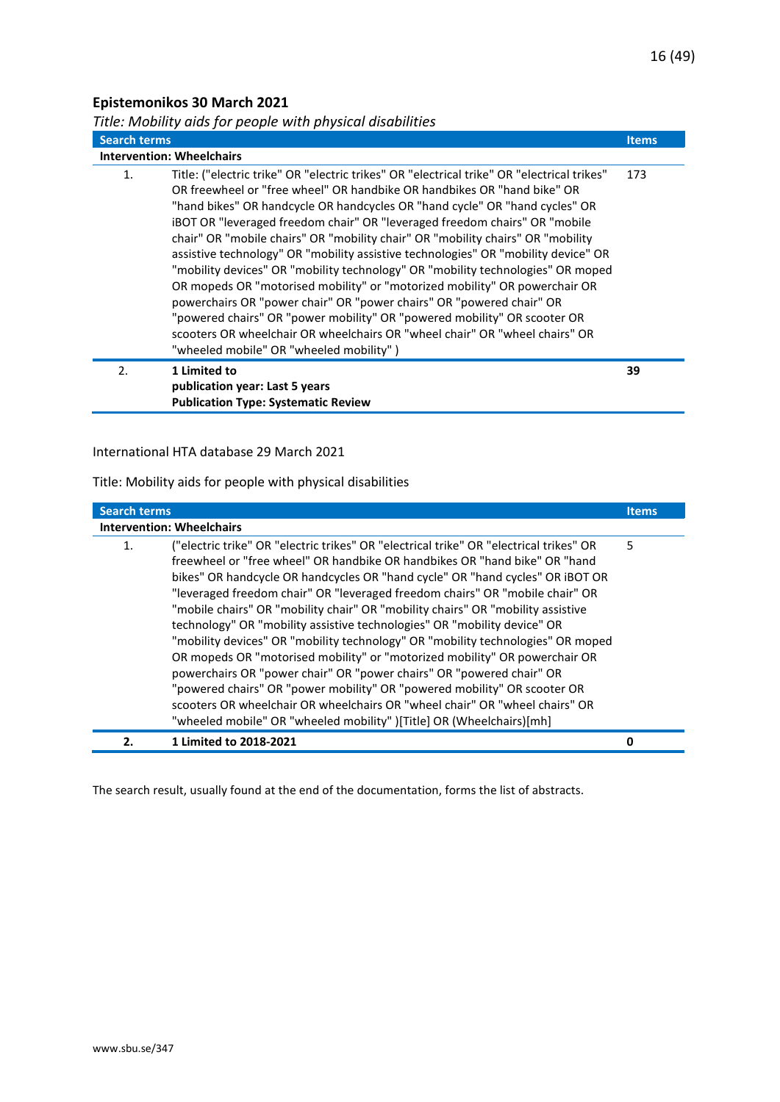## <span id="page-15-0"></span>**Epistemonikos 30 March 2021**

<span id="page-15-1"></span>

| Title: Mobility aids for people with physical disabilities |  |  |  |  |
|------------------------------------------------------------|--|--|--|--|
|------------------------------------------------------------|--|--|--|--|

| <b>Search terms</b> |                                                                                                                                                                                                                                                                                                                                                                                                                                                                                                                                                                                                                                                                                                                                                                                                                                                                                                                                                            | <b>Items</b> |
|---------------------|------------------------------------------------------------------------------------------------------------------------------------------------------------------------------------------------------------------------------------------------------------------------------------------------------------------------------------------------------------------------------------------------------------------------------------------------------------------------------------------------------------------------------------------------------------------------------------------------------------------------------------------------------------------------------------------------------------------------------------------------------------------------------------------------------------------------------------------------------------------------------------------------------------------------------------------------------------|--------------|
|                     | <b>Intervention: Wheelchairs</b>                                                                                                                                                                                                                                                                                                                                                                                                                                                                                                                                                                                                                                                                                                                                                                                                                                                                                                                           |              |
| 1.                  | Title: ("electric trike" OR "electric trikes" OR "electrical trike" OR "electrical trikes"<br>OR freewheel or "free wheel" OR handbike OR handbikes OR "hand bike" OR<br>"hand bikes" OR handcycle OR handcycles OR "hand cycle" OR "hand cycles" OR<br>iBOT OR "leveraged freedom chair" OR "leveraged freedom chairs" OR "mobile<br>chair" OR "mobile chairs" OR "mobility chair" OR "mobility chairs" OR "mobility<br>assistive technology" OR "mobility assistive technologies" OR "mobility device" OR<br>"mobility devices" OR "mobility technology" OR "mobility technologies" OR moped<br>OR mopeds OR "motorised mobility" or "motorized mobility" OR powerchair OR<br>powerchairs OR "power chair" OR "power chairs" OR "powered chair" OR<br>"powered chairs" OR "power mobility" OR "powered mobility" OR scooter OR<br>scooters OR wheelchair OR wheelchairs OR "wheel chair" OR "wheel chairs" OR<br>"wheeled mobile" OR "wheeled mobility") | 173          |
| 2.                  | 1 Limited to<br>publication year: Last 5 years                                                                                                                                                                                                                                                                                                                                                                                                                                                                                                                                                                                                                                                                                                                                                                                                                                                                                                             | 39           |
|                     | <b>Publication Type: Systematic Review</b>                                                                                                                                                                                                                                                                                                                                                                                                                                                                                                                                                                                                                                                                                                                                                                                                                                                                                                                 |              |

#### International HTA database 29 March 2021

Title: Mobility aids for people with physical disabilities

| <b>Search terms</b> |                                                                                                                                                                                                                                                                                                                                                                                                                                                                                                                                                                                                                                                                                                                                                                                                                                                                                                                                                                                  | <b>Items</b> |
|---------------------|----------------------------------------------------------------------------------------------------------------------------------------------------------------------------------------------------------------------------------------------------------------------------------------------------------------------------------------------------------------------------------------------------------------------------------------------------------------------------------------------------------------------------------------------------------------------------------------------------------------------------------------------------------------------------------------------------------------------------------------------------------------------------------------------------------------------------------------------------------------------------------------------------------------------------------------------------------------------------------|--------------|
|                     | <b>Intervention: Wheelchairs</b>                                                                                                                                                                                                                                                                                                                                                                                                                                                                                                                                                                                                                                                                                                                                                                                                                                                                                                                                                 |              |
| 1.                  | ("electric trike" OR "electric trikes" OR "electrical trike" OR "electrical trikes" OR<br>freewheel or "free wheel" OR handbike OR handbikes OR "hand bike" OR "hand<br>bikes" OR handcycle OR handcycles OR "hand cycle" OR "hand cycles" OR iBOT OR<br>"leveraged freedom chair" OR "leveraged freedom chairs" OR "mobile chair" OR<br>"mobile chairs" OR "mobility chair" OR "mobility chairs" OR "mobility assistive<br>technology" OR "mobility assistive technologies" OR "mobility device" OR<br>"mobility devices" OR "mobility technology" OR "mobility technologies" OR moped<br>OR mopeds OR "motorised mobility" or "motorized mobility" OR powerchair OR<br>powerchairs OR "power chair" OR "power chairs" OR "powered chair" OR<br>"powered chairs" OR "power mobility" OR "powered mobility" OR scooter OR<br>scooters OR wheelchair OR wheelchairs OR "wheel chair" OR "wheel chairs" OR<br>"wheeled mobile" OR "wheeled mobility" )[Title] OR (Wheelchairs)[mh] | 5            |
| 2.                  | 1 Limited to 2018-2021                                                                                                                                                                                                                                                                                                                                                                                                                                                                                                                                                                                                                                                                                                                                                                                                                                                                                                                                                           | 0            |

The search result, usually found at the end of the documentation, forms the list of abstracts.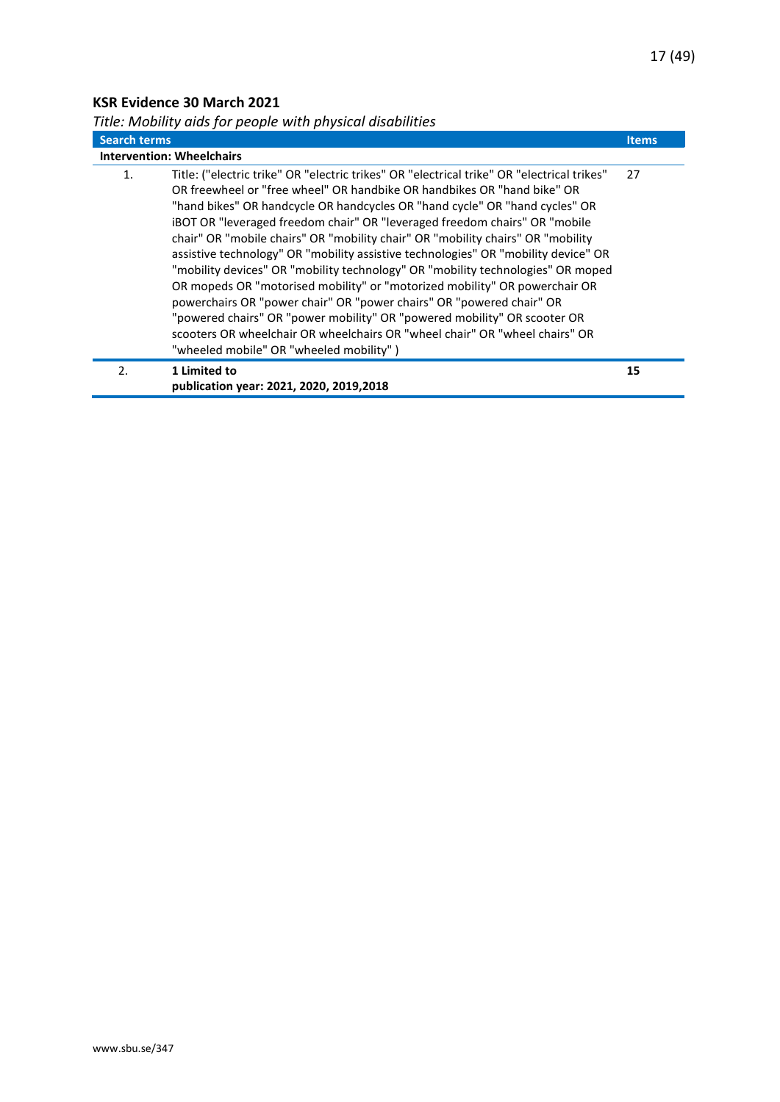## <span id="page-16-0"></span>**KSR Evidence 30 March 2021**

<span id="page-16-1"></span>*Title: Mobility aids for people with physical disabilities*

| <b>Search terms</b> |                                                                                                                                                                                                                                                                                                                                                                                                                                                                                                                                                                                                                                                                                                                                                                                                                                                                                                                                                                   | <b>Items</b> |
|---------------------|-------------------------------------------------------------------------------------------------------------------------------------------------------------------------------------------------------------------------------------------------------------------------------------------------------------------------------------------------------------------------------------------------------------------------------------------------------------------------------------------------------------------------------------------------------------------------------------------------------------------------------------------------------------------------------------------------------------------------------------------------------------------------------------------------------------------------------------------------------------------------------------------------------------------------------------------------------------------|--------------|
|                     | <b>Intervention: Wheelchairs</b>                                                                                                                                                                                                                                                                                                                                                                                                                                                                                                                                                                                                                                                                                                                                                                                                                                                                                                                                  |              |
| 1.                  | Title: ("electric trike" OR "electric trikes" OR "electrical trike" OR "electrical trikes"<br>OR freewheel or "free wheel" OR handbike OR handbikes OR "hand bike" OR<br>"hand bikes" OR handcycle OR handcycles OR "hand cycle" OR "hand cycles" OR<br><b>iBOT OR "leveraged freedom chair" OR "leveraged freedom chairs" OR "mobile</b><br>chair" OR "mobile chairs" OR "mobility chair" OR "mobility chairs" OR "mobility<br>assistive technology" OR "mobility assistive technologies" OR "mobility device" OR<br>"mobility devices" OR "mobility technology" OR "mobility technologies" OR moped<br>OR mopeds OR "motorised mobility" or "motorized mobility" OR powerchair OR<br>powerchairs OR "power chair" OR "power chairs" OR "powered chair" OR<br>"powered chairs" OR "power mobility" OR "powered mobility" OR scooter OR<br>scooters OR wheelchair OR wheelchairs OR "wheel chair" OR "wheel chairs" OR<br>"wheeled mobile" OR "wheeled mobility") | 27           |
| 2.                  | 1 Limited to<br>publication year: 2021, 2020, 2019, 2018                                                                                                                                                                                                                                                                                                                                                                                                                                                                                                                                                                                                                                                                                                                                                                                                                                                                                                          | 15           |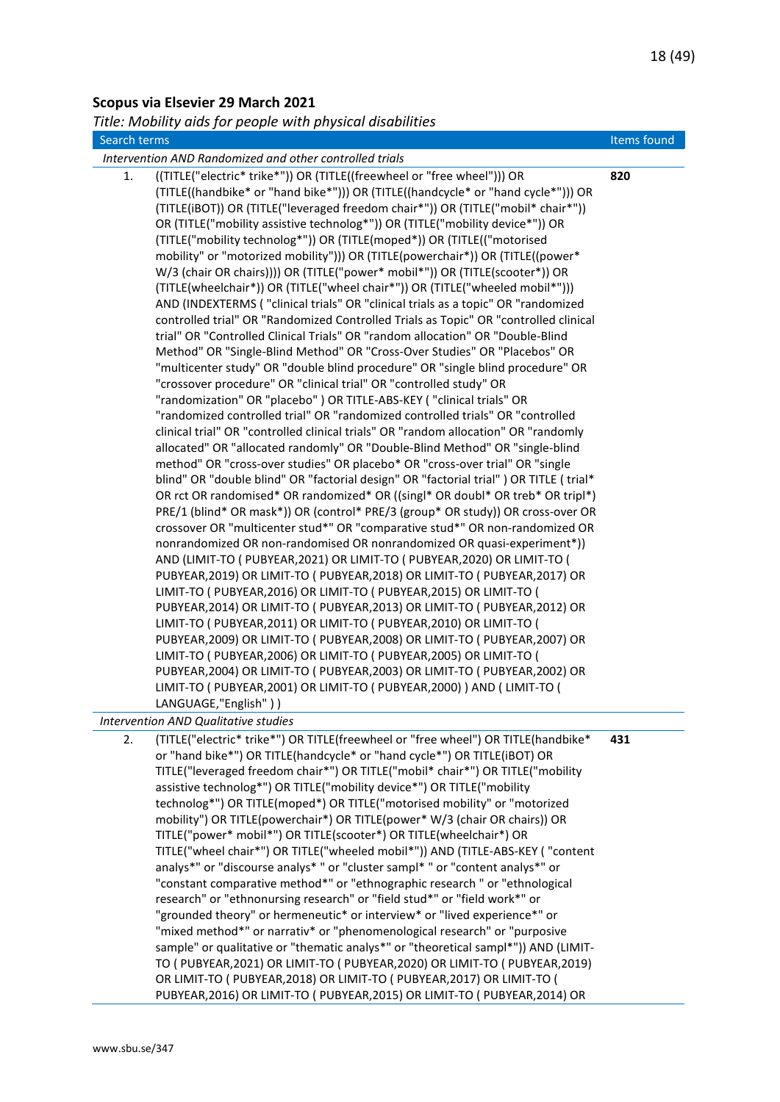#### <span id="page-17-0"></span>**Scopus via Elsevier 29 March 2021**

<span id="page-17-1"></span>*Title: Mobility aids for people with physical disabilities*

| itle: Mobility aids for people with physical disabilities                                                                                                                                                                                                                                                                                                                                                                                                                                                                                                                                                                                                                                                                                                                                                                                                                                                                                                                                                                                                                                                                                                                                                                                                                                                                                                                                                                                                                                                                                                                                                                                                                                                                                                                                                                                                                                                                                                                                                                                                                                                                                                                                                                                                                                                                                                                                                                                                                                                                                                                                                                                                                                                                                                      |             |
|----------------------------------------------------------------------------------------------------------------------------------------------------------------------------------------------------------------------------------------------------------------------------------------------------------------------------------------------------------------------------------------------------------------------------------------------------------------------------------------------------------------------------------------------------------------------------------------------------------------------------------------------------------------------------------------------------------------------------------------------------------------------------------------------------------------------------------------------------------------------------------------------------------------------------------------------------------------------------------------------------------------------------------------------------------------------------------------------------------------------------------------------------------------------------------------------------------------------------------------------------------------------------------------------------------------------------------------------------------------------------------------------------------------------------------------------------------------------------------------------------------------------------------------------------------------------------------------------------------------------------------------------------------------------------------------------------------------------------------------------------------------------------------------------------------------------------------------------------------------------------------------------------------------------------------------------------------------------------------------------------------------------------------------------------------------------------------------------------------------------------------------------------------------------------------------------------------------------------------------------------------------------------------------------------------------------------------------------------------------------------------------------------------------------------------------------------------------------------------------------------------------------------------------------------------------------------------------------------------------------------------------------------------------------------------------------------------------------------------------------------------------|-------------|
| Search terms                                                                                                                                                                                                                                                                                                                                                                                                                                                                                                                                                                                                                                                                                                                                                                                                                                                                                                                                                                                                                                                                                                                                                                                                                                                                                                                                                                                                                                                                                                                                                                                                                                                                                                                                                                                                                                                                                                                                                                                                                                                                                                                                                                                                                                                                                                                                                                                                                                                                                                                                                                                                                                                                                                                                                   | Items found |
| Intervention AND Randomized and other controlled trials                                                                                                                                                                                                                                                                                                                                                                                                                                                                                                                                                                                                                                                                                                                                                                                                                                                                                                                                                                                                                                                                                                                                                                                                                                                                                                                                                                                                                                                                                                                                                                                                                                                                                                                                                                                                                                                                                                                                                                                                                                                                                                                                                                                                                                                                                                                                                                                                                                                                                                                                                                                                                                                                                                        |             |
| ((TITLE("electric* trike*")) OR (TITLE((freewheel or "free wheel"))) OR<br>1.<br>(TITLE((handbike* or "hand bike*"))) OR (TITLE((handcycle* or "hand cycle*"))) OR<br>(TITLE(iBOT)) OR (TITLE("leveraged freedom chair*")) OR (TITLE("mobil* chair*"))<br>OR (TITLE("mobility assistive technolog*")) OR (TITLE("mobility device*")) OR<br>(TITLE("mobility technolog*")) OR (TITLE(moped*)) OR (TITLE(("motorised<br>mobility" or "motorized mobility"))) OR (TITLE(powerchair*)) OR (TITLE((power*<br>W/3 (chair OR chairs)))) OR (TITLE("power* mobil*")) OR (TITLE(scooter*)) OR<br>(TITLE(wheelchair*)) OR (TITLE("wheel chair*")) OR (TITLE("wheeled mobil*")))<br>AND (INDEXTERMS ("clinical trials" OR "clinical trials as a topic" OR "randomized<br>controlled trial" OR "Randomized Controlled Trials as Topic" OR "controlled clinical<br>trial" OR "Controlled Clinical Trials" OR "random allocation" OR "Double-Blind<br>Method" OR "Single-Blind Method" OR "Cross-Over Studies" OR "Placebos" OR<br>"multicenter study" OR "double blind procedure" OR "single blind procedure" OR<br>"crossover procedure" OR "clinical trial" OR "controlled study" OR<br>"randomization" OR "placebo" ) OR TITLE-ABS-KEY ( "clinical trials" OR<br>"randomized controlled trial" OR "randomized controlled trials" OR "controlled<br>clinical trial" OR "controlled clinical trials" OR "random allocation" OR "randomly<br>allocated" OR "allocated randomly" OR "Double-Blind Method" OR "single-blind<br>method" OR "cross-over studies" OR placebo* OR "cross-over trial" OR "single<br>blind" OR "double blind" OR "factorial design" OR "factorial trial" ) OR TITLE (trial*<br>OR rct OR randomised* OR randomized* OR ((singl* OR doubl* OR treb* OR tripl*)<br>PRE/1 (blind* OR mask*)) OR (control* PRE/3 (group* OR study)) OR cross-over OR<br>crossover OR "multicenter stud*" OR "comparative stud*" OR non-randomized OR<br>nonrandomized OR non-randomised OR nonrandomized OR quasi-experiment*))<br>AND (LIMIT-TO ( PUBYEAR, 2021) OR LIMIT-TO ( PUBYEAR, 2020) OR LIMIT-TO (<br>PUBYEAR, 2019) OR LIMIT-TO ( PUBYEAR, 2018) OR LIMIT-TO ( PUBYEAR, 2017) OR<br>LIMIT-TO ( PUBYEAR, 2016) OR LIMIT-TO ( PUBYEAR, 2015) OR LIMIT-TO (<br>PUBYEAR, 2014) OR LIMIT-TO ( PUBYEAR, 2013) OR LIMIT-TO ( PUBYEAR, 2012) OR<br>LIMIT-TO ( PUBYEAR, 2011) OR LIMIT-TO ( PUBYEAR, 2010) OR LIMIT-TO (<br>PUBYEAR, 2009) OR LIMIT-TO ( PUBYEAR, 2008) OR LIMIT-TO ( PUBYEAR, 2007) OR<br>LIMIT-TO ( PUBYEAR, 2006) OR LIMIT-TO ( PUBYEAR, 2005) OR LIMIT-TO (<br>PUBYEAR, 2004) OR LIMIT-TO ( PUBYEAR, 2003) OR LIMIT-TO ( PUBYEAR, 2002) OR<br>LIMIT-TO ( PUBYEAR, 2001) OR LIMIT-TO ( PUBYEAR, 2000) ) AND ( LIMIT-TO (<br>LANGUAGE,"English" ) ) | 820         |
| <b>Intervention AND Qualitative studies</b>                                                                                                                                                                                                                                                                                                                                                                                                                                                                                                                                                                                                                                                                                                                                                                                                                                                                                                                                                                                                                                                                                                                                                                                                                                                                                                                                                                                                                                                                                                                                                                                                                                                                                                                                                                                                                                                                                                                                                                                                                                                                                                                                                                                                                                                                                                                                                                                                                                                                                                                                                                                                                                                                                                                    |             |
| (TITLE("electric* trike*") OR TITLE(freewheel or "free wheel") OR TITLE(handbike*<br>2.                                                                                                                                                                                                                                                                                                                                                                                                                                                                                                                                                                                                                                                                                                                                                                                                                                                                                                                                                                                                                                                                                                                                                                                                                                                                                                                                                                                                                                                                                                                                                                                                                                                                                                                                                                                                                                                                                                                                                                                                                                                                                                                                                                                                                                                                                                                                                                                                                                                                                                                                                                                                                                                                        | 431         |

2. (TITLE("electric\* trike\*") OR TITLE(freewheel or "free wheel") OR TITLE(handbike\* or "hand bike\*") OR TITLE(handcycle\* or "hand cycle\*") OR TITLE(iBOT) OR TITLE("leveraged freedom chair\*") OR TITLE("mobil\* chair\*") OR TITLE("mobility assistive technolog\*") OR TITLE("mobility device\*") OR TITLE("mobility technolog\*") OR TITLE(moped\*) OR TITLE("motorised mobility" or "motorized mobility") OR TITLE(powerchair\*) OR TITLE(power\* W/3 (chair OR chairs)) OR TITLE("power\* mobil\*") OR TITLE(scooter\*) OR TITLE(wheelchair\*) OR TITLE("wheel chair\*") OR TITLE("wheeled mobil\*")) AND (TITLE-ABS-KEY ( "content analys\*" or "discourse analys\* " or "cluster sampl\* " or "content analys\*" or "constant comparative method\*" or "ethnographic research " or "ethnological research" or "ethnonursing research" or "field stud\*" or "field work\*" or "grounded theory" or hermeneutic\* or interview\* or "lived experience\*" or "mixed method\*" or narrativ\* or "phenomenological research" or "purposive sample" or qualitative or "thematic analys\*" or "theoretical sampl\*")) AND (LIMIT-TO ( PUBYEAR,2021) OR LIMIT-TO ( PUBYEAR,2020) OR LIMIT-TO ( PUBYEAR,2019) OR LIMIT-TO ( PUBYEAR,2018) OR LIMIT-TO ( PUBYEAR,2017) OR LIMIT-TO ( PUBYEAR,2016) OR LIMIT-TO ( PUBYEAR,2015) OR LIMIT-TO ( PUBYEAR,2014) OR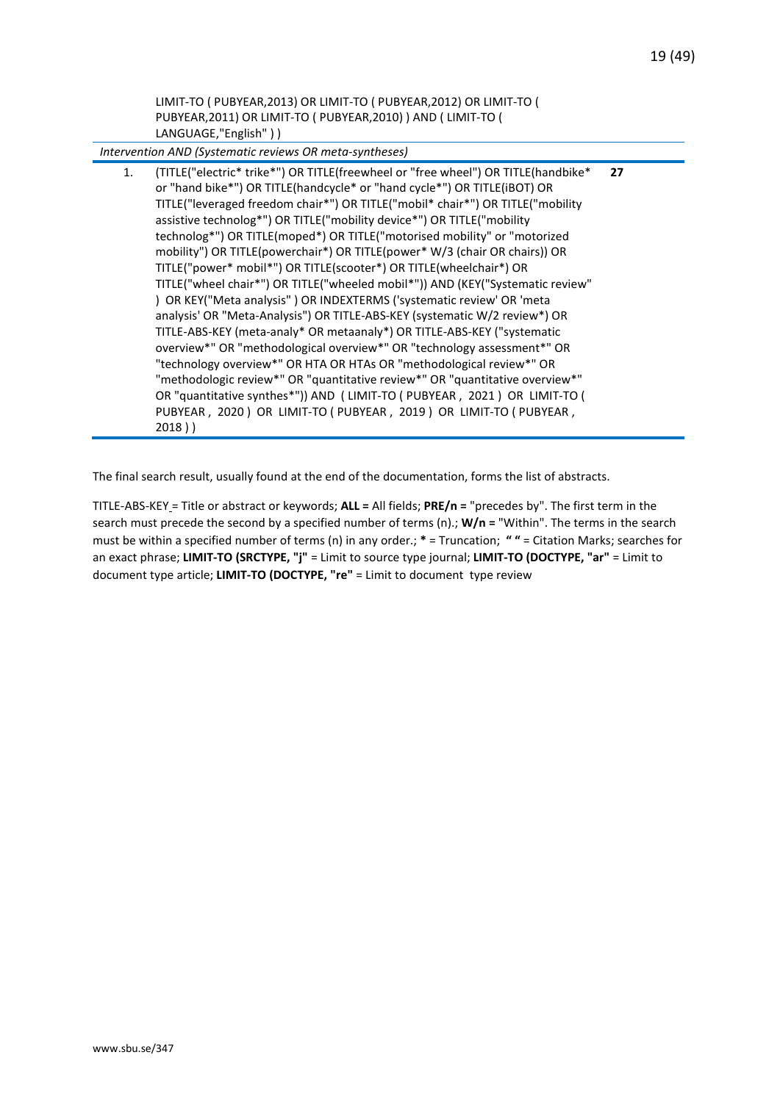LIMIT-TO ( PUBYEAR,2013) OR LIMIT-TO ( PUBYEAR,2012) OR LIMIT-TO ( PUBYEAR,2011) OR LIMIT-TO ( PUBYEAR,2010) ) AND ( LIMIT-TO ( LANGUAGE,"English" ) )

*Intervention AND (Systematic reviews OR meta-syntheses)*

1. (TITLE("electric\* trike\*") OR TITLE(freewheel or "free wheel") OR TITLE(handbike\* or "hand bike\*") OR TITLE(handcycle\* or "hand cycle\*") OR TITLE(iBOT) OR TITLE("leveraged freedom chair\*") OR TITLE("mobil\* chair\*") OR TITLE("mobility assistive technolog\*") OR TITLE("mobility device\*") OR TITLE("mobility technolog\*") OR TITLE(moped\*) OR TITLE("motorised mobility" or "motorized mobility") OR TITLE(powerchair\*) OR TITLE(power\* W/3 (chair OR chairs)) OR TITLE("power\* mobil\*") OR TITLE(scooter\*) OR TITLE(wheelchair\*) OR TITLE("wheel chair\*") OR TITLE("wheeled mobil\*")) AND (KEY("Systematic review" ) OR KEY("Meta analysis" ) OR INDEXTERMS ('systematic review' OR 'meta analysis' OR "Meta-Analysis") OR TITLE-ABS-KEY (systematic W/2 review\*) OR TITLE-ABS-KEY (meta-analy\* OR metaanaly\*) OR TITLE-ABS-KEY ("systematic overview\*" OR "methodological overview\*" OR "technology assessment\*" OR "technology overview\*" OR HTA OR HTAs OR "methodological review\*" OR "methodologic review\*" OR "quantitative review\*" OR "quantitative overview\*" OR "quantitative synthes\*")) AND ( LIMIT-TO ( PUBYEAR , 2021 ) OR LIMIT-TO ( PUBYEAR , 2020 ) OR LIMIT-TO ( PUBYEAR , 2019 ) OR LIMIT-TO ( PUBYEAR , 2018 ) ) **27**

The final search result, usually found at the end of the documentation, forms the list of abstracts.

TITLE-ABS-KEY = Title or abstract or keywords; **ALL =** All fields; **PRE/n =** "precedes by". The first term in the search must precede the second by a specified number of terms (n).; **W/n =** "Within". The terms in the search must be within a specified number of terms (n) in any order.; **\*** = Truncation; **" "** = Citation Marks; searches for an exact phrase; **LIMIT-TO (SRCTYPE, "j"** = Limit to source type journal; **LIMIT-TO (DOCTYPE, "ar"** = Limit to document type article; **LIMIT-TO (DOCTYPE, "re"** = Limit to document type review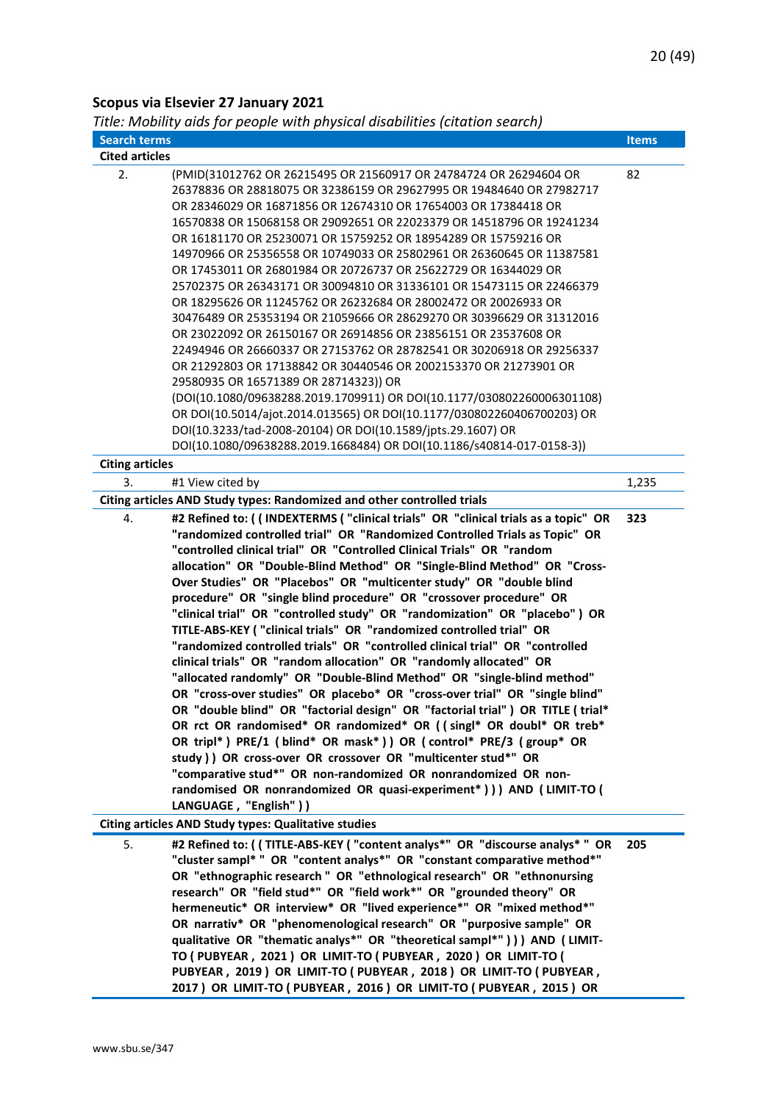## <span id="page-19-0"></span>**Scopus via Elsevier 27 January 2021**

<span id="page-19-1"></span>*Title: Mobility aids for people with physical disabilities (citation search)*

| <b>Search terms</b>    |                                                                                                                                                                                                                                                                                                                                                                                                                                                                                                                                                                                                                                                                                                                                                                                                                                                                                                                                                                                                                                                                                                                                                                                                                                                                                                                                                                                                                                                                              | <b>Items</b> |
|------------------------|------------------------------------------------------------------------------------------------------------------------------------------------------------------------------------------------------------------------------------------------------------------------------------------------------------------------------------------------------------------------------------------------------------------------------------------------------------------------------------------------------------------------------------------------------------------------------------------------------------------------------------------------------------------------------------------------------------------------------------------------------------------------------------------------------------------------------------------------------------------------------------------------------------------------------------------------------------------------------------------------------------------------------------------------------------------------------------------------------------------------------------------------------------------------------------------------------------------------------------------------------------------------------------------------------------------------------------------------------------------------------------------------------------------------------------------------------------------------------|--------------|
| <b>Cited articles</b>  |                                                                                                                                                                                                                                                                                                                                                                                                                                                                                                                                                                                                                                                                                                                                                                                                                                                                                                                                                                                                                                                                                                                                                                                                                                                                                                                                                                                                                                                                              |              |
| 2.                     | (PMID(31012762 OR 26215495 OR 21560917 OR 24784724 OR 26294604 OR<br>26378836 OR 28818075 OR 32386159 OR 29627995 OR 19484640 OR 27982717<br>OR 28346029 OR 16871856 OR 12674310 OR 17654003 OR 17384418 OR<br>16570838 OR 15068158 OR 29092651 OR 22023379 OR 14518796 OR 19241234<br>OR 16181170 OR 25230071 OR 15759252 OR 18954289 OR 15759216 OR<br>14970966 OR 25356558 OR 10749033 OR 25802961 OR 26360645 OR 11387581<br>OR 17453011 OR 26801984 OR 20726737 OR 25622729 OR 16344029 OR<br>25702375 OR 26343171 OR 30094810 OR 31336101 OR 15473115 OR 22466379<br>OR 18295626 OR 11245762 OR 26232684 OR 28002472 OR 20026933 OR<br>30476489 OR 25353194 OR 21059666 OR 28629270 OR 30396629 OR 31312016<br>OR 23022092 OR 26150167 OR 26914856 OR 23856151 OR 23537608 OR<br>22494946 OR 26660337 OR 27153762 OR 28782541 OR 30206918 OR 29256337<br>OR 21292803 OR 17138842 OR 30440546 OR 2002153370 OR 21273901 OR<br>29580935 OR 16571389 OR 28714323)) OR<br>(DOI(10.1080/09638288.2019.1709911) OR DOI(10.1177/030802260006301108)<br>OR DOI(10.5014/ajot.2014.013565) OR DOI(10.1177/030802260406700203) OR<br>DOI(10.3233/tad-2008-20104) OR DOI(10.1589/jpts.29.1607) OR                                                                                                                                                                                                                                                                                  | 82           |
|                        | DOI(10.1080/09638288.2019.1668484) OR DOI(10.1186/s40814-017-0158-3))                                                                                                                                                                                                                                                                                                                                                                                                                                                                                                                                                                                                                                                                                                                                                                                                                                                                                                                                                                                                                                                                                                                                                                                                                                                                                                                                                                                                        |              |
| <b>Citing articles</b> |                                                                                                                                                                                                                                                                                                                                                                                                                                                                                                                                                                                                                                                                                                                                                                                                                                                                                                                                                                                                                                                                                                                                                                                                                                                                                                                                                                                                                                                                              |              |
| 3.                     | #1 View cited by                                                                                                                                                                                                                                                                                                                                                                                                                                                                                                                                                                                                                                                                                                                                                                                                                                                                                                                                                                                                                                                                                                                                                                                                                                                                                                                                                                                                                                                             | 1,235        |
|                        | Citing articles AND Study types: Randomized and other controlled trials                                                                                                                                                                                                                                                                                                                                                                                                                                                                                                                                                                                                                                                                                                                                                                                                                                                                                                                                                                                                                                                                                                                                                                                                                                                                                                                                                                                                      |              |
| 4.                     | #2 Refined to: ((INDEXTERMS ("clinical trials" OR "clinical trials as a topic" OR<br>"randomized controlled trial" OR "Randomized Controlled Trials as Topic" OR<br>"controlled clinical trial" OR "Controlled Clinical Trials" OR "random<br>allocation" OR "Double-Blind Method" OR "Single-Blind Method" OR "Cross-<br>Over Studies" OR "Placebos" OR "multicenter study" OR "double blind<br>procedure" OR "single blind procedure" OR "crossover procedure" OR<br>"clinical trial" OR "controlled study" OR "randomization" OR "placebo") OR<br>TITLE-ABS-KEY ("clinical trials" OR "randomized controlled trial" OR<br>"randomized controlled trials" OR "controlled clinical trial" OR "controlled<br>clinical trials" OR "random allocation" OR "randomly allocated" OR<br>"allocated randomly" OR "Double-Blind Method" OR "single-blind method"<br>OR "cross-over studies" OR placebo* OR "cross-over trial" OR "single blind"<br>OR "double blind" OR "factorial design" OR "factorial trial" ) OR TITLE (trial*<br>OR rct OR randomised* OR randomized* OR ((singl* OR doubl* OR treb*<br>OR tripl*) PRE/1 (blind* OR mask*)) OR (control* PRE/3 (group* OR<br>study ) ) OR cross-over OR crossover OR "multicenter stud*" OR<br>"comparative stud*" OR non-randomized OR nonrandomized OR non-<br>randomised OR nonrandomized OR quasi-experiment*))) AND (LIMIT-TO (<br>LANGUAGE, "English" ) )<br><b>Citing articles AND Study types: Qualitative studies</b> | 323          |
| 5.                     | #2 Refined to: ( ( TITLE-ABS-KEY ( "content analys*" OR "discourse analys* " OR<br>"cluster sampl* " OR "content analys*" OR "constant comparative method*"<br>OR "ethnographic research " OR "ethnological research" OR "ethnonursing<br>research" OR "field stud*" OR "field work*" OR "grounded theory" OR<br>hermeneutic* OR interview* OR "lived experience*" OR "mixed method*"<br>OR narrativ* OR "phenomenological research" OR "purposive sample" OR<br>qualitative OR "thematic analys*" OR "theoretical sampl*" ) ) ) AND ( LIMIT-<br>TO (PUBYEAR, 2021) OR LIMIT-TO (PUBYEAR, 2020) OR LIMIT-TO (<br>PUBYEAR, 2019) OR LIMIT-TO (PUBYEAR, 2018) OR LIMIT-TO (PUBYEAR,<br>2017) OR LIMIT-TO (PUBYEAR, 2016) OR LIMIT-TO (PUBYEAR, 2015) OR                                                                                                                                                                                                                                                                                                                                                                                                                                                                                                                                                                                                                                                                                                                        | 205          |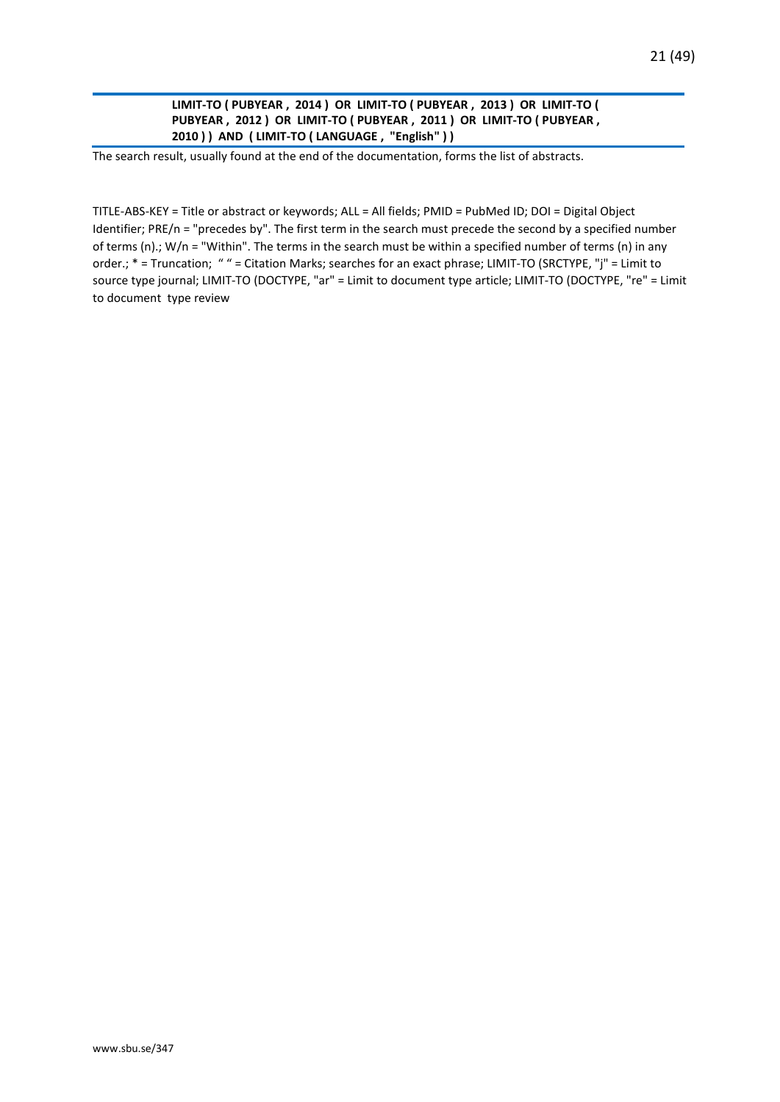**LIMIT-TO ( PUBYEAR , 2014 ) OR LIMIT-TO ( PUBYEAR , 2013 ) OR LIMIT-TO ( PUBYEAR , 2012 ) OR LIMIT-TO ( PUBYEAR , 2011 ) OR LIMIT-TO ( PUBYEAR , 2010 ) ) AND ( LIMIT-TO ( LANGUAGE , "English" ) )**

The search result, usually found at the end of the documentation, forms the list of abstracts.

TITLE-ABS-KEY = Title or abstract or keywords; ALL = All fields; PMID = PubMed ID; DOI = Digital Object Identifier; PRE/n = "precedes by". The first term in the search must precede the second by a specified number of terms (n).; W/n = "Within". The terms in the search must be within a specified number of terms (n) in any order.; \* = Truncation; " " = Citation Marks; searches for an exact phrase; LIMIT-TO (SRCTYPE, "j" = Limit to source type journal; LIMIT-TO (DOCTYPE, "ar" = Limit to document type article; LIMIT-TO (DOCTYPE, "re" = Limit to document type review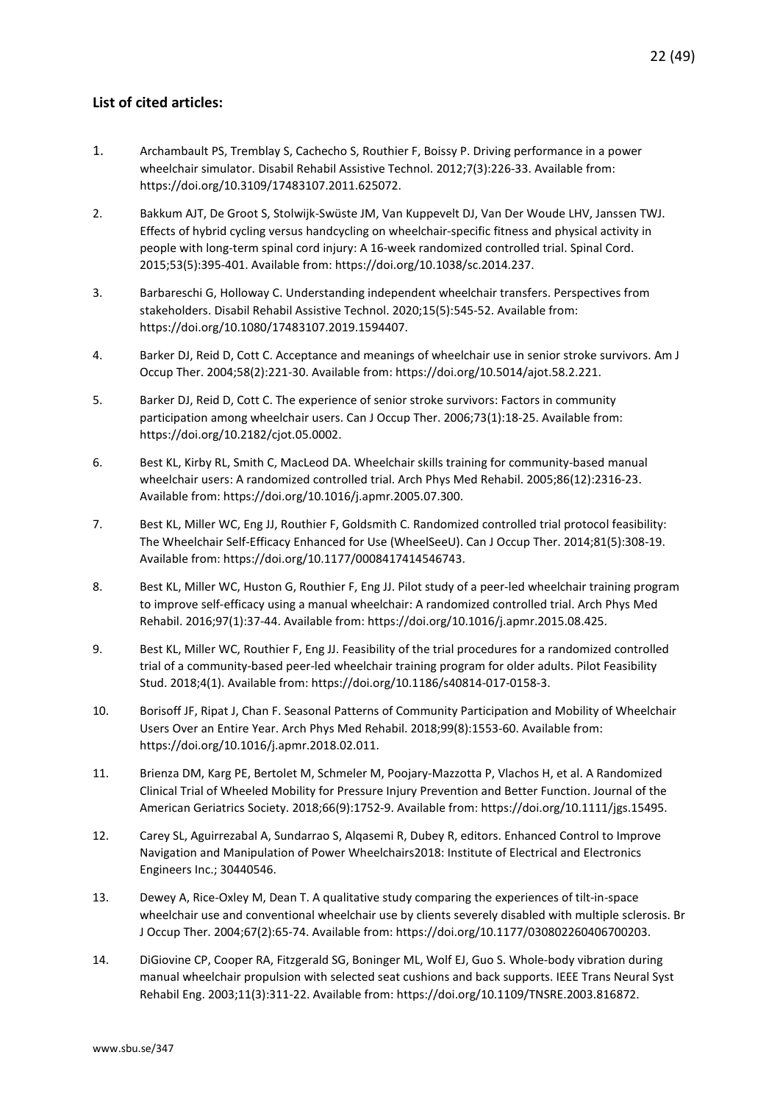- <span id="page-21-0"></span>1. Archambault PS, Tremblay S, Cachecho S, Routhier F, Boissy P. Driving performance in a power wheelchair simulator. Disabil Rehabil Assistive Technol. 2012;7(3):226-33. Available from: https://doi.org/10.3109/17483107.2011.625072.
- 2. Bakkum AJT, De Groot S, Stolwijk-Swüste JM, Van Kuppevelt DJ, Van Der Woude LHV, Janssen TWJ. Effects of hybrid cycling versus handcycling on wheelchair-specific fitness and physical activity in people with long-term spinal cord injury: A 16-week randomized controlled trial. Spinal Cord. 2015;53(5):395-401. Available from: https://doi.org/10.1038/sc.2014.237.
- 3. Barbareschi G, Holloway C. Understanding independent wheelchair transfers. Perspectives from stakeholders. Disabil Rehabil Assistive Technol. 2020;15(5):545-52. Available from: https://doi.org/10.1080/17483107.2019.1594407.
- 4. Barker DJ, Reid D, Cott C. Acceptance and meanings of wheelchair use in senior stroke survivors. Am J Occup Ther. 2004;58(2):221-30. Available from: https://doi.org/10.5014/ajot.58.2.221.
- 5. Barker DJ, Reid D, Cott C. The experience of senior stroke survivors: Factors in community participation among wheelchair users. Can J Occup Ther. 2006;73(1):18-25. Available from: https://doi.org/10.2182/cjot.05.0002.
- 6. Best KL, Kirby RL, Smith C, MacLeod DA. Wheelchair skills training for community-based manual wheelchair users: A randomized controlled trial. Arch Phys Med Rehabil. 2005;86(12):2316-23. Available from: https://doi.org/10.1016/j.apmr.2005.07.300.
- 7. Best KL, Miller WC, Eng JJ, Routhier F, Goldsmith C. Randomized controlled trial protocol feasibility: The Wheelchair Self-Efficacy Enhanced for Use (WheelSeeU). Can J Occup Ther. 2014;81(5):308-19. Available from: https://doi.org/10.1177/0008417414546743.
- 8. Best KL, Miller WC, Huston G, Routhier F, Eng JJ. Pilot study of a peer-led wheelchair training program to improve self-efficacy using a manual wheelchair: A randomized controlled trial. Arch Phys Med Rehabil. 2016;97(1):37-44. Available from: https://doi.org/10.1016/j.apmr.2015.08.425.
- 9. Best KL, Miller WC, Routhier F, Eng JJ. Feasibility of the trial procedures for a randomized controlled trial of a community-based peer-led wheelchair training program for older adults. Pilot Feasibility Stud. 2018;4(1). Available from: https://doi.org/10.1186/s40814-017-0158-3.
- 10. Borisoff JF, Ripat J, Chan F. Seasonal Patterns of Community Participation and Mobility of Wheelchair Users Over an Entire Year. Arch Phys Med Rehabil. 2018;99(8):1553-60. Available from: https://doi.org/10.1016/j.apmr.2018.02.011.
- 11. Brienza DM, Karg PE, Bertolet M, Schmeler M, Poojary-Mazzotta P, Vlachos H, et al. A Randomized Clinical Trial of Wheeled Mobility for Pressure Injury Prevention and Better Function. Journal of the American Geriatrics Society. 2018;66(9):1752-9. Available from: https://doi.org/10.1111/jgs.15495.
- 12. Carey SL, Aguirrezabal A, Sundarrao S, Alqasemi R, Dubey R, editors. Enhanced Control to Improve Navigation and Manipulation of Power Wheelchairs2018: Institute of Electrical and Electronics Engineers Inc.; 30440546.
- 13. Dewey A, Rice-Oxley M, Dean T. A qualitative study comparing the experiences of tilt-in-space wheelchair use and conventional wheelchair use by clients severely disabled with multiple sclerosis. Br J Occup Ther. 2004;67(2):65-74. Available from: https://doi.org/10.1177/030802260406700203.
- 14. DiGiovine CP, Cooper RA, Fitzgerald SG, Boninger ML, Wolf EJ, Guo S. Whole-body vibration during manual wheelchair propulsion with selected seat cushions and back supports. IEEE Trans Neural Syst Rehabil Eng. 2003;11(3):311-22. Available from: https://doi.org/10.1109/TNSRE.2003.816872.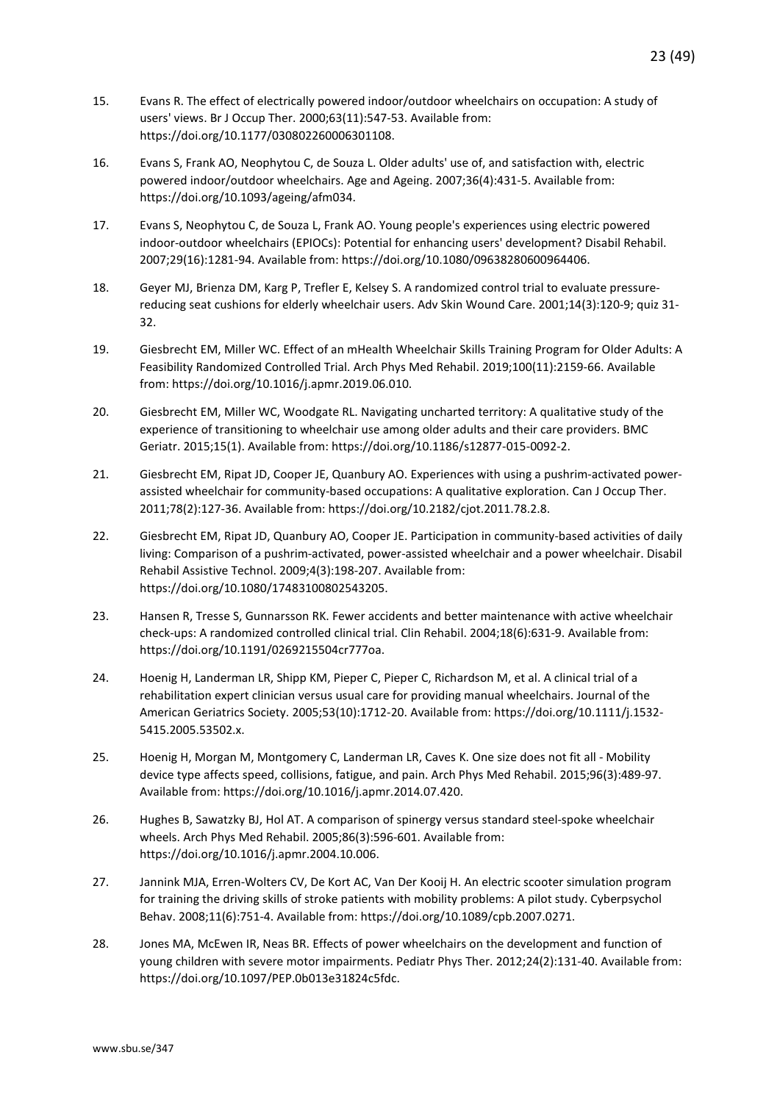- 15. Evans R. The effect of electrically powered indoor/outdoor wheelchairs on occupation: A study of users' views. Br J Occup Ther. 2000;63(11):547-53. Available from: https://doi.org/10.1177/030802260006301108.
- 16. Evans S, Frank AO, Neophytou C, de Souza L. Older adults' use of, and satisfaction with, electric powered indoor/outdoor wheelchairs. Age and Ageing. 2007;36(4):431-5. Available from: https://doi.org/10.1093/ageing/afm034.
- 17. Evans S, Neophytou C, de Souza L, Frank AO. Young people's experiences using electric powered indoor-outdoor wheelchairs (EPIOCs): Potential for enhancing users' development? Disabil Rehabil. 2007;29(16):1281-94. Available from: https://doi.org/10.1080/09638280600964406.
- 18. Geyer MJ, Brienza DM, Karg P, Trefler E, Kelsey S. A randomized control trial to evaluate pressurereducing seat cushions for elderly wheelchair users. Adv Skin Wound Care. 2001;14(3):120-9; quiz 31- 32.
- 19. Giesbrecht EM, Miller WC. Effect of an mHealth Wheelchair Skills Training Program for Older Adults: A Feasibility Randomized Controlled Trial. Arch Phys Med Rehabil. 2019;100(11):2159-66. Available from: https://doi.org/10.1016/j.apmr.2019.06.010.
- 20. Giesbrecht EM, Miller WC, Woodgate RL. Navigating uncharted territory: A qualitative study of the experience of transitioning to wheelchair use among older adults and their care providers. BMC Geriatr. 2015;15(1). Available from: https://doi.org/10.1186/s12877-015-0092-2.
- 21. Giesbrecht EM, Ripat JD, Cooper JE, Quanbury AO. Experiences with using a pushrim-activated powerassisted wheelchair for community-based occupations: A qualitative exploration. Can J Occup Ther. 2011;78(2):127-36. Available from: https://doi.org/10.2182/cjot.2011.78.2.8.
- 22. Giesbrecht EM, Ripat JD, Quanbury AO, Cooper JE. Participation in community-based activities of daily living: Comparison of a pushrim-activated, power-assisted wheelchair and a power wheelchair. Disabil Rehabil Assistive Technol. 2009;4(3):198-207. Available from: https://doi.org/10.1080/17483100802543205.
- 23. Hansen R, Tresse S, Gunnarsson RK. Fewer accidents and better maintenance with active wheelchair check-ups: A randomized controlled clinical trial. Clin Rehabil. 2004;18(6):631-9. Available from: https://doi.org/10.1191/0269215504cr777oa.
- 24. Hoenig H, Landerman LR, Shipp KM, Pieper C, Pieper C, Richardson M, et al. A clinical trial of a rehabilitation expert clinician versus usual care for providing manual wheelchairs. Journal of the American Geriatrics Society. 2005;53(10):1712-20. Available from: https://doi.org/10.1111/j.1532- 5415.2005.53502.x.
- 25. Hoenig H, Morgan M, Montgomery C, Landerman LR, Caves K. One size does not fit all Mobility device type affects speed, collisions, fatigue, and pain. Arch Phys Med Rehabil. 2015;96(3):489-97. Available from: https://doi.org/10.1016/j.apmr.2014.07.420.
- 26. Hughes B, Sawatzky BJ, Hol AT. A comparison of spinergy versus standard steel-spoke wheelchair wheels. Arch Phys Med Rehabil. 2005;86(3):596-601. Available from: https://doi.org/10.1016/j.apmr.2004.10.006.
- 27. Jannink MJA, Erren-Wolters CV, De Kort AC, Van Der Kooij H. An electric scooter simulation program for training the driving skills of stroke patients with mobility problems: A pilot study. Cyberpsychol Behav. 2008;11(6):751-4. Available from: https://doi.org/10.1089/cpb.2007.0271.
- 28. Jones MA, McEwen IR, Neas BR. Effects of power wheelchairs on the development and function of young children with severe motor impairments. Pediatr Phys Ther. 2012;24(2):131-40. Available from: https://doi.org/10.1097/PEP.0b013e31824c5fdc.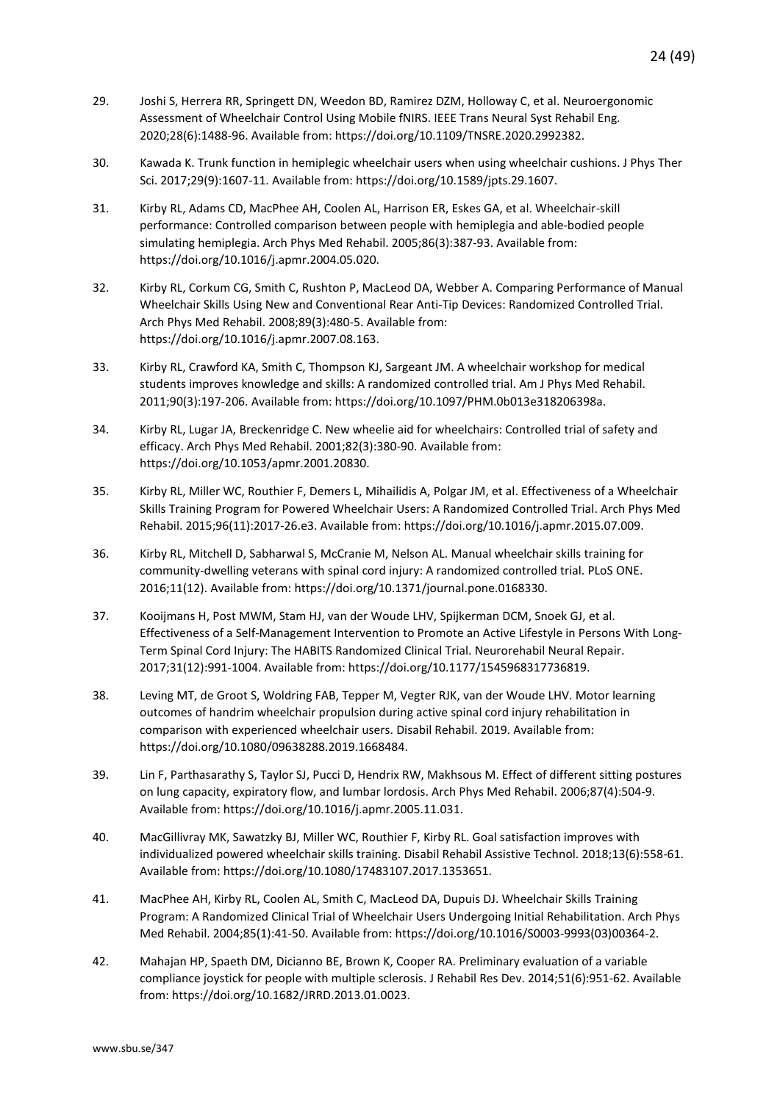- 29. Joshi S, Herrera RR, Springett DN, Weedon BD, Ramirez DZM, Holloway C, et al. Neuroergonomic Assessment of Wheelchair Control Using Mobile fNIRS. IEEE Trans Neural Syst Rehabil Eng. 2020;28(6):1488-96. Available from: https://doi.org/10.1109/TNSRE.2020.2992382.
- 30. Kawada K. Trunk function in hemiplegic wheelchair users when using wheelchair cushions. J Phys Ther Sci. 2017;29(9):1607-11. Available from: https://doi.org/10.1589/jpts.29.1607.
- 31. Kirby RL, Adams CD, MacPhee AH, Coolen AL, Harrison ER, Eskes GA, et al. Wheelchair-skill performance: Controlled comparison between people with hemiplegia and able-bodied people simulating hemiplegia. Arch Phys Med Rehabil. 2005;86(3):387-93. Available from: https://doi.org/10.1016/j.apmr.2004.05.020.
- 32. Kirby RL, Corkum CG, Smith C, Rushton P, MacLeod DA, Webber A. Comparing Performance of Manual Wheelchair Skills Using New and Conventional Rear Anti-Tip Devices: Randomized Controlled Trial. Arch Phys Med Rehabil. 2008;89(3):480-5. Available from: https://doi.org/10.1016/j.apmr.2007.08.163.
- 33. Kirby RL, Crawford KA, Smith C, Thompson KJ, Sargeant JM. A wheelchair workshop for medical students improves knowledge and skills: A randomized controlled trial. Am J Phys Med Rehabil. 2011;90(3):197-206. Available from: https://doi.org/10.1097/PHM.0b013e318206398a.
- 34. Kirby RL, Lugar JA, Breckenridge C. New wheelie aid for wheelchairs: Controlled trial of safety and efficacy. Arch Phys Med Rehabil. 2001;82(3):380-90. Available from: https://doi.org/10.1053/apmr.2001.20830.
- 35. Kirby RL, Miller WC, Routhier F, Demers L, Mihailidis A, Polgar JM, et al. Effectiveness of a Wheelchair Skills Training Program for Powered Wheelchair Users: A Randomized Controlled Trial. Arch Phys Med Rehabil. 2015;96(11):2017-26.e3. Available from: https://doi.org/10.1016/j.apmr.2015.07.009.
- 36. Kirby RL, Mitchell D, Sabharwal S, McCranie M, Nelson AL. Manual wheelchair skills training for community-dwelling veterans with spinal cord injury: A randomized controlled trial. PLoS ONE. 2016;11(12). Available from: https://doi.org/10.1371/journal.pone.0168330.
- 37. Kooijmans H, Post MWM, Stam HJ, van der Woude LHV, Spijkerman DCM, Snoek GJ, et al. Effectiveness of a Self-Management Intervention to Promote an Active Lifestyle in Persons With Long-Term Spinal Cord Injury: The HABITS Randomized Clinical Trial. Neurorehabil Neural Repair. 2017;31(12):991-1004. Available from: https://doi.org/10.1177/1545968317736819.
- 38. Leving MT, de Groot S, Woldring FAB, Tepper M, Vegter RJK, van der Woude LHV. Motor learning outcomes of handrim wheelchair propulsion during active spinal cord injury rehabilitation in comparison with experienced wheelchair users. Disabil Rehabil. 2019. Available from: https://doi.org/10.1080/09638288.2019.1668484.
- 39. Lin F, Parthasarathy S, Taylor SJ, Pucci D, Hendrix RW, Makhsous M. Effect of different sitting postures on lung capacity, expiratory flow, and lumbar lordosis. Arch Phys Med Rehabil. 2006;87(4):504-9. Available from: https://doi.org/10.1016/j.apmr.2005.11.031.
- 40. MacGillivray MK, Sawatzky BJ, Miller WC, Routhier F, Kirby RL. Goal satisfaction improves with individualized powered wheelchair skills training. Disabil Rehabil Assistive Technol. 2018;13(6):558-61. Available from: https://doi.org/10.1080/17483107.2017.1353651.
- 41. MacPhee AH, Kirby RL, Coolen AL, Smith C, MacLeod DA, Dupuis DJ. Wheelchair Skills Training Program: A Randomized Clinical Trial of Wheelchair Users Undergoing Initial Rehabilitation. Arch Phys Med Rehabil. 2004;85(1):41-50. Available from: https://doi.org/10.1016/S0003-9993(03)00364-2.
- 42. Mahajan HP, Spaeth DM, Dicianno BE, Brown K, Cooper RA. Preliminary evaluation of a variable compliance joystick for people with multiple sclerosis. J Rehabil Res Dev. 2014;51(6):951-62. Available from: https://doi.org/10.1682/JRRD.2013.01.0023.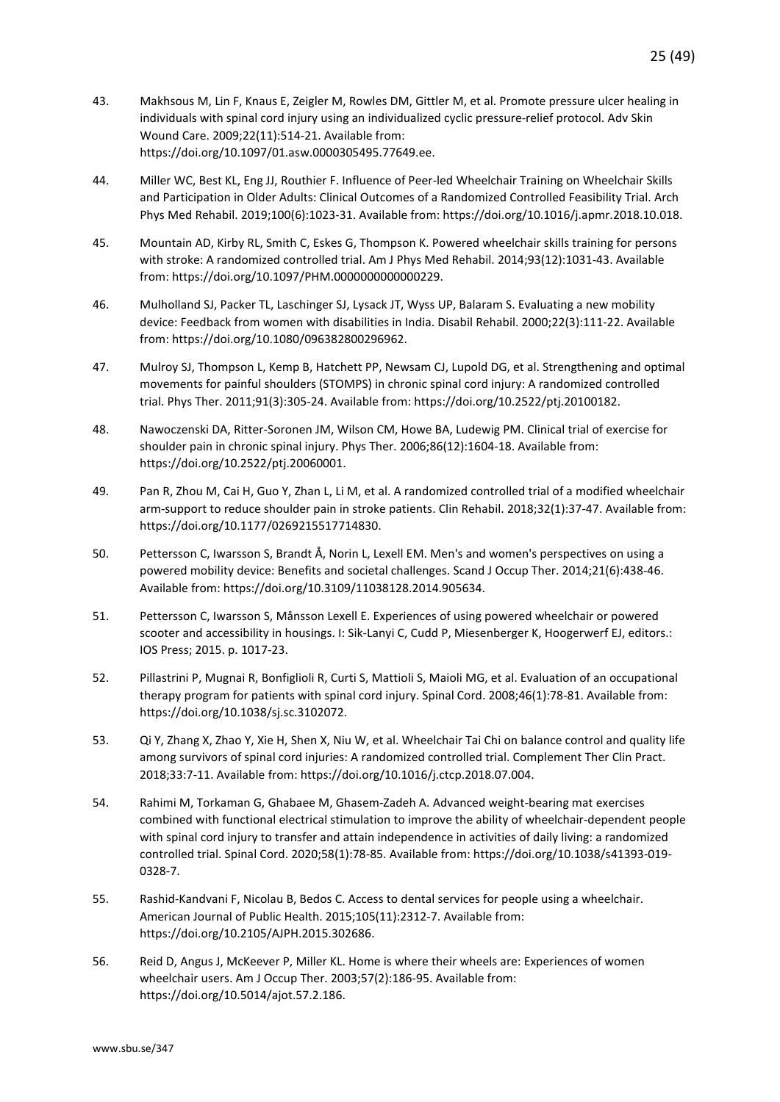- 43. Makhsous M, Lin F, Knaus E, Zeigler M, Rowles DM, Gittler M, et al. Promote pressure ulcer healing in individuals with spinal cord injury using an individualized cyclic pressure-relief protocol. Adv Skin Wound Care. 2009;22(11):514-21. Available from: https://doi.org/10.1097/01.asw.0000305495.77649.ee.
- 44. Miller WC, Best KL, Eng JJ, Routhier F. Influence of Peer-led Wheelchair Training on Wheelchair Skills and Participation in Older Adults: Clinical Outcomes of a Randomized Controlled Feasibility Trial. Arch Phys Med Rehabil. 2019;100(6):1023-31. Available from: https://doi.org/10.1016/j.apmr.2018.10.018.
- 45. Mountain AD, Kirby RL, Smith C, Eskes G, Thompson K. Powered wheelchair skills training for persons with stroke: A randomized controlled trial. Am J Phys Med Rehabil. 2014;93(12):1031-43. Available from: https://doi.org/10.1097/PHM.0000000000000229.
- 46. Mulholland SJ, Packer TL, Laschinger SJ, Lysack JT, Wyss UP, Balaram S. Evaluating a new mobility device: Feedback from women with disabilities in India. Disabil Rehabil. 2000;22(3):111-22. Available from: https://doi.org/10.1080/096382800296962.
- 47. Mulroy SJ, Thompson L, Kemp B, Hatchett PP, Newsam CJ, Lupold DG, et al. Strengthening and optimal movements for painful shoulders (STOMPS) in chronic spinal cord injury: A randomized controlled trial. Phys Ther. 2011;91(3):305-24. Available from: https://doi.org/10.2522/ptj.20100182.
- 48. Nawoczenski DA, Ritter-Soronen JM, Wilson CM, Howe BA, Ludewig PM. Clinical trial of exercise for shoulder pain in chronic spinal injury. Phys Ther. 2006;86(12):1604-18. Available from: https://doi.org/10.2522/ptj.20060001.
- 49. Pan R, Zhou M, Cai H, Guo Y, Zhan L, Li M, et al. A randomized controlled trial of a modified wheelchair arm-support to reduce shoulder pain in stroke patients. Clin Rehabil. 2018;32(1):37-47. Available from: https://doi.org/10.1177/0269215517714830.
- 50. Pettersson C, Iwarsson S, Brandt Å, Norin L, Lexell EM. Men's and women's perspectives on using a powered mobility device: Benefits and societal challenges. Scand J Occup Ther. 2014;21(6):438-46. Available from: https://doi.org/10.3109/11038128.2014.905634.
- 51. Pettersson C, Iwarsson S, Månsson Lexell E. Experiences of using powered wheelchair or powered scooter and accessibility in housings. I: Sik-Lanyi C, Cudd P, Miesenberger K, Hoogerwerf EJ, editors.: IOS Press; 2015. p. 1017-23.
- 52. Pillastrini P, Mugnai R, Bonfiglioli R, Curti S, Mattioli S, Maioli MG, et al. Evaluation of an occupational therapy program for patients with spinal cord injury. Spinal Cord. 2008;46(1):78-81. Available from: https://doi.org/10.1038/sj.sc.3102072.
- 53. Qi Y, Zhang X, Zhao Y, Xie H, Shen X, Niu W, et al. Wheelchair Tai Chi on balance control and quality life among survivors of spinal cord injuries: A randomized controlled trial. Complement Ther Clin Pract. 2018;33:7-11. Available from: https://doi.org/10.1016/j.ctcp.2018.07.004.
- 54. Rahimi M, Torkaman G, Ghabaee M, Ghasem-Zadeh A. Advanced weight-bearing mat exercises combined with functional electrical stimulation to improve the ability of wheelchair-dependent people with spinal cord injury to transfer and attain independence in activities of daily living: a randomized controlled trial. Spinal Cord. 2020;58(1):78-85. Available from: https://doi.org/10.1038/s41393-019- 0328-7.
- 55. Rashid-Kandvani F, Nicolau B, Bedos C. Access to dental services for people using a wheelchair. American Journal of Public Health. 2015;105(11):2312-7. Available from: https://doi.org/10.2105/AJPH.2015.302686.
- 56. Reid D, Angus J, McKeever P, Miller KL. Home is where their wheels are: Experiences of women wheelchair users. Am J Occup Ther. 2003;57(2):186-95. Available from: https://doi.org/10.5014/ajot.57.2.186.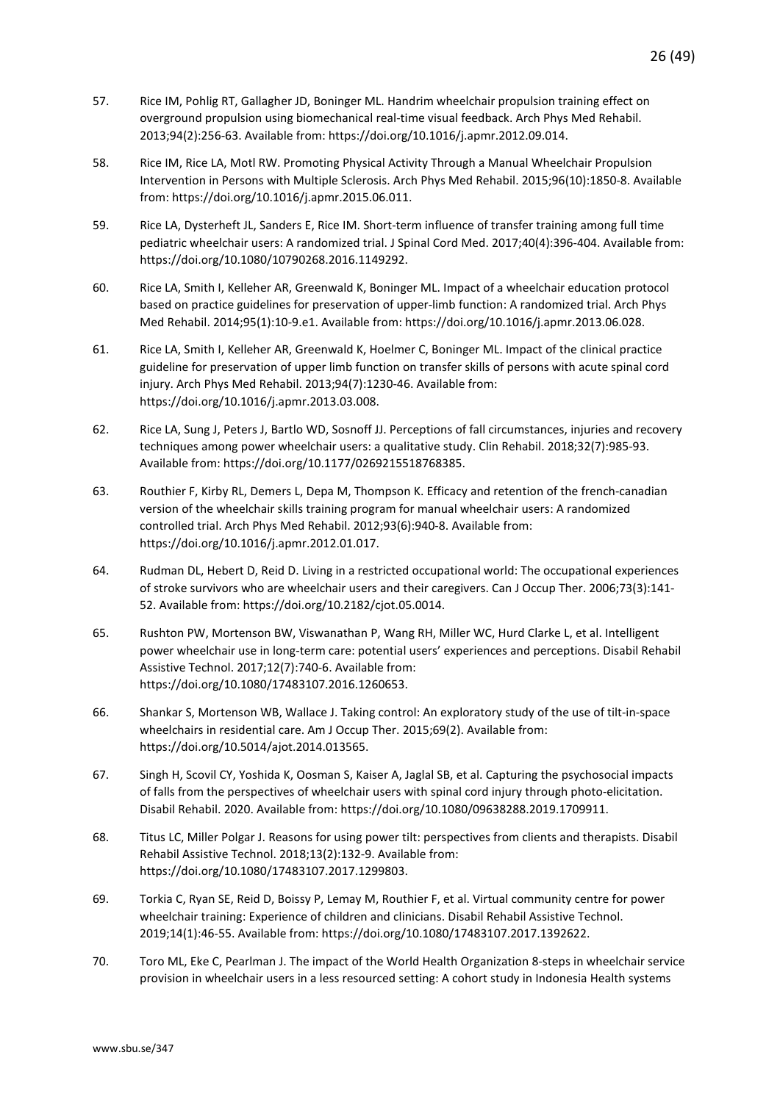- 57. Rice IM, Pohlig RT, Gallagher JD, Boninger ML. Handrim wheelchair propulsion training effect on overground propulsion using biomechanical real-time visual feedback. Arch Phys Med Rehabil. 2013;94(2):256-63. Available from: https://doi.org/10.1016/j.apmr.2012.09.014.
- 58. Rice IM, Rice LA, Motl RW. Promoting Physical Activity Through a Manual Wheelchair Propulsion Intervention in Persons with Multiple Sclerosis. Arch Phys Med Rehabil. 2015;96(10):1850-8. Available from: https://doi.org/10.1016/j.apmr.2015.06.011.
- 59. Rice LA, Dysterheft JL, Sanders E, Rice IM. Short-term influence of transfer training among full time pediatric wheelchair users: A randomized trial. J Spinal Cord Med. 2017;40(4):396-404. Available from: https://doi.org/10.1080/10790268.2016.1149292.
- 60. Rice LA, Smith I, Kelleher AR, Greenwald K, Boninger ML. Impact of a wheelchair education protocol based on practice guidelines for preservation of upper-limb function: A randomized trial. Arch Phys Med Rehabil. 2014;95(1):10-9.e1. Available from: https://doi.org/10.1016/j.apmr.2013.06.028.
- 61. Rice LA, Smith I, Kelleher AR, Greenwald K, Hoelmer C, Boninger ML. Impact of the clinical practice guideline for preservation of upper limb function on transfer skills of persons with acute spinal cord injury. Arch Phys Med Rehabil. 2013;94(7):1230-46. Available from: https://doi.org/10.1016/j.apmr.2013.03.008.
- 62. Rice LA, Sung J, Peters J, Bartlo WD, Sosnoff JJ. Perceptions of fall circumstances, injuries and recovery techniques among power wheelchair users: a qualitative study. Clin Rehabil. 2018;32(7):985-93. Available from: https://doi.org/10.1177/0269215518768385.
- 63. Routhier F, Kirby RL, Demers L, Depa M, Thompson K. Efficacy and retention of the french-canadian version of the wheelchair skills training program for manual wheelchair users: A randomized controlled trial. Arch Phys Med Rehabil. 2012;93(6):940-8. Available from: https://doi.org/10.1016/j.apmr.2012.01.017.
- 64. Rudman DL, Hebert D, Reid D. Living in a restricted occupational world: The occupational experiences of stroke survivors who are wheelchair users and their caregivers. Can J Occup Ther. 2006;73(3):141- 52. Available from: https://doi.org/10.2182/cjot.05.0014.
- 65. Rushton PW, Mortenson BW, Viswanathan P, Wang RH, Miller WC, Hurd Clarke L, et al. Intelligent power wheelchair use in long-term care: potential users' experiences and perceptions. Disabil Rehabil Assistive Technol. 2017;12(7):740-6. Available from: https://doi.org/10.1080/17483107.2016.1260653.
- 66. Shankar S, Mortenson WB, Wallace J. Taking control: An exploratory study of the use of tilt-in-space wheelchairs in residential care. Am J Occup Ther. 2015;69(2). Available from: https://doi.org/10.5014/ajot.2014.013565.
- 67. Singh H, Scovil CY, Yoshida K, Oosman S, Kaiser A, Jaglal SB, et al. Capturing the psychosocial impacts of falls from the perspectives of wheelchair users with spinal cord injury through photo-elicitation. Disabil Rehabil. 2020. Available from: https://doi.org/10.1080/09638288.2019.1709911.
- 68. Titus LC, Miller Polgar J. Reasons for using power tilt: perspectives from clients and therapists. Disabil Rehabil Assistive Technol. 2018;13(2):132-9. Available from: https://doi.org/10.1080/17483107.2017.1299803.
- 69. Torkia C, Ryan SE, Reid D, Boissy P, Lemay M, Routhier F, et al. Virtual community centre for power wheelchair training: Experience of children and clinicians. Disabil Rehabil Assistive Technol. 2019;14(1):46-55. Available from: https://doi.org/10.1080/17483107.2017.1392622.
- 70. Toro ML, Eke C, Pearlman J. The impact of the World Health Organization 8-steps in wheelchair service provision in wheelchair users in a less resourced setting: A cohort study in Indonesia Health systems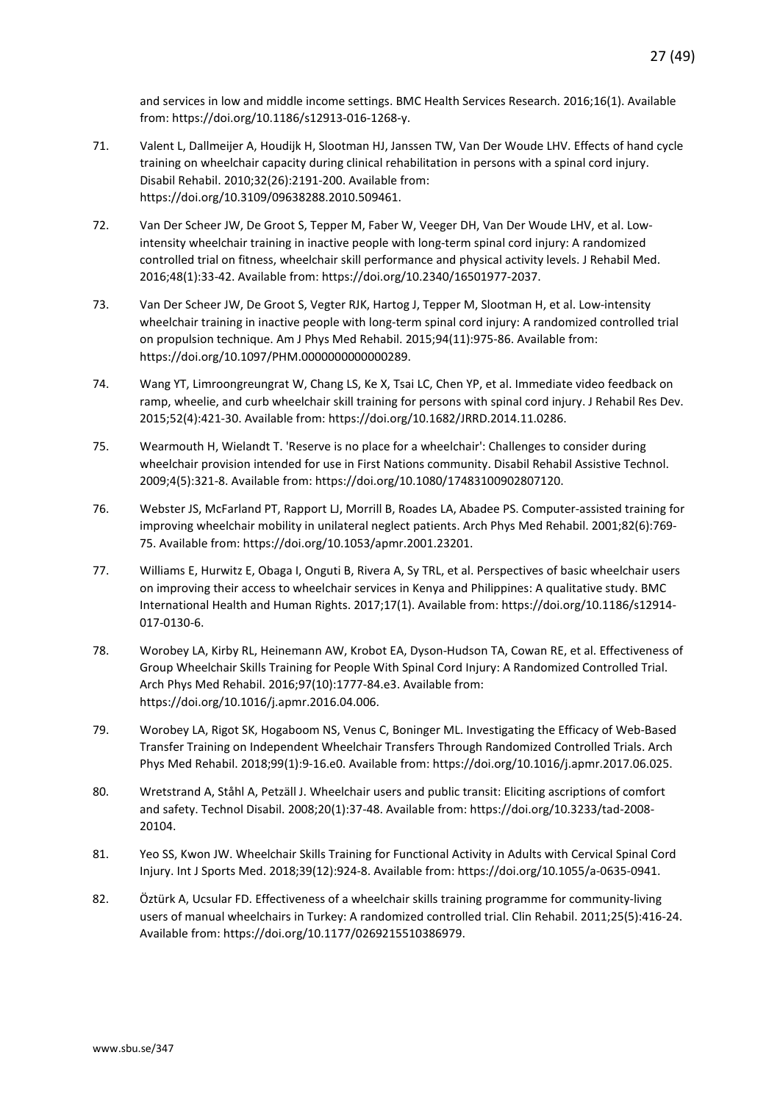and services in low and middle income settings. BMC Health Services Research. 2016;16(1). Available from: https://doi.org/10.1186/s12913-016-1268-y.

- 71. Valent L, Dallmeijer A, Houdijk H, Slootman HJ, Janssen TW, Van Der Woude LHV. Effects of hand cycle training on wheelchair capacity during clinical rehabilitation in persons with a spinal cord injury. Disabil Rehabil. 2010;32(26):2191-200. Available from: https://doi.org/10.3109/09638288.2010.509461.
- 72. Van Der Scheer JW, De Groot S, Tepper M, Faber W, Veeger DH, Van Der Woude LHV, et al. Lowintensity wheelchair training in inactive people with long-term spinal cord injury: A randomized controlled trial on fitness, wheelchair skill performance and physical activity levels. J Rehabil Med. 2016;48(1):33-42. Available from: https://doi.org/10.2340/16501977-2037.
- 73. Van Der Scheer JW, De Groot S, Vegter RJK, Hartog J, Tepper M, Slootman H, et al. Low-intensity wheelchair training in inactive people with long-term spinal cord injury: A randomized controlled trial on propulsion technique. Am J Phys Med Rehabil. 2015;94(11):975-86. Available from: https://doi.org/10.1097/PHM.0000000000000289.
- 74. Wang YT, Limroongreungrat W, Chang LS, Ke X, Tsai LC, Chen YP, et al. Immediate video feedback on ramp, wheelie, and curb wheelchair skill training for persons with spinal cord injury. J Rehabil Res Dev. 2015;52(4):421-30. Available from: https://doi.org/10.1682/JRRD.2014.11.0286.
- 75. Wearmouth H, Wielandt T. 'Reserve is no place for a wheelchair': Challenges to consider during wheelchair provision intended for use in First Nations community. Disabil Rehabil Assistive Technol. 2009;4(5):321-8. Available from: https://doi.org/10.1080/17483100902807120.
- 76. Webster JS, McFarland PT, Rapport LJ, Morrill B, Roades LA, Abadee PS. Computer-assisted training for improving wheelchair mobility in unilateral neglect patients. Arch Phys Med Rehabil. 2001;82(6):769- 75. Available from: https://doi.org/10.1053/apmr.2001.23201.
- 77. Williams E, Hurwitz E, Obaga I, Onguti B, Rivera A, Sy TRL, et al. Perspectives of basic wheelchair users on improving their access to wheelchair services in Kenya and Philippines: A qualitative study. BMC International Health and Human Rights. 2017;17(1). Available from: https://doi.org/10.1186/s12914- 017-0130-6.
- 78. Worobey LA, Kirby RL, Heinemann AW, Krobot EA, Dyson-Hudson TA, Cowan RE, et al. Effectiveness of Group Wheelchair Skills Training for People With Spinal Cord Injury: A Randomized Controlled Trial. Arch Phys Med Rehabil. 2016;97(10):1777-84.e3. Available from: https://doi.org/10.1016/j.apmr.2016.04.006.
- 79. Worobey LA, Rigot SK, Hogaboom NS, Venus C, Boninger ML. Investigating the Efficacy of Web-Based Transfer Training on Independent Wheelchair Transfers Through Randomized Controlled Trials. Arch Phys Med Rehabil. 2018;99(1):9-16.e0. Available from: https://doi.org/10.1016/j.apmr.2017.06.025.
- 80. Wretstrand A, Ståhl A, Petzäll J. Wheelchair users and public transit: Eliciting ascriptions of comfort and safety. Technol Disabil. 2008;20(1):37-48. Available from: https://doi.org/10.3233/tad-2008- 20104.
- 81. Yeo SS, Kwon JW. Wheelchair Skills Training for Functional Activity in Adults with Cervical Spinal Cord Injury. Int J Sports Med. 2018;39(12):924-8. Available from: https://doi.org/10.1055/a-0635-0941.
- 82. Öztürk A, Ucsular FD. Effectiveness of a wheelchair skills training programme for community-living users of manual wheelchairs in Turkey: A randomized controlled trial. Clin Rehabil. 2011;25(5):416-24. Available from: https://doi.org/10.1177/0269215510386979.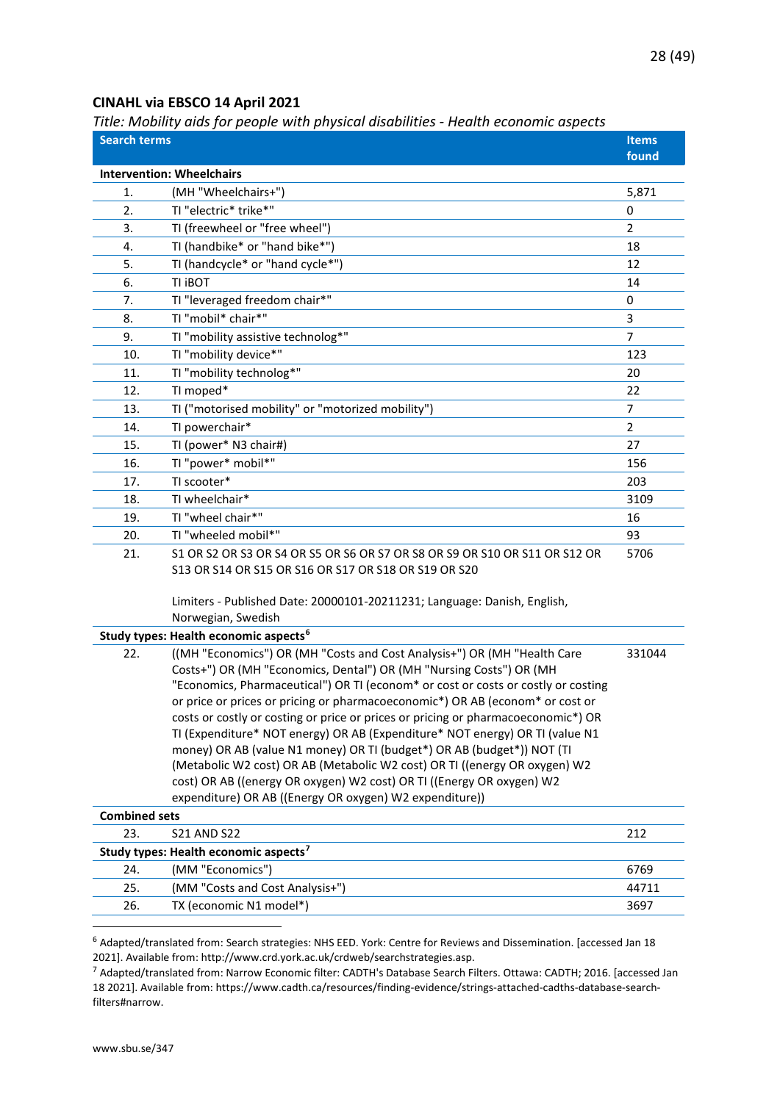#### <span id="page-27-0"></span>**CINAHL via EBSCO 14 April 2021**

<span id="page-27-1"></span>*Title: Mobility aids for people with physical disabilities - Health economic aspects*

| found<br><b>Intervention: Wheelchairs</b><br>(MH "Wheelchairs+")<br>5,871<br>1.<br>TI "electric* trike*"<br>2.<br>0<br>TI (freewheel or "free wheel")<br>$\overline{2}$<br>3.<br>TI (handbike* or "hand bike*")<br>4.<br>18<br>TI (handcycle* or "hand cycle*")<br>5.<br>12<br>TI IBOT<br>14<br>6.<br>TI "leveraged freedom chair*"<br>7.<br>0 |
|------------------------------------------------------------------------------------------------------------------------------------------------------------------------------------------------------------------------------------------------------------------------------------------------------------------------------------------------|
|                                                                                                                                                                                                                                                                                                                                                |
|                                                                                                                                                                                                                                                                                                                                                |
|                                                                                                                                                                                                                                                                                                                                                |
|                                                                                                                                                                                                                                                                                                                                                |
|                                                                                                                                                                                                                                                                                                                                                |
|                                                                                                                                                                                                                                                                                                                                                |
|                                                                                                                                                                                                                                                                                                                                                |
|                                                                                                                                                                                                                                                                                                                                                |
| TI "mobil* chair*"<br>3<br>8.                                                                                                                                                                                                                                                                                                                  |
| TI "mobility assistive technolog*"<br>9.<br>$\overline{7}$                                                                                                                                                                                                                                                                                     |
| TI "mobility device*"<br>123<br>10.                                                                                                                                                                                                                                                                                                            |
| TI "mobility technolog*"<br>20<br>11.                                                                                                                                                                                                                                                                                                          |
| TI moped*<br>12.<br>22                                                                                                                                                                                                                                                                                                                         |
| TI ("motorised mobility" or "motorized mobility")<br>$\overline{7}$<br>13.                                                                                                                                                                                                                                                                     |
| TI powerchair*<br>$\overline{2}$<br>14.                                                                                                                                                                                                                                                                                                        |
| TI (power* N3 chair#)<br>15.<br>27                                                                                                                                                                                                                                                                                                             |
| TI "power* mobil*"<br>16.<br>156                                                                                                                                                                                                                                                                                                               |
| TI scooter*<br>17.<br>203                                                                                                                                                                                                                                                                                                                      |
| TI wheelchair*<br>3109<br>18.                                                                                                                                                                                                                                                                                                                  |
| TI "wheel chair*"<br>16<br>19.                                                                                                                                                                                                                                                                                                                 |
| TI "wheeled mobil*"<br>20.<br>93                                                                                                                                                                                                                                                                                                               |
| 21.<br>S1 OR S2 OR S3 OR S4 OR S5 OR S6 OR S7 OR S8 OR S9 OR S10 OR S11 OR S12 OR<br>5706                                                                                                                                                                                                                                                      |
| S13 OR S14 OR S15 OR S16 OR S17 OR S18 OR S19 OR S20                                                                                                                                                                                                                                                                                           |
| Limiters - Published Date: 20000101-20211231; Language: Danish, English,<br>Norwegian, Swedish                                                                                                                                                                                                                                                 |
| Study types: Health economic aspects <sup>6</sup>                                                                                                                                                                                                                                                                                              |
| ((MH "Economics") OR (MH "Costs and Cost Analysis+") OR (MH "Health Care<br>22.<br>331044<br>Costs+") OR (MH "Economics, Dental") OR (MH "Nursing Costs") OR (MH<br>"Economics, Pharmaceutical") OR TI (econom* or cost or costs or costly or costing                                                                                          |
| or price or prices or pricing or pharmacoeconomic*) OR AB (econom* or cost or                                                                                                                                                                                                                                                                  |
| costs or costly or costing or price or prices or pricing or pharmacoeconomic*) OR                                                                                                                                                                                                                                                              |
| TI (Expenditure* NOT energy) OR AB (Expenditure* NOT energy) OR TI (value N1                                                                                                                                                                                                                                                                   |
| money) OR AB (value N1 money) OR TI (budget*) OR AB (budget*)) NOT (TI                                                                                                                                                                                                                                                                         |
| (Metabolic W2 cost) OR AB (Metabolic W2 cost) OR TI ((energy OR oxygen) W2                                                                                                                                                                                                                                                                     |
| cost) OR AB ((energy OR oxygen) W2 cost) OR TI ((Energy OR oxygen) W2<br>expenditure) OR AB ((Energy OR oxygen) W2 expenditure))                                                                                                                                                                                                               |
| <b>Combined sets</b>                                                                                                                                                                                                                                                                                                                           |
| 23.<br><b>S21 AND S22</b><br>212                                                                                                                                                                                                                                                                                                               |
| Study types: Health economic aspects <sup>7</sup>                                                                                                                                                                                                                                                                                              |
| (MM "Economics")<br>24.<br>6769                                                                                                                                                                                                                                                                                                                |
| 25.<br>(MM "Costs and Cost Analysis+")<br>44711                                                                                                                                                                                                                                                                                                |
| TX (economic N1 model*)<br>26.<br>3697                                                                                                                                                                                                                                                                                                         |

<span id="page-27-2"></span><sup>6</sup> Adapted/translated from: Search strategies: NHS EED. York: Centre for Reviews and Dissemination. [accessed Jan 18 2021]. Available from: http://www.crd.york.ac.uk/crdweb/searchstrategies.asp.

<span id="page-27-3"></span><sup>7</sup> Adapted/translated from: Narrow Economic filter: CADTH's Database Search Filters. Ottawa: CADTH; 2016. [accessed Jan 18 2021]. Available from: https://www.cadth.ca/resources/finding-evidence/strings-attached-cadths-database-searchfilters#narrow.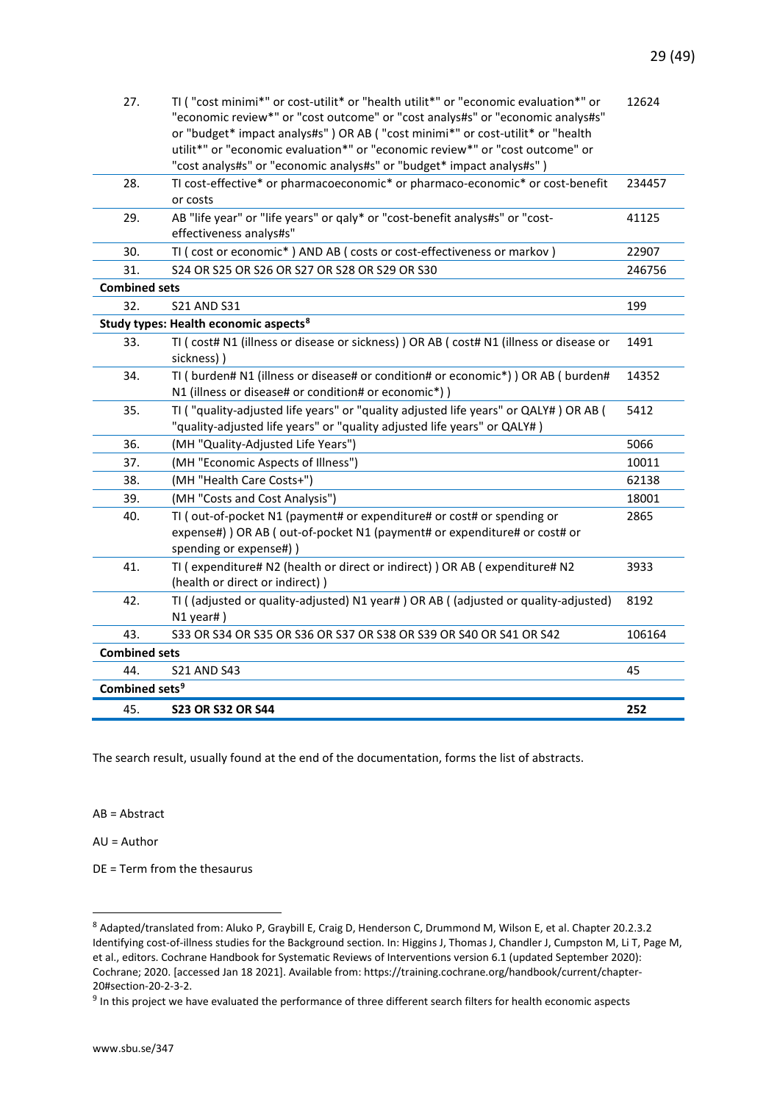| 27.                        | TI ("cost minimi*" or cost-utilit* or "health utilit*" or "economic evaluation*" or<br>"economic review*" or "cost outcome" or "cost analys#s" or "economic analys#s"<br>or "budget* impact analys#s" ) OR AB ( "cost minimi*" or cost-utilit* or "health<br>utilit*" or "economic evaluation*" or "economic review*" or "cost outcome" or<br>"cost analys#s" or "economic analys#s" or "budget* impact analys#s") | 12624  |
|----------------------------|--------------------------------------------------------------------------------------------------------------------------------------------------------------------------------------------------------------------------------------------------------------------------------------------------------------------------------------------------------------------------------------------------------------------|--------|
| 28.                        | TI cost-effective* or pharmacoeconomic* or pharmaco-economic* or cost-benefit<br>or costs                                                                                                                                                                                                                                                                                                                          | 234457 |
| 29.                        | AB "life year" or "life years" or qaly* or "cost-benefit analys#s" or "cost-<br>effectiveness analys#s"                                                                                                                                                                                                                                                                                                            | 41125  |
| 30.                        | TI ( cost or economic*) AND AB ( costs or cost-effectiveness or markov )                                                                                                                                                                                                                                                                                                                                           | 22907  |
| 31.                        | S24 OR S25 OR S26 OR S27 OR S28 OR S29 OR S30                                                                                                                                                                                                                                                                                                                                                                      | 246756 |
| <b>Combined sets</b>       |                                                                                                                                                                                                                                                                                                                                                                                                                    |        |
| 32.                        | <b>S21 AND S31</b>                                                                                                                                                                                                                                                                                                                                                                                                 | 199    |
|                            | Study types: Health economic aspects <sup>8</sup>                                                                                                                                                                                                                                                                                                                                                                  |        |
| 33.                        | TI ( cost# N1 (illness or disease or sickness) ) OR AB ( cost# N1 (illness or disease or<br>sickness))                                                                                                                                                                                                                                                                                                             | 1491   |
| 34.                        | TI ( burden# N1 (illness or disease# or condition# or economic*) ) OR AB ( burden#<br>N1 (illness or disease# or condition# or economic*))                                                                                                                                                                                                                                                                         | 14352  |
| 35.                        | TI ("quality-adjusted life years" or "quality adjusted life years" or QALY#) OR AB (<br>"quality-adjusted life years" or "quality adjusted life years" or QALY#)                                                                                                                                                                                                                                                   | 5412   |
| 36.                        | (MH "Quality-Adjusted Life Years")                                                                                                                                                                                                                                                                                                                                                                                 | 5066   |
| 37.                        | (MH "Economic Aspects of Illness")                                                                                                                                                                                                                                                                                                                                                                                 | 10011  |
| 38.                        | (MH "Health Care Costs+")                                                                                                                                                                                                                                                                                                                                                                                          | 62138  |
| 39.                        | (MH "Costs and Cost Analysis")                                                                                                                                                                                                                                                                                                                                                                                     | 18001  |
| 40.                        | TI (out-of-pocket N1 (payment# or expenditure# or cost# or spending or<br>expense#) ) OR AB ( out-of-pocket N1 (payment# or expenditure# or cost# or<br>spending or expense#) )                                                                                                                                                                                                                                    | 2865   |
| 41.                        | TI ( expenditure# N2 (health or direct or indirect) ) OR AB ( expenditure# N2<br>(health or direct or indirect))                                                                                                                                                                                                                                                                                                   | 3933   |
| 42.                        | TI ( (adjusted or quality-adjusted) N1 year# ) OR AB ( (adjusted or quality-adjusted)<br>$N1$ year#)                                                                                                                                                                                                                                                                                                               | 8192   |
| 43.                        | S33 OR S34 OR S35 OR S36 OR S37 OR S38 OR S39 OR S40 OR S41 OR S42                                                                                                                                                                                                                                                                                                                                                 | 106164 |
| <b>Combined sets</b>       |                                                                                                                                                                                                                                                                                                                                                                                                                    |        |
| 44.                        | <b>S21 AND S43</b>                                                                                                                                                                                                                                                                                                                                                                                                 | 45     |
| Combined sets <sup>9</sup> |                                                                                                                                                                                                                                                                                                                                                                                                                    |        |
| 45.                        | <b>S23 OR S32 OR S44</b>                                                                                                                                                                                                                                                                                                                                                                                           | 252    |

The search result, usually found at the end of the documentation, forms the list of abstracts.

AB = Abstract

AU = Author

DE = Term from the thesaurus

<span id="page-28-0"></span><sup>8</sup> Adapted/translated from: Aluko P, Graybill E, Craig D, Henderson C, Drummond M, Wilson E, et al. Chapter 20.2.3.2 Identifying cost-of-illness studies for the Background section. In: Higgins J, Thomas J, Chandler J, Cumpston M, Li T, Page M, et al., editors. Cochrane Handbook for Systematic Reviews of Interventions version 6.1 (updated September 2020): Cochrane; 2020. [accessed Jan 18 2021]. Available from: https://training.cochrane.org/handbook/current/chapter-20#section-20-2-3-2.

<span id="page-28-1"></span> $9$  In this project we have evaluated the performance of three different search filters for health economic aspects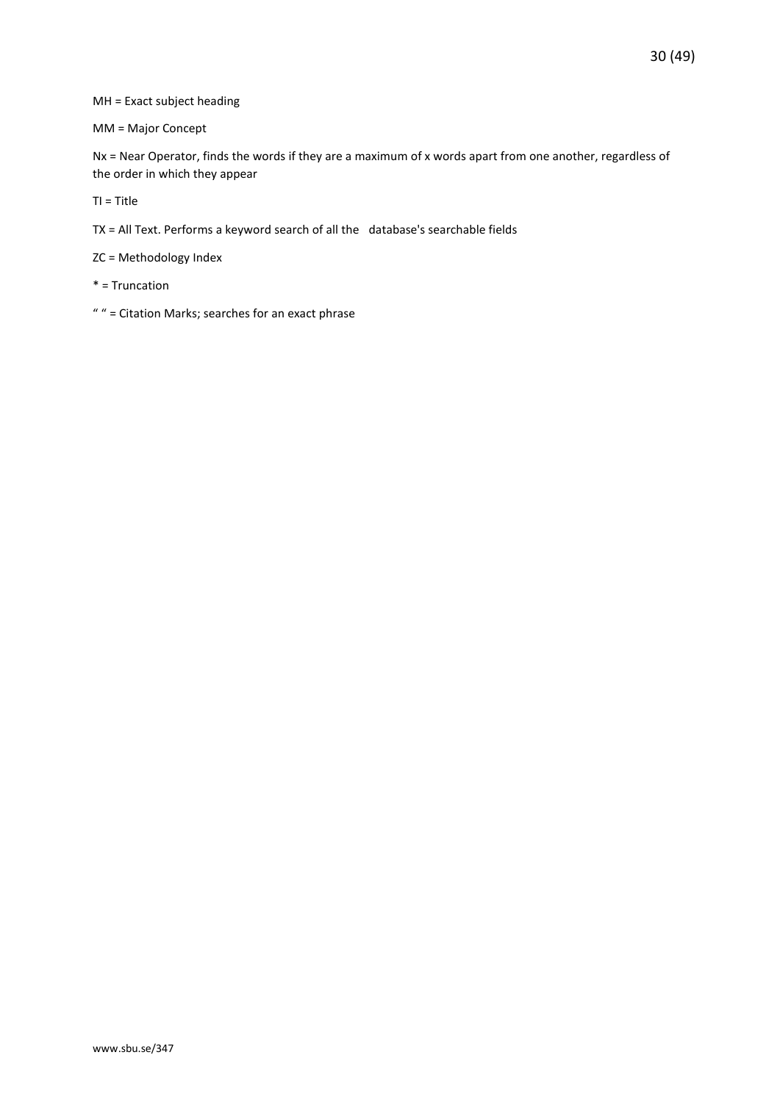#### MH = Exact subject heading

MM = Major Concept

Nx = Near Operator, finds the words if they are a maximum of x words apart from one another, regardless of the order in which they appear

TI = Title

TX = All Text. Performs a keyword search of all the database's searchable fields

ZC = Methodology Index

\* = Truncation

" " = Citation Marks; searches for an exact phrase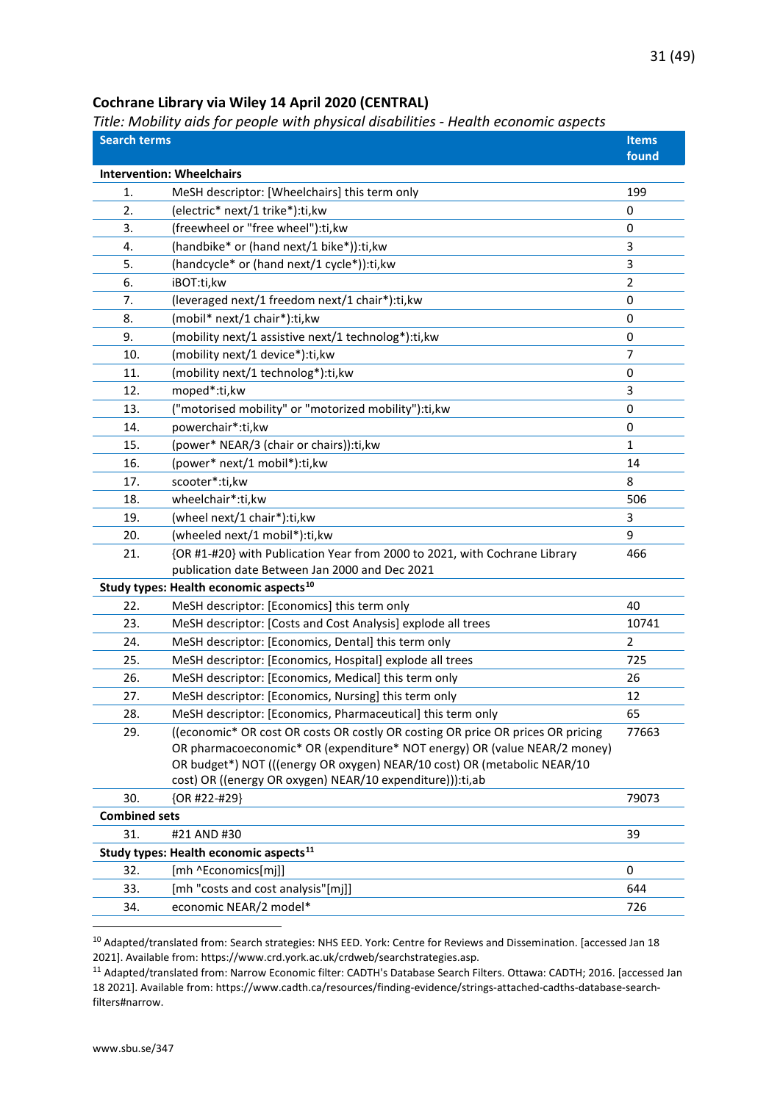#### <span id="page-30-0"></span>**Cochrane Library via Wiley 14 April 2020 (CENTRAL)**

#### <span id="page-30-1"></span>*Title: Mobility aids for people with physical disabilities - Health economic aspects*

| <b>Search terms</b>  | e: moomey anas jor people with physical alsabilities - health economic aspects  | <b>Items</b><br>found |
|----------------------|---------------------------------------------------------------------------------|-----------------------|
|                      | <b>Intervention: Wheelchairs</b>                                                |                       |
| 1.                   | MeSH descriptor: [Wheelchairs] this term only                                   | 199                   |
| 2.                   | (electric* next/1 trike*):ti,kw                                                 | 0                     |
| 3.                   | (freewheel or "free wheel"):ti,kw                                               | 0                     |
| 4.                   | (handbike* or (hand next/1 bike*)):ti,kw                                        | 3                     |
| 5.                   | (handcycle* or (hand next/1 cycle*)):ti,kw                                      | 3                     |
| 6.                   | iBOT:ti,kw                                                                      | $\overline{2}$        |
| 7.                   | (leveraged next/1 freedom next/1 chair*):ti, kw                                 | 0                     |
| 8.                   | (mobil* next/1 chair*):ti,kw                                                    | 0                     |
| 9.                   | (mobility next/1 assistive next/1 technolog*):ti, kw                            | 0                     |
| 10.                  | (mobility next/1 device*):ti,kw                                                 | 7                     |
| 11.                  | (mobility next/1 technolog*):ti,kw                                              | 0                     |
| 12.                  | moped*:ti,kw                                                                    | 3                     |
| 13.                  | ("motorised mobility" or "motorized mobility"):ti, kw                           | 0                     |
| 14.                  | powerchair*:ti,kw                                                               | 0                     |
| 15.                  | (power* NEAR/3 (chair or chairs)):ti, kw                                        | 1                     |
| 16.                  | (power* next/1 mobil*):ti,kw                                                    | 14                    |
| 17.                  | scooter*:ti,kw                                                                  | 8                     |
| 18.                  | wheelchair*:ti,kw                                                               | 506                   |
| 19.                  | (wheel next/1 chair*):ti,kw                                                     | 3                     |
| 20.                  | (wheeled next/1 mobil*):ti,kw                                                   | 9                     |
| 21.                  | {OR #1-#20} with Publication Year from 2000 to 2021, with Cochrane Library      | 466                   |
|                      | publication date Between Jan 2000 and Dec 2021                                  |                       |
|                      | Study types: Health economic aspects <sup>10</sup>                              |                       |
| 22.                  | MeSH descriptor: [Economics] this term only                                     | 40                    |
| 23.                  | MeSH descriptor: [Costs and Cost Analysis] explode all trees                    | 10741                 |
| 24.                  | MeSH descriptor: [Economics, Dental] this term only                             | $\overline{2}$        |
| 25.                  | MeSH descriptor: [Economics, Hospital] explode all trees                        | 725                   |
| 26.                  | MeSH descriptor: [Economics, Medical] this term only                            | 26                    |
| 27.                  | MeSH descriptor: [Economics, Nursing] this term only                            | 12                    |
| 28.                  | MeSH descriptor: [Economics, Pharmaceutical] this term only                     | 65                    |
| 29.                  | ((economic* OR cost OR costs OR costly OR costing OR price OR prices OR pricing | 77663                 |
|                      | OR pharmacoeconomic* OR (expenditure* NOT energy) OR (value NEAR/2 money)       |                       |
|                      | OR budget*) NOT (((energy OR oxygen) NEAR/10 cost) OR (metabolic NEAR/10        |                       |
|                      | cost) OR ((energy OR oxygen) NEAR/10 expenditure))): ti, ab                     |                       |
| 30.                  | {OR #22-#29}                                                                    | 79073                 |
| <b>Combined sets</b> |                                                                                 |                       |
| 31.                  | #21 AND #30                                                                     | 39                    |
|                      | Study types: Health economic aspects <sup>11</sup>                              |                       |
| 32.                  | [mh ^Economics[mj]]                                                             | 0                     |
| 33.                  | [mh "costs and cost analysis"[mj]]                                              | 644                   |
| 34.                  | economic NEAR/2 model*                                                          | 726                   |

<span id="page-30-2"></span><sup>&</sup>lt;sup>10</sup> Adapted/translated from: Search strategies: NHS EED. York: Centre for Reviews and Dissemination. [accessed Jan 18 2021]. Available from: https://www.crd.york.ac.uk/crdweb/searchstrategies.asp.

<span id="page-30-3"></span><sup>11</sup> Adapted/translated from: Narrow Economic filter: CADTH's Database Search Filters. Ottawa: CADTH; 2016. [accessed Jan 18 2021]. Available from: https://www.cadth.ca/resources/finding-evidence/strings-attached-cadths-database-searchfilters#narrow.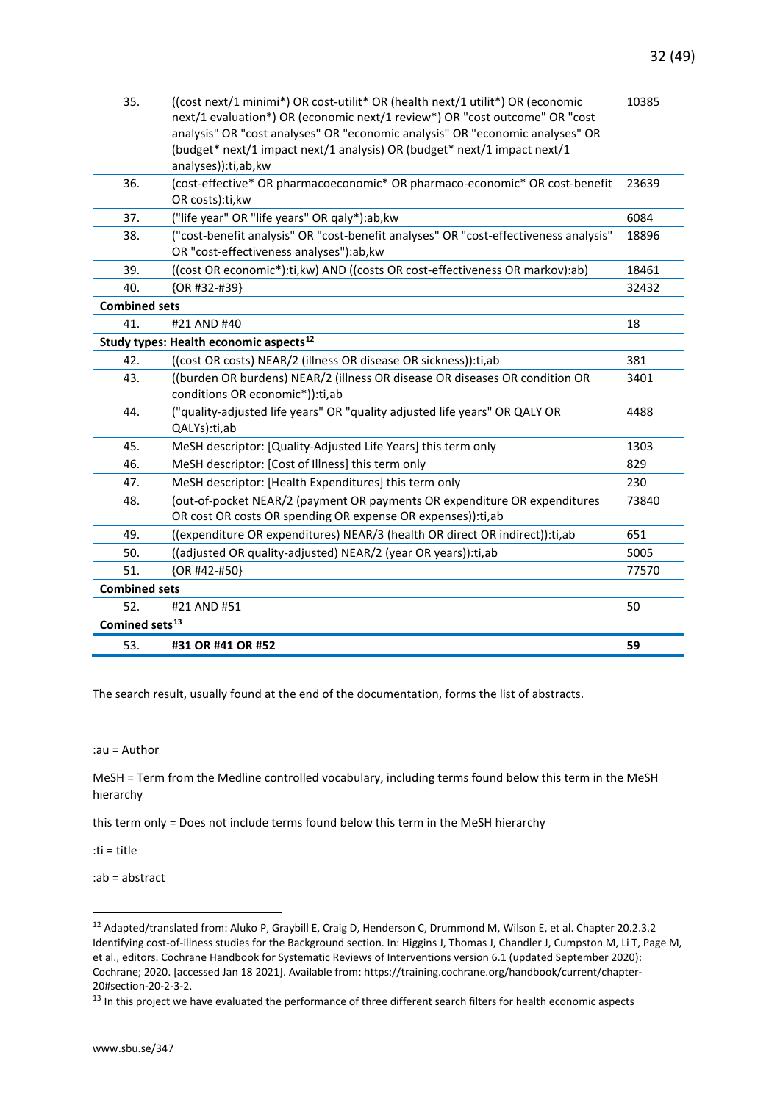| 35.                        | ((cost next/1 minimi*) OR cost-utilit* OR (health next/1 utilit*) OR (economic<br>next/1 evaluation*) OR (economic next/1 review*) OR "cost outcome" OR "cost<br>analysis" OR "cost analyses" OR "economic analysis" OR "economic analyses" OR<br>(budget* next/1 impact next/1 analysis) OR (budget* next/1 impact next/1<br>analyses)):ti,ab,kw | 10385 |
|----------------------------|---------------------------------------------------------------------------------------------------------------------------------------------------------------------------------------------------------------------------------------------------------------------------------------------------------------------------------------------------|-------|
| 36.                        | (cost-effective* OR pharmacoeconomic* OR pharmaco-economic* OR cost-benefit<br>OR costs):ti,kw                                                                                                                                                                                                                                                    | 23639 |
| 37.                        | ("life year" OR "life years" OR qaly*):ab, kw                                                                                                                                                                                                                                                                                                     | 6084  |
| 38.                        | ("cost-benefit analysis" OR "cost-benefit analyses" OR "cost-effectiveness analysis"<br>OR "cost-effectiveness analyses"):ab,kw                                                                                                                                                                                                                   | 18896 |
| 39.                        | ((cost OR economic*):ti, kw) AND ((costs OR cost-effectiveness OR markov):ab)                                                                                                                                                                                                                                                                     | 18461 |
| 40.                        | {OR #32-#39}                                                                                                                                                                                                                                                                                                                                      | 32432 |
| <b>Combined sets</b>       |                                                                                                                                                                                                                                                                                                                                                   |       |
| 41.                        | #21 AND #40                                                                                                                                                                                                                                                                                                                                       | 18    |
|                            | Study types: Health economic aspects <sup>12</sup>                                                                                                                                                                                                                                                                                                |       |
| 42.                        | ((cost OR costs) NEAR/2 (illness OR disease OR sickness)): ti, ab                                                                                                                                                                                                                                                                                 | 381   |
| 43.                        | ((burden OR burdens) NEAR/2 (illness OR disease OR diseases OR condition OR<br>conditions OR economic*)):ti,ab                                                                                                                                                                                                                                    | 3401  |
| 44.                        | ("quality-adjusted life years" OR "quality adjusted life years" OR QALY OR<br>QALYs):ti,ab                                                                                                                                                                                                                                                        | 4488  |
| 45.                        | MeSH descriptor: [Quality-Adjusted Life Years] this term only                                                                                                                                                                                                                                                                                     | 1303  |
| 46.                        | MeSH descriptor: [Cost of Illness] this term only                                                                                                                                                                                                                                                                                                 | 829   |
| 47.                        | MeSH descriptor: [Health Expenditures] this term only                                                                                                                                                                                                                                                                                             | 230   |
| 48.                        | (out-of-pocket NEAR/2 (payment OR payments OR expenditure OR expenditures                                                                                                                                                                                                                                                                         | 73840 |
|                            | OR cost OR costs OR spending OR expense OR expenses)): ti, ab                                                                                                                                                                                                                                                                                     |       |
| 49.                        | ((expenditure OR expenditures) NEAR/3 (health OR direct OR indirect)): ti, ab                                                                                                                                                                                                                                                                     | 651   |
| 50.                        | ((adjusted OR quality-adjusted) NEAR/2 (year OR years)): ti, ab                                                                                                                                                                                                                                                                                   | 5005  |
| 51.                        | {OR #42-#50}                                                                                                                                                                                                                                                                                                                                      | 77570 |
| <b>Combined sets</b>       |                                                                                                                                                                                                                                                                                                                                                   |       |
| 52.                        | #21 AND #51                                                                                                                                                                                                                                                                                                                                       | 50    |
| Comined sets <sup>13</sup> |                                                                                                                                                                                                                                                                                                                                                   |       |
| 53.                        | #31 OR #41 OR #52                                                                                                                                                                                                                                                                                                                                 | 59    |

The search result, usually found at the end of the documentation, forms the list of abstracts.

:au = Author

MeSH = Term from the Medline controlled vocabulary, including terms found below this term in the MeSH hierarchy

this term only = Does not include terms found below this term in the MeSH hierarchy

:ti = title

:ab = abstract

<span id="page-31-0"></span><sup>12</sup> Adapted/translated from: Aluko P, Graybill E, Craig D, Henderson C, Drummond M, Wilson E, et al. Chapter 20.2.3.2 Identifying cost-of-illness studies for the Background section. In: Higgins J, Thomas J, Chandler J, Cumpston M, Li T, Page M, et al., editors. Cochrane Handbook for Systematic Reviews of Interventions version 6.1 (updated September 2020): Cochrane; 2020. [accessed Jan 18 2021]. Available from: https://training.cochrane.org/handbook/current/chapter-20#section-20-2-3-2.

<span id="page-31-1"></span><sup>&</sup>lt;sup>13</sup> In this project we have evaluated the performance of three different search filters for health economic aspects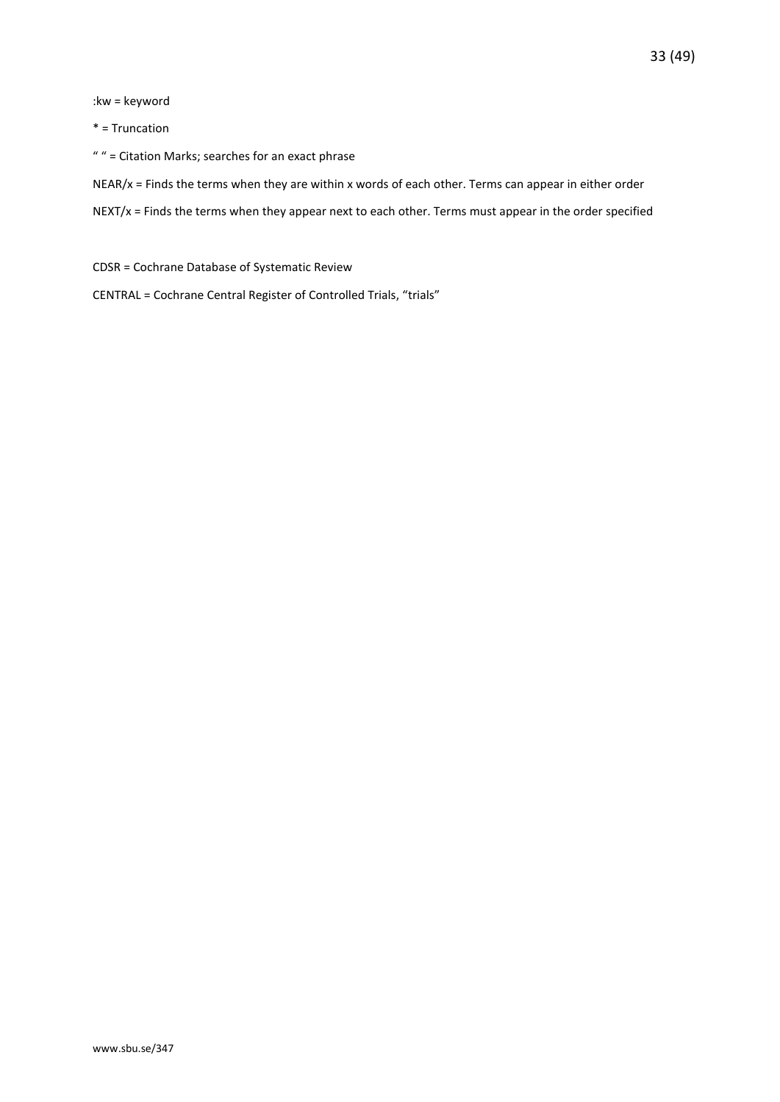#### :kw = keyword

#### \* = Truncation

" " = Citation Marks; searches for an exact phrase

NEAR/x = Finds the terms when they are within x words of each other. Terms can appear in either order

NEXT/x = Finds the terms when they appear next to each other. Terms must appear in the order specified

CDSR = Cochrane Database of Systematic Review

CENTRAL = Cochrane Central Register of Controlled Trials, "trials"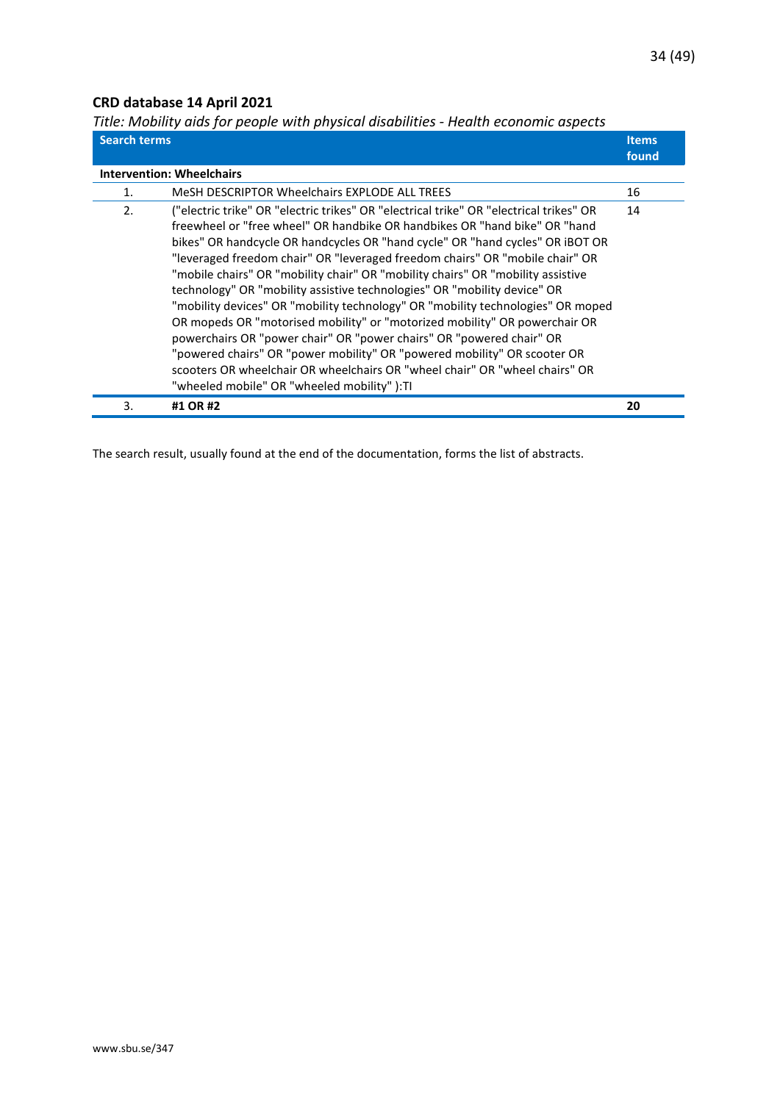## <span id="page-33-0"></span>**CRD database 14 April 2021**

<span id="page-33-1"></span>*Title: Mobility aids for people with physical disabilities - Health economic aspects*

| <b>Search terms</b> |                                                                                                                                                                                                                                                                                                                                                                                                                                                                                                                                                                                                                                                                                                                                                                                                                                                                                                                                                         | <b>Items</b><br>found |
|---------------------|---------------------------------------------------------------------------------------------------------------------------------------------------------------------------------------------------------------------------------------------------------------------------------------------------------------------------------------------------------------------------------------------------------------------------------------------------------------------------------------------------------------------------------------------------------------------------------------------------------------------------------------------------------------------------------------------------------------------------------------------------------------------------------------------------------------------------------------------------------------------------------------------------------------------------------------------------------|-----------------------|
|                     | <b>Intervention: Wheelchairs</b>                                                                                                                                                                                                                                                                                                                                                                                                                                                                                                                                                                                                                                                                                                                                                                                                                                                                                                                        |                       |
| 1.                  | MeSH DESCRIPTOR Wheelchairs EXPLODE ALL TREES                                                                                                                                                                                                                                                                                                                                                                                                                                                                                                                                                                                                                                                                                                                                                                                                                                                                                                           | 16                    |
| 2.                  | ("electric trike" OR "electric trikes" OR "electrical trike" OR "electrical trikes" OR<br>freewheel or "free wheel" OR handbike OR handbikes OR "hand bike" OR "hand<br>bikes" OR handcycle OR handcycles OR "hand cycle" OR "hand cycles" OR iBOT OR<br>"leveraged freedom chair" OR "leveraged freedom chairs" OR "mobile chair" OR<br>"mobile chairs" OR "mobility chair" OR "mobility chairs" OR "mobility assistive<br>technology" OR "mobility assistive technologies" OR "mobility device" OR<br>"mobility devices" OR "mobility technology" OR "mobility technologies" OR moped<br>OR mopeds OR "motorised mobility" or "motorized mobility" OR powerchair OR<br>powerchairs OR "power chair" OR "power chairs" OR "powered chair" OR<br>"powered chairs" OR "power mobility" OR "powered mobility" OR scooter OR<br>scooters OR wheelchair OR wheelchairs OR "wheel chair" OR "wheel chairs" OR<br>"wheeled mobile" OR "wheeled mobility" ):TI | 14                    |
| 3.                  | #1 OR #2                                                                                                                                                                                                                                                                                                                                                                                                                                                                                                                                                                                                                                                                                                                                                                                                                                                                                                                                                | 20                    |

The search result, usually found at the end of the documentation, forms the list of abstracts.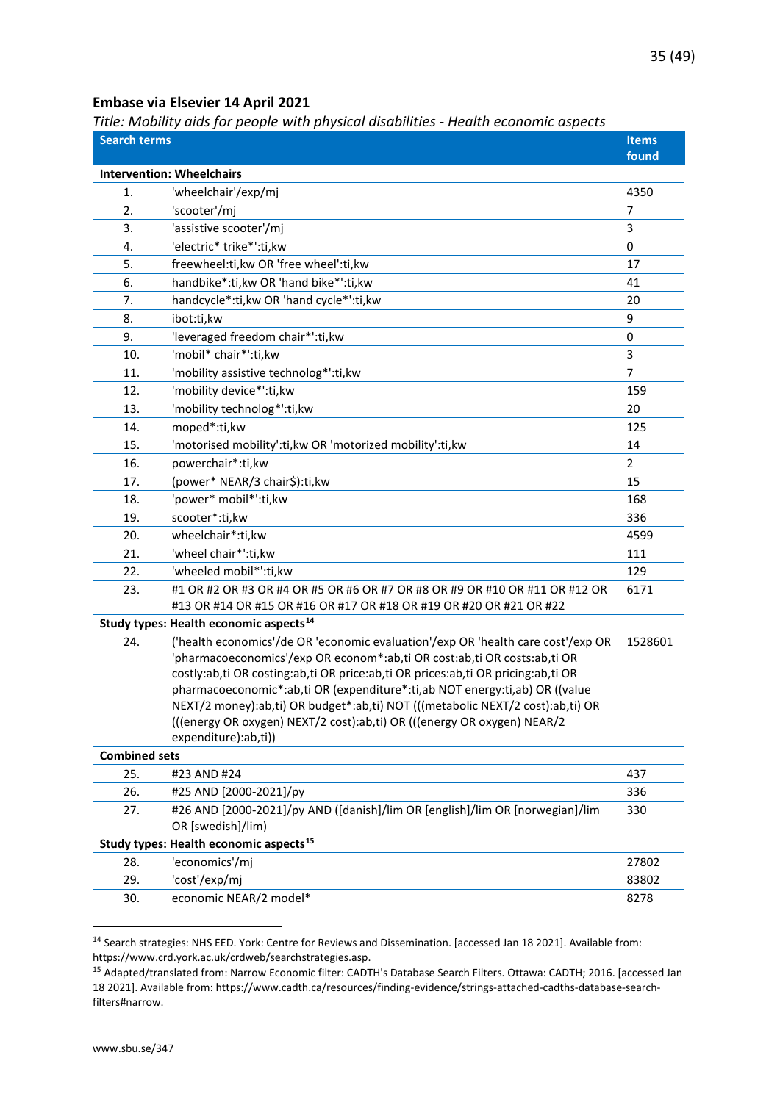#### <span id="page-34-0"></span>**Embase via Elsevier 14 April 2021**

<span id="page-34-1"></span>*Title: Mobility aids for people with physical disabilities - Health economic aspects*

| <b>Search terms</b>  | et mobility and for people with physical alsabilities - Health economic aspects                                                                              | <b>Items</b>   |
|----------------------|--------------------------------------------------------------------------------------------------------------------------------------------------------------|----------------|
|                      |                                                                                                                                                              | found          |
|                      | <b>Intervention: Wheelchairs</b>                                                                                                                             |                |
| 1.                   | 'wheelchair'/exp/mj                                                                                                                                          | 4350           |
| 2.                   | 'scooter'/mj                                                                                                                                                 | $\overline{7}$ |
| 3.                   | 'assistive scooter'/mj                                                                                                                                       | 3              |
| 4.                   | 'electric* trike*':ti,kw                                                                                                                                     | 0              |
| 5.                   | freewheel:ti,kw OR 'free wheel':ti,kw                                                                                                                        | 17             |
| 6.                   | handbike*:ti, kw OR 'hand bike*':ti, kw                                                                                                                      | 41             |
| 7.                   | handcycle*:ti, kw OR 'hand cycle*':ti, kw                                                                                                                    | 20             |
| 8.                   | ibot:ti,kw                                                                                                                                                   | 9              |
| 9.                   | 'leveraged freedom chair*':ti, kw                                                                                                                            | 0              |
| 10.                  | 'mobil* chair*':ti,kw                                                                                                                                        | 3              |
| 11.                  | 'mobility assistive technolog*':ti,kw                                                                                                                        | 7              |
| 12.                  | 'mobility device*':ti,kw                                                                                                                                     | 159            |
| 13.                  | 'mobility technolog*':ti,kw                                                                                                                                  | 20             |
| 14.                  | moped*:ti,kw                                                                                                                                                 | 125            |
| 15.                  | 'motorised mobility':ti, kw OR 'motorized mobility':ti, kw                                                                                                   | 14             |
| 16.                  | powerchair*:ti,kw                                                                                                                                            | 2              |
| 17.                  | (power* NEAR/3 chair\$):ti,kw                                                                                                                                | 15             |
| 18.                  | 'power* mobil*':ti,kw                                                                                                                                        | 168            |
| 19.                  | scooter*:ti,kw                                                                                                                                               | 336            |
| 20.                  | wheelchair*:ti,kw                                                                                                                                            | 4599           |
| 21.                  | 'wheel chair*':ti,kw                                                                                                                                         | 111            |
| 22.                  | 'wheeled mobil*':ti,kw                                                                                                                                       | 129            |
| 23.                  | #1 OR #2 OR #3 OR #4 OR #5 OR #6 OR #7 OR #8 OR #9 OR #10 OR #11 OR #12 OR                                                                                   | 6171           |
|                      | #13 OR #14 OR #15 OR #16 OR #17 OR #18 OR #19 OR #20 OR #21 OR #22                                                                                           |                |
|                      | Study types: Health economic aspects <sup>14</sup>                                                                                                           |                |
| 24.                  | ('health economics'/de OR 'economic evaluation'/exp OR 'health care cost'/exp OR                                                                             | 1528601        |
|                      | 'pharmacoeconomics'/exp OR econom*:ab,ti OR cost:ab,ti OR costs:ab,ti OR<br>costly:ab,ti OR costing:ab,ti OR price:ab,ti OR prices:ab,ti OR pricing:ab,ti OR |                |
|                      | pharmacoeconomic*:ab,ti OR (expenditure*:ti,ab NOT energy:ti,ab) OR ((value                                                                                  |                |
|                      | NEXT/2 money):ab,ti) OR budget*:ab,ti) NOT (((metabolic NEXT/2 cost):ab,ti) OR                                                                               |                |
|                      | (((energy OR oxygen) NEXT/2 cost):ab,ti) OR (((energy OR oxygen) NEAR/2                                                                                      |                |
|                      | expenditure):ab,ti))                                                                                                                                         |                |
| <b>Combined sets</b> |                                                                                                                                                              |                |
| 25.                  | #23 AND #24                                                                                                                                                  | 437            |
| 26.                  | #25 AND [2000-2021]/py                                                                                                                                       | 336            |
| 27.                  | #26 AND [2000-2021]/py AND ([danish]/lim OR [english]/lim OR [norwegian]/lim                                                                                 | 330            |
|                      | OR [swedish]/lim)                                                                                                                                            |                |
|                      | Study types: Health economic aspects <sup>15</sup>                                                                                                           |                |
| 28.                  | 'economics'/mj                                                                                                                                               | 27802          |
| 29.                  | 'cost'/exp/mj                                                                                                                                                | 83802          |
| 30.                  | economic NEAR/2 model*                                                                                                                                       | 8278           |

<span id="page-34-2"></span><sup>14</sup> Search strategies: NHS EED. York: Centre for Reviews and Dissemination. [accessed Jan 18 2021]. Available from: https://www.crd.york.ac.uk/crdweb/searchstrategies.asp.

<span id="page-34-3"></span><sup>15</sup> Adapted/translated from: Narrow Economic filter: CADTH's Database Search Filters. Ottawa: CADTH; 2016. [accessed Jan 18 2021]. Available from: https://www.cadth.ca/resources/finding-evidence/strings-attached-cadths-database-searchfilters#narrow.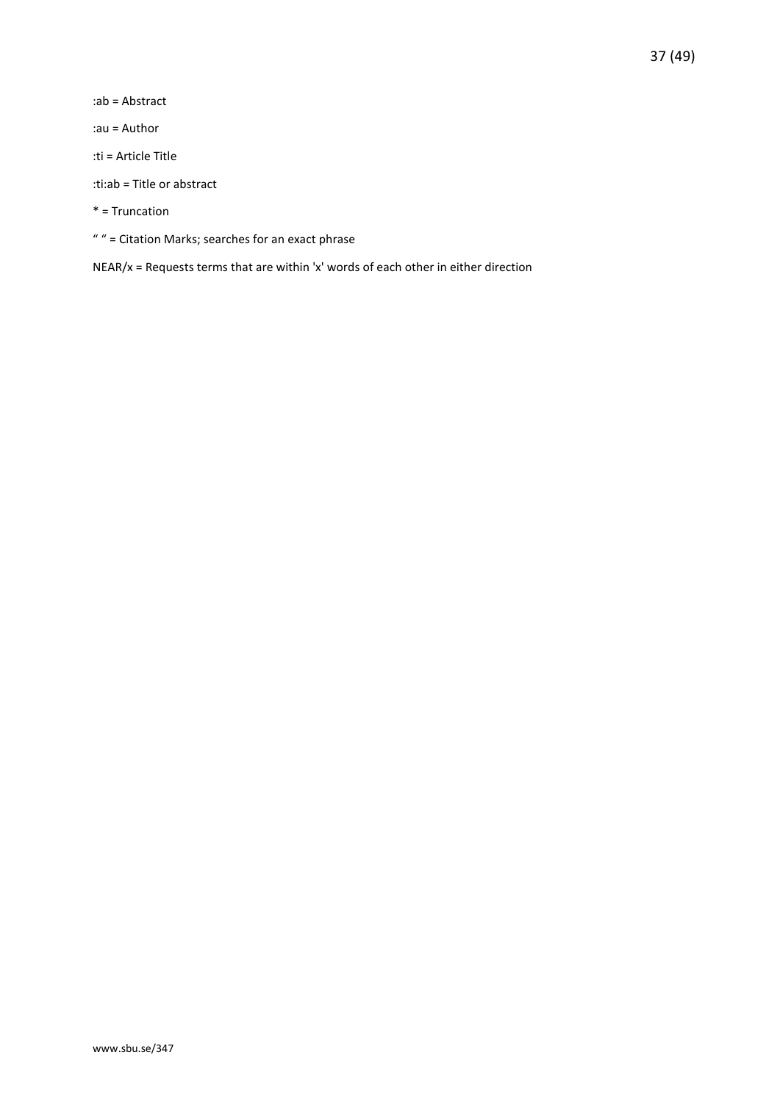:ab = Abstract

:au = Author

:ti = Article Title

:ti:ab = Title or abstract

\* = Truncation

" " = Citation Marks; searches for an exact phrase

NEAR/x = Requests terms that are within 'x' words of each other in either direction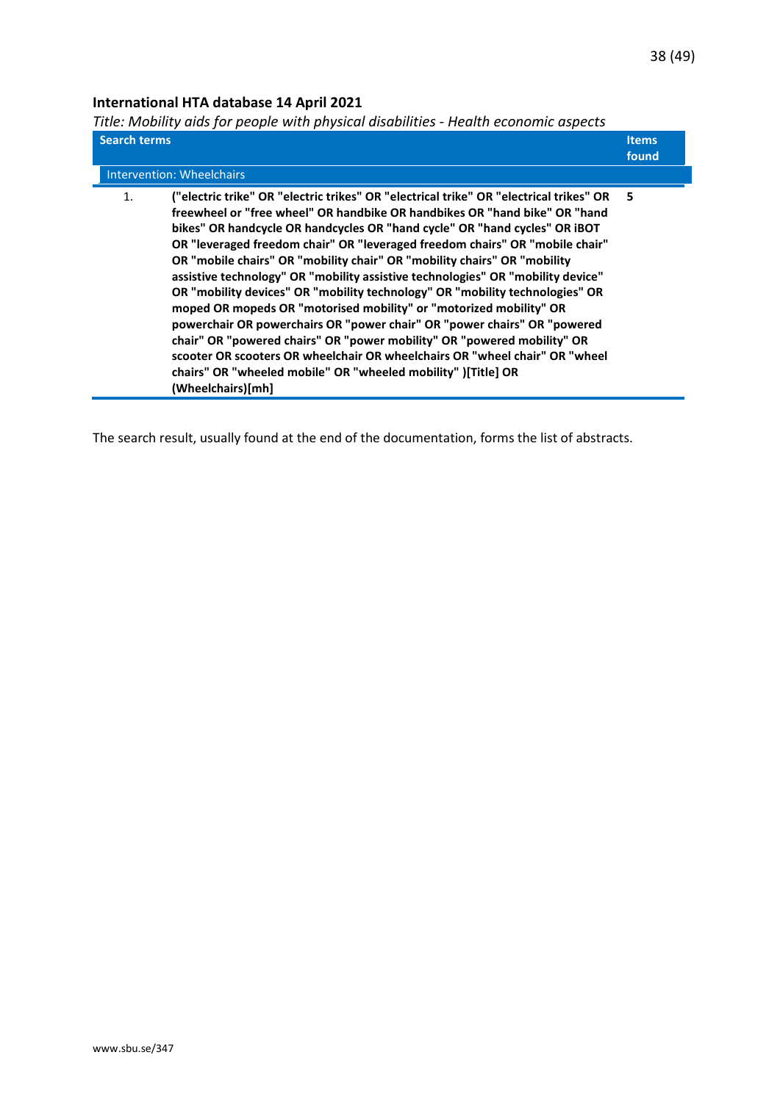## <span id="page-37-0"></span>**International HTA database 14 April 2021**

<span id="page-37-1"></span>*Title: Mobility aids for people with physical disabilities - Health economic aspects*

| <b>Search terms</b>                                                                                                                                                                                                                                                                                                                                                                                                                                                                                                                                                                                                                                                                                                                                                                                                                                                                                                                                                                                   | <b>Items</b> |
|-------------------------------------------------------------------------------------------------------------------------------------------------------------------------------------------------------------------------------------------------------------------------------------------------------------------------------------------------------------------------------------------------------------------------------------------------------------------------------------------------------------------------------------------------------------------------------------------------------------------------------------------------------------------------------------------------------------------------------------------------------------------------------------------------------------------------------------------------------------------------------------------------------------------------------------------------------------------------------------------------------|--------------|
| <b>Intervention: Wheelchairs</b>                                                                                                                                                                                                                                                                                                                                                                                                                                                                                                                                                                                                                                                                                                                                                                                                                                                                                                                                                                      | found        |
| ("electric trike" OR "electric trikes" OR "electrical trike" OR "electrical trikes" OR<br>$\mathbf{1}$ .<br>freewheel or "free wheel" OR handbike OR handbikes OR "hand bike" OR "hand<br>bikes" OR handcycle OR handcycles OR "hand cycle" OR "hand cycles" OR iBOT<br>OR "leveraged freedom chair" OR "leveraged freedom chairs" OR "mobile chair"<br>OR "mobile chairs" OR "mobility chair" OR "mobility chairs" OR "mobility<br>assistive technology" OR "mobility assistive technologies" OR "mobility device"<br>OR "mobility devices" OR "mobility technology" OR "mobility technologies" OR<br>moped OR mopeds OR "motorised mobility" or "motorized mobility" OR<br>powerchair OR powerchairs OR "power chair" OR "power chairs" OR "powered<br>chair" OR "powered chairs" OR "power mobility" OR "powered mobility" OR<br>scooter OR scooters OR wheelchair OR wheelchairs OR "wheel chair" OR "wheel<br>chairs" OR "wheeled mobile" OR "wheeled mobility" )[Title] OR<br>(Wheelchairs)[mh] | - 5          |

The search result, usually found at the end of the documentation, forms the list of abstracts.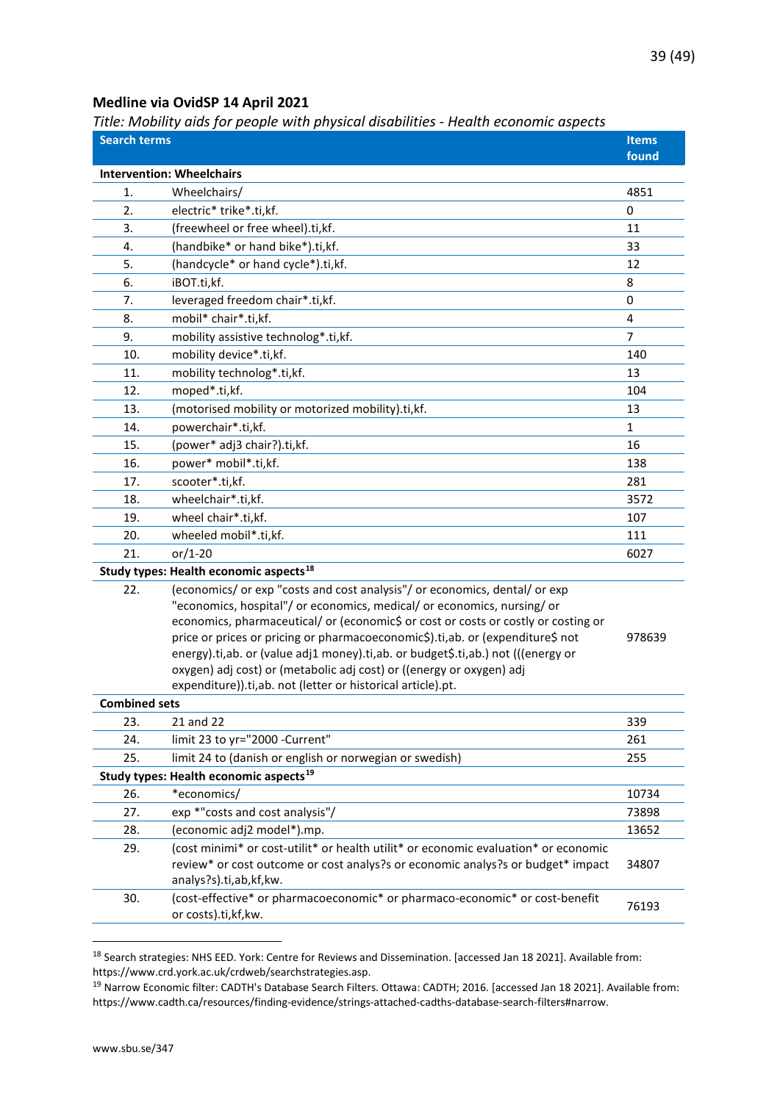#### <span id="page-38-0"></span>**Medline via OvidSP 14 April 2021**

<span id="page-38-1"></span>*Title: Mobility aids for people with physical disabilities - Health economic aspects*

| <b>Search terms</b>  | ritic. Mobility and for people with physical disabilities - ricalin economic aspects                                                | <b>Items</b> |
|----------------------|-------------------------------------------------------------------------------------------------------------------------------------|--------------|
|                      |                                                                                                                                     | found        |
|                      | <b>Intervention: Wheelchairs</b>                                                                                                    |              |
| 1.                   | Wheelchairs/                                                                                                                        | 4851         |
| 2.                   | electric* trike*.ti,kf.                                                                                                             | 0            |
| 3.                   | (freewheel or free wheel).ti,kf.                                                                                                    | 11           |
| 4.                   | (handbike* or hand bike*).ti,kf.                                                                                                    | 33           |
| 5.                   | (handcycle* or hand cycle*).ti,kf.                                                                                                  | 12           |
| 6.                   | iBOT.ti,kf.                                                                                                                         | 8            |
| 7.                   | leveraged freedom chair*.ti,kf.                                                                                                     | 0            |
| 8.                   | mobil* chair*.ti,kf.                                                                                                                | 4            |
| 9.                   | mobility assistive technolog*.ti,kf.                                                                                                | 7            |
| 10.                  | mobility device*.ti,kf.                                                                                                             | 140          |
| 11.                  | mobility technolog*.ti,kf.                                                                                                          | 13           |
| 12.                  | moped*.ti,kf.                                                                                                                       | 104          |
| 13.                  | (motorised mobility or motorized mobility).ti,kf.                                                                                   | 13           |
| 14.                  | powerchair*.ti,kf.                                                                                                                  | $\mathbf{1}$ |
| 15.                  | (power* adj3 chair?).ti,kf.                                                                                                         | 16           |
| 16.                  | power* mobil*.ti,kf.                                                                                                                | 138          |
| 17.                  | scooter*.ti,kf.                                                                                                                     | 281          |
| 18.                  | wheelchair*.ti,kf.                                                                                                                  | 3572         |
| 19.                  | wheel chair*.ti,kf.                                                                                                                 | 107          |
| 20.                  | wheeled mobil*.ti,kf.                                                                                                               | 111          |
| 21.                  | $or/1-20$                                                                                                                           | 6027         |
|                      | Study types: Health economic aspects <sup>18</sup>                                                                                  |              |
| 22.                  | (economics/ or exp "costs and cost analysis"/ or economics, dental/ or exp                                                          |              |
|                      | "economics, hospital"/ or economics, medical/ or economics, nursing/ or                                                             |              |
|                      | economics, pharmaceutical/ or (economic\$ or cost or costs or costly or costing or                                                  |              |
|                      | price or prices or pricing or pharmacoeconomic\$).ti,ab. or (expenditure\$ not                                                      | 978639       |
|                      | energy).ti,ab. or (value adj1 money).ti,ab. or budget\$.ti,ab.) not (((energy or                                                    |              |
|                      | oxygen) adj cost) or (metabolic adj cost) or ((energy or oxygen) adj<br>expenditure)).ti,ab. not (letter or historical article).pt. |              |
| <b>Combined sets</b> |                                                                                                                                     |              |
| 23.                  | 21 and 22                                                                                                                           | 339          |
| 24.                  | limit 23 to yr="2000 -Current"                                                                                                      | 261          |
| 25.                  | limit 24 to (danish or english or norwegian or swedish)                                                                             | 255          |
|                      | Study types: Health economic aspects <sup>19</sup>                                                                                  |              |
| 26.                  | *economics/                                                                                                                         | 10734        |
| 27.                  | exp *"costs and cost analysis"/                                                                                                     | 73898        |
| 28.                  | (economic adj2 model*).mp.                                                                                                          | 13652        |
| 29.                  | (cost minimi* or cost-utilit* or health utilit* or economic evaluation* or economic                                                 |              |
|                      | review* or cost outcome or cost analys?s or economic analys?s or budget* impact                                                     | 34807        |
|                      | analys?s).ti,ab,kf,kw.                                                                                                              |              |
| 30.                  | (cost-effective* or pharmacoeconomic* or pharmaco-economic* or cost-benefit                                                         | 76193        |
|                      | or costs).ti,kf,kw.                                                                                                                 |              |

<span id="page-38-2"></span><sup>18</sup> Search strategies: NHS EED. York: Centre for Reviews and Dissemination. [accessed Jan 18 2021]. Available from: https://www.crd.york.ac.uk/crdweb/searchstrategies.asp.

<span id="page-38-3"></span><sup>19</sup> Narrow Economic filter: CADTH's Database Search Filters. Ottawa: CADTH; 2016. [accessed Jan 18 2021]. Available from: https://www.cadth.ca/resources/finding-evidence/strings-attached-cadths-database-search-filters#narrow.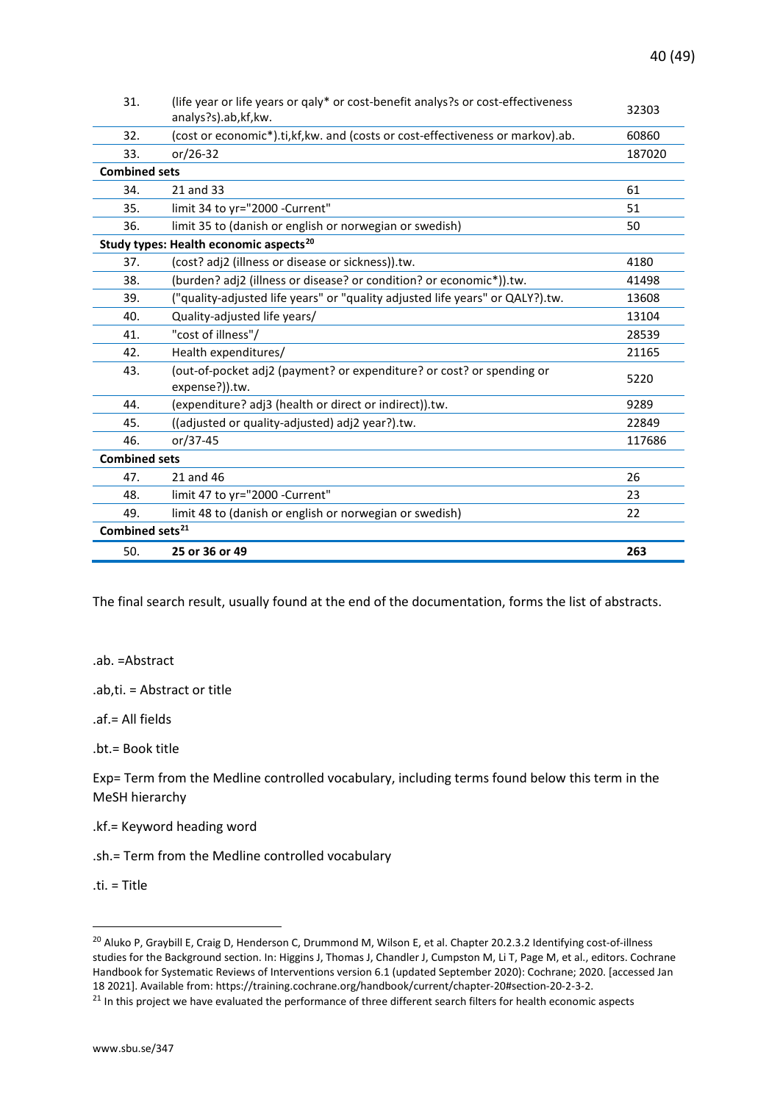| 31.                         | (life year or life years or qaly* or cost-benefit analys?s or cost-effectiveness<br>analys?s).ab,kf,kw. | 32303  |  |
|-----------------------------|---------------------------------------------------------------------------------------------------------|--------|--|
| 32.                         | (cost or economic*).ti, kf, kw. and (costs or cost-effectiveness or markov).ab.                         | 60860  |  |
| 33.                         | or/26-32                                                                                                | 187020 |  |
| <b>Combined sets</b>        |                                                                                                         |        |  |
| 34.                         | 21 and 33                                                                                               | 61     |  |
| 35.                         | limit 34 to yr="2000 -Current"                                                                          | 51     |  |
| 36.                         | limit 35 to (danish or english or norwegian or swedish)                                                 | 50     |  |
|                             | Study types: Health economic aspects <sup>20</sup>                                                      |        |  |
| 37.                         | (cost? adj2 (illness or disease or sickness)).tw.                                                       | 4180   |  |
| 38.                         | (burden? adj2 (illness or disease? or condition? or economic*)).tw.                                     | 41498  |  |
| 39.                         | ("quality-adjusted life years" or "quality adjusted life years" or QALY?).tw.                           | 13608  |  |
| 40.                         | Quality-adjusted life years/                                                                            | 13104  |  |
| 41.                         | "cost of illness"/                                                                                      | 28539  |  |
| 42.                         | Health expenditures/                                                                                    | 21165  |  |
| 43.                         | (out-of-pocket adj2 (payment? or expenditure? or cost? or spending or<br>expense?)).tw.                 | 5220   |  |
| 44.                         | (expenditure? adj3 (health or direct or indirect)).tw.                                                  | 9289   |  |
| 45.                         | ((adjusted or quality-adjusted) adj2 year?).tw.                                                         | 22849  |  |
| 46.                         | or/37-45                                                                                                | 117686 |  |
| <b>Combined sets</b>        |                                                                                                         |        |  |
| 47.                         | 21 and 46                                                                                               | 26     |  |
| 48.                         | limit 47 to yr="2000 -Current"                                                                          | 23     |  |
| 49.                         | limit 48 to (danish or english or norwegian or swedish)                                                 | 22     |  |
| Combined sets <sup>21</sup> |                                                                                                         |        |  |
| 50.                         | 25 or 36 or 49                                                                                          | 263    |  |

The final search result, usually found at the end of the documentation, forms the list of abstracts.

.ab. =Abstract

.ab,ti. = Abstract or title

.af.= All fields

.bt.= Book title

Exp= Term from the Medline controlled vocabulary, including terms found below this term in the MeSH hierarchy

.kf.= Keyword heading word

.sh.= Term from the Medline controlled vocabulary

.ti. = Title

<span id="page-39-0"></span><sup>&</sup>lt;sup>20</sup> Aluko P, Graybill E, Craig D, Henderson C, Drummond M, Wilson E, et al. Chapter 20.2.3.2 Identifying cost-of-illness studies for the Background section. In: Higgins J, Thomas J, Chandler J, Cumpston M, Li T, Page M, et al., editors. Cochrane Handbook for Systematic Reviews of Interventions version 6.1 (updated September 2020): Cochrane; 2020. [accessed Jan 18 2021]. Available from: https://training.cochrane.org/handbook/current/chapter-20#section-20-2-3-2.

<span id="page-39-1"></span><sup>&</sup>lt;sup>21</sup> In this project we have evaluated the performance of three different search filters for health economic aspects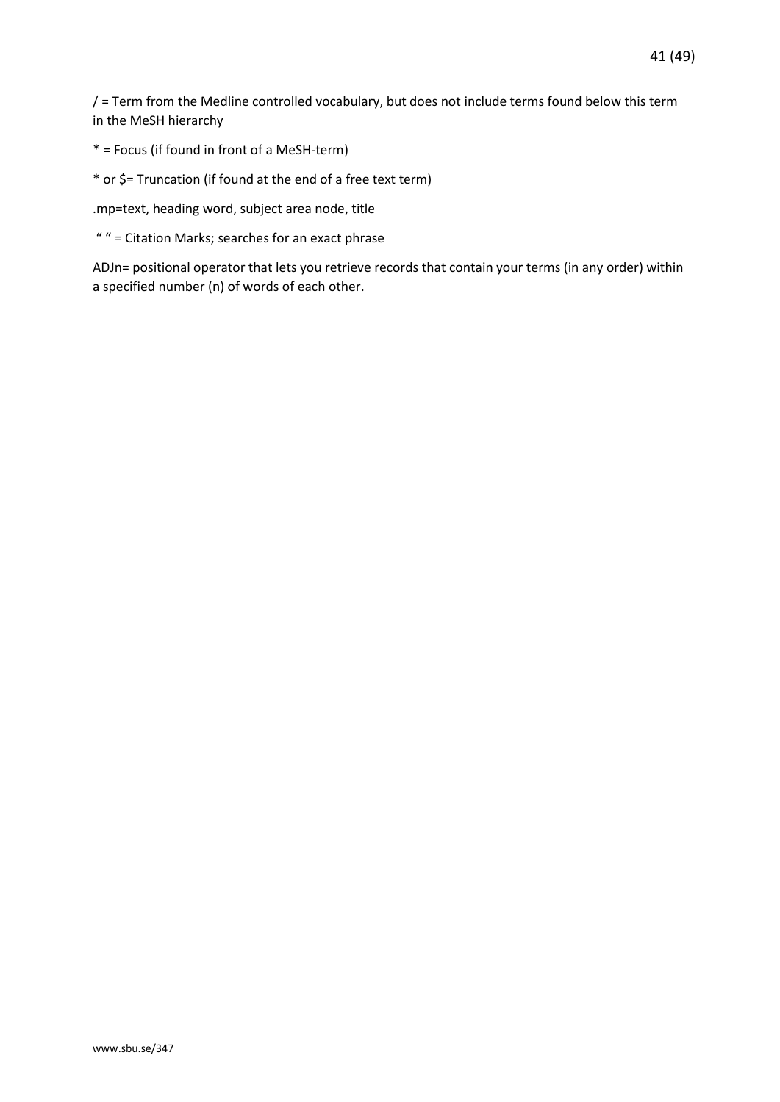/ = Term from the Medline controlled vocabulary, but does not include terms found below this term in the MeSH hierarchy

\* = Focus (if found in front of a MeSH-term)

\* or \$= Truncation (if found at the end of a free text term)

.mp=text, heading word, subject area node, title

" " = Citation Marks; searches for an exact phrase

ADJn= positional operator that lets you retrieve records that contain your terms (in any order) within a specified number (n) of words of each other.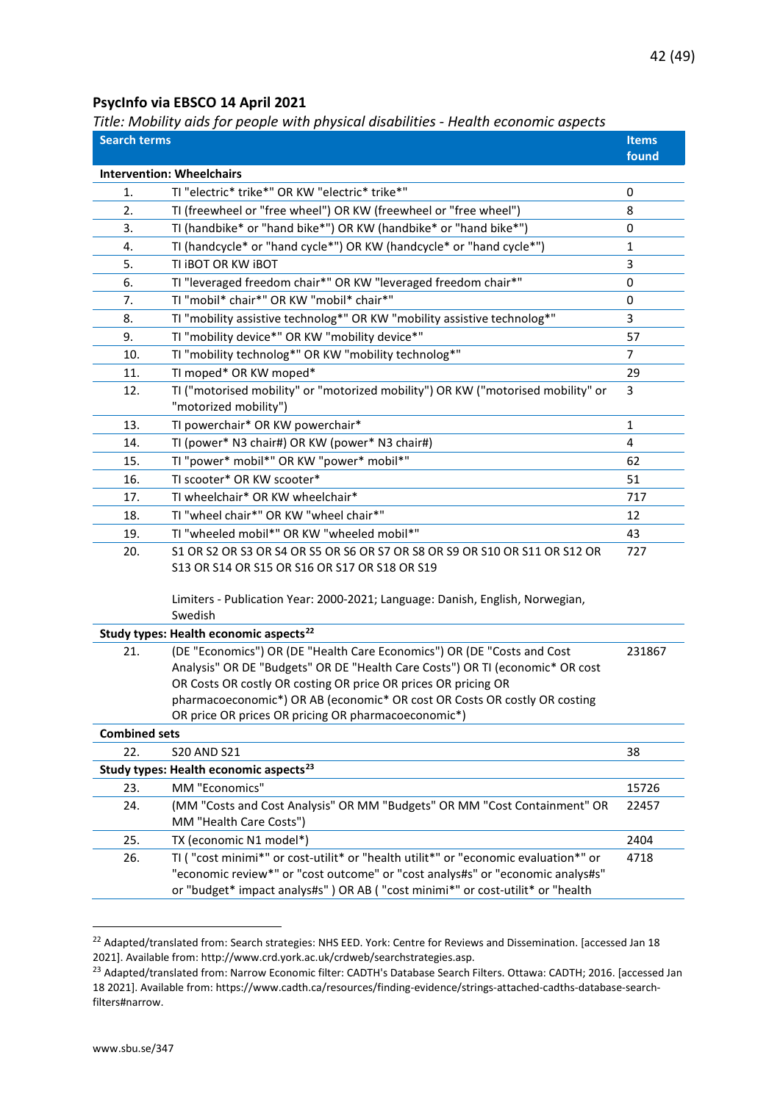#### <span id="page-41-0"></span>**PsycInfo via EBSCO 14 April 2021**

<span id="page-41-1"></span>*Title: Mobility aids for people with physical disabilities - Health economic aspects*

| <b>Search terms</b>  | rice: mobility and for people with physical alsabilities - ricalth economic aspects                                                                                                                                                                                                                                                                                         | <b>Items</b> |
|----------------------|-----------------------------------------------------------------------------------------------------------------------------------------------------------------------------------------------------------------------------------------------------------------------------------------------------------------------------------------------------------------------------|--------------|
|                      |                                                                                                                                                                                                                                                                                                                                                                             | found        |
|                      | <b>Intervention: Wheelchairs</b>                                                                                                                                                                                                                                                                                                                                            |              |
| 1.                   | TI "electric* trike*" OR KW "electric* trike*"                                                                                                                                                                                                                                                                                                                              | 0            |
| 2.                   | TI (freewheel or "free wheel") OR KW (freewheel or "free wheel")                                                                                                                                                                                                                                                                                                            | 8            |
| 3.                   | TI (handbike* or "hand bike*") OR KW (handbike* or "hand bike*")                                                                                                                                                                                                                                                                                                            | 0            |
| 4.                   | TI (handcycle* or "hand cycle*") OR KW (handcycle* or "hand cycle*")                                                                                                                                                                                                                                                                                                        | $\mathbf{1}$ |
| 5.                   | TI IBOT OR KW IBOT                                                                                                                                                                                                                                                                                                                                                          | 3            |
| 6.                   | TI "leveraged freedom chair*" OR KW "leveraged freedom chair*"                                                                                                                                                                                                                                                                                                              | 0            |
| 7.                   | TI "mobil* chair*" OR KW "mobil* chair*"                                                                                                                                                                                                                                                                                                                                    | 0            |
| 8.                   | TI "mobility assistive technolog*" OR KW "mobility assistive technolog*"                                                                                                                                                                                                                                                                                                    | 3            |
| 9.                   | TI "mobility device*" OR KW "mobility device*"                                                                                                                                                                                                                                                                                                                              | 57           |
| 10.                  | TI "mobility technolog*" OR KW "mobility technolog*"                                                                                                                                                                                                                                                                                                                        | 7            |
| 11.                  | TI moped* OR KW moped*                                                                                                                                                                                                                                                                                                                                                      | 29           |
| 12.                  | TI ("motorised mobility" or "motorized mobility") OR KW ("motorised mobility" or<br>"motorized mobility")                                                                                                                                                                                                                                                                   | 3            |
| 13.                  | TI powerchair* OR KW powerchair*                                                                                                                                                                                                                                                                                                                                            | 1            |
| 14.                  | TI (power* N3 chair#) OR KW (power* N3 chair#)                                                                                                                                                                                                                                                                                                                              | 4            |
| 15.                  | TI "power* mobil*" OR KW "power* mobil*"                                                                                                                                                                                                                                                                                                                                    | 62           |
| 16.                  | TI scooter* OR KW scooter*                                                                                                                                                                                                                                                                                                                                                  | 51           |
| 17.                  | TI wheelchair* OR KW wheelchair*                                                                                                                                                                                                                                                                                                                                            | 717          |
| 18.                  | TI "wheel chair*" OR KW "wheel chair*"                                                                                                                                                                                                                                                                                                                                      |              |
| 19.                  | TI "wheeled mobil*" OR KW "wheeled mobil*"                                                                                                                                                                                                                                                                                                                                  | 43           |
| 20.                  | S1 OR S2 OR S3 OR S4 OR S5 OR S6 OR S7 OR S8 OR S9 OR S10 OR S11 OR S12 OR<br>S13 OR S14 OR S15 OR S16 OR S17 OR S18 OR S19                                                                                                                                                                                                                                                 | 727          |
|                      | Limiters - Publication Year: 2000-2021; Language: Danish, English, Norwegian,<br>Swedish                                                                                                                                                                                                                                                                                    |              |
|                      | Study types: Health economic aspects <sup>22</sup>                                                                                                                                                                                                                                                                                                                          |              |
| 21.                  | (DE "Economics") OR (DE "Health Care Economics") OR (DE "Costs and Cost<br>Analysis" OR DE "Budgets" OR DE "Health Care Costs") OR TI (economic* OR cost<br>OR Costs OR costly OR costing OR price OR prices OR pricing OR<br>pharmacoeconomic*) OR AB (economic* OR cost OR Costs OR costly OR costing<br>OR price OR prices OR pricing OR pharmacoeconomic <sup>*</sup> ) | 231867       |
| <b>Combined sets</b> |                                                                                                                                                                                                                                                                                                                                                                             |              |
| 22.                  | <b>S20 AND S21</b>                                                                                                                                                                                                                                                                                                                                                          | 38           |
|                      | Study types: Health economic aspects <sup>23</sup>                                                                                                                                                                                                                                                                                                                          |              |
| 23.                  | MM "Economics"                                                                                                                                                                                                                                                                                                                                                              | 15726        |
| 24.                  | (MM "Costs and Cost Analysis" OR MM "Budgets" OR MM "Cost Containment" OR<br>MM "Health Care Costs")                                                                                                                                                                                                                                                                        | 22457        |
| 25.                  | TX (economic N1 model*)                                                                                                                                                                                                                                                                                                                                                     | 2404         |
| 26.                  | TI ("cost minimi*" or cost-utilit* or "health utilit*" or "economic evaluation*" or<br>"economic review*" or "cost outcome" or "cost analys#s" or "economic analys#s"<br>or "budget* impact analys#s" ) OR AB ( "cost minimi*" or cost-utilit* or "health                                                                                                                   | 4718         |

<span id="page-41-2"></span><sup>&</sup>lt;sup>22</sup> Adapted/translated from: Search strategies: NHS EED. York: Centre for Reviews and Dissemination. [accessed Jan 18 2021]. Available from: http://www.crd.york.ac.uk/crdweb/searchstrategies.asp.

<span id="page-41-3"></span><sup>&</sup>lt;sup>23</sup> Adapted/translated from: Narrow Economic filter: CADTH's Database Search Filters. Ottawa: CADTH; 2016. [accessed Jan 18 2021]. Available from: https://www.cadth.ca/resources/finding-evidence/strings-attached-cadths-database-searchfilters#narrow.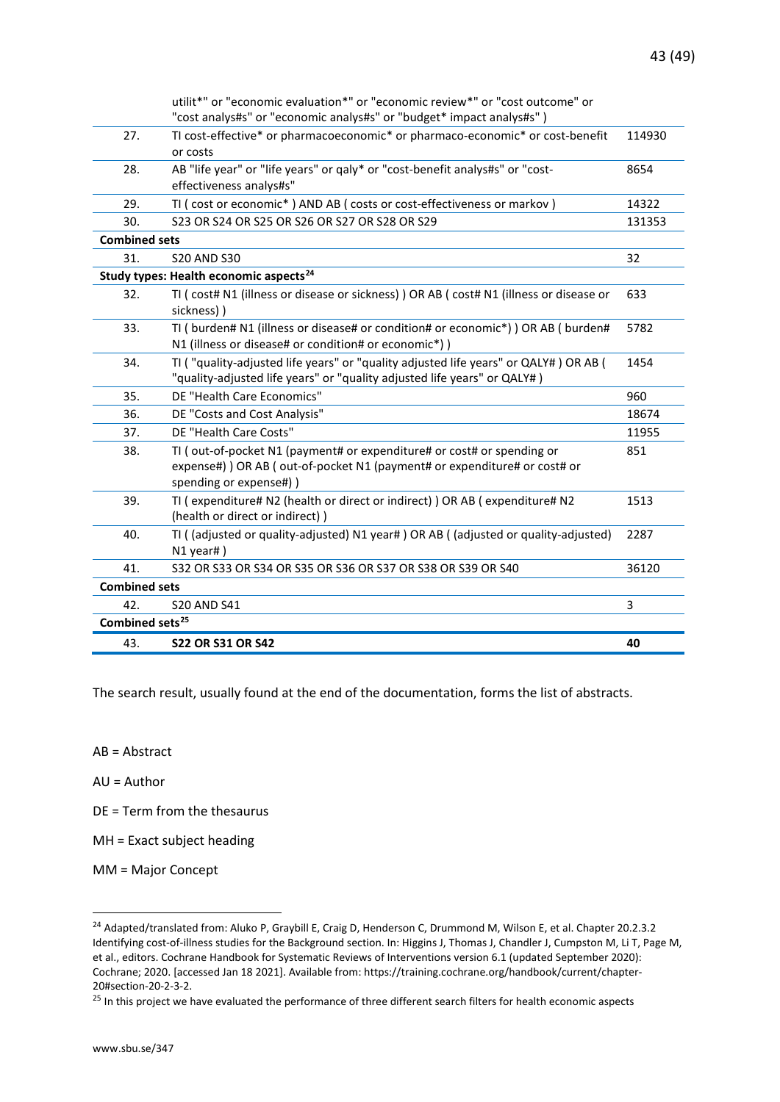|                             | utilit*" or "economic evaluation*" or "economic review*" or "cost outcome" or<br>"cost analys#s" or "economic analys#s" or "budget* impact analys#s")                           |        |
|-----------------------------|---------------------------------------------------------------------------------------------------------------------------------------------------------------------------------|--------|
| 27.                         | TI cost-effective* or pharmacoeconomic* or pharmaco-economic* or cost-benefit<br>or costs                                                                                       | 114930 |
| 28.                         | AB "life year" or "life years" or qaly* or "cost-benefit analys#s" or "cost-<br>effectiveness analys#s"                                                                         | 8654   |
| 29.                         | TI ( cost or economic*) AND AB ( costs or cost-effectiveness or markov )                                                                                                        | 14322  |
| 30.                         | S23 OR S24 OR S25 OR S26 OR S27 OR S28 OR S29                                                                                                                                   | 131353 |
| <b>Combined sets</b>        |                                                                                                                                                                                 |        |
| 31.                         | <b>S20 AND S30</b>                                                                                                                                                              | 32     |
|                             | Study types: Health economic aspects <sup>24</sup>                                                                                                                              |        |
| 32.                         | TI ( cost# N1 (illness or disease or sickness) ) OR AB ( cost# N1 (illness or disease or<br>sickness))                                                                          | 633    |
| 33.                         | TI ( burden# N1 (illness or disease# or condition# or economic*) ) OR AB ( burden#<br>N1 (illness or disease# or condition# or economic*))                                      | 5782   |
| 34.                         | TI ("quality-adjusted life years" or "quality adjusted life years" or QALY#) OR AB (<br>"quality-adjusted life years" or "quality adjusted life years" or QALY#)                | 1454   |
| 35.                         | DE "Health Care Economics"                                                                                                                                                      | 960    |
| 36.                         | DE "Costs and Cost Analysis"                                                                                                                                                    | 18674  |
| 37.                         | DE "Health Care Costs"                                                                                                                                                          | 11955  |
| 38.                         | TI (out-of-pocket N1 (payment# or expenditure# or cost# or spending or<br>expense#) ) OR AB ( out-of-pocket N1 (payment# or expenditure# or cost# or<br>spending or expense#) ) | 851    |
| 39.                         | TI ( expenditure# N2 (health or direct or indirect) ) OR AB ( expenditure# N2<br>(health or direct or indirect))                                                                | 1513   |
| 40.                         | TI ((adjusted or quality-adjusted) N1 year#) OR AB ((adjusted or quality-adjusted)<br>N1 year#)                                                                                 | 2287   |
| 41.                         | \$32 OR \$33 OR \$34 OR \$35 OR \$36 OR \$37 OR \$38 OR \$39 OR \$40                                                                                                            | 36120  |
| <b>Combined sets</b>        |                                                                                                                                                                                 |        |
| 42.                         | <b>S20 AND S41</b>                                                                                                                                                              | 3      |
| Combined sets <sup>25</sup> |                                                                                                                                                                                 |        |
| 43.                         | <b>S22 OR S31 OR S42</b>                                                                                                                                                        | 40     |

The search result, usually found at the end of the documentation, forms the list of abstracts.

AB = Abstract

AU = Author

DE = Term from the thesaurus

MH = Exact subject heading

MM = Major Concept

<span id="page-42-0"></span><sup>&</sup>lt;sup>24</sup> Adapted/translated from: Aluko P, Graybill E, Craig D, Henderson C, Drummond M, Wilson E, et al. Chapter 20.2.3.2 Identifying cost-of-illness studies for the Background section. In: Higgins J, Thomas J, Chandler J, Cumpston M, Li T, Page M, et al., editors. Cochrane Handbook for Systematic Reviews of Interventions version 6.1 (updated September 2020): Cochrane; 2020. [accessed Jan 18 2021]. Available from: https://training.cochrane.org/handbook/current/chapter-20#section-20-2-3-2.

<span id="page-42-1"></span><sup>&</sup>lt;sup>25</sup> In this project we have evaluated the performance of three different search filters for health economic aspects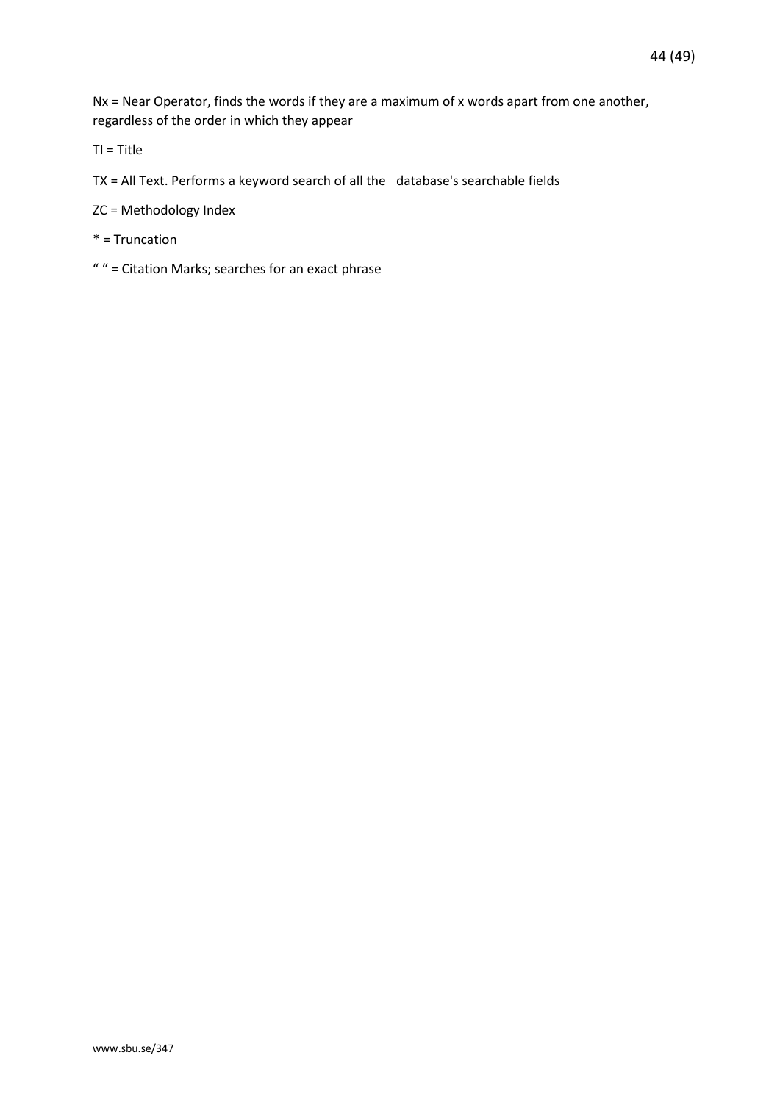Nx = Near Operator, finds the words if they are a maximum of x words apart from one another, regardless of the order in which they appear

TI = Title

- TX = All Text. Performs a keyword search of all the database's searchable fields
- ZC = Methodology Index
- \* = Truncation
- " " = Citation Marks; searches for an exact phrase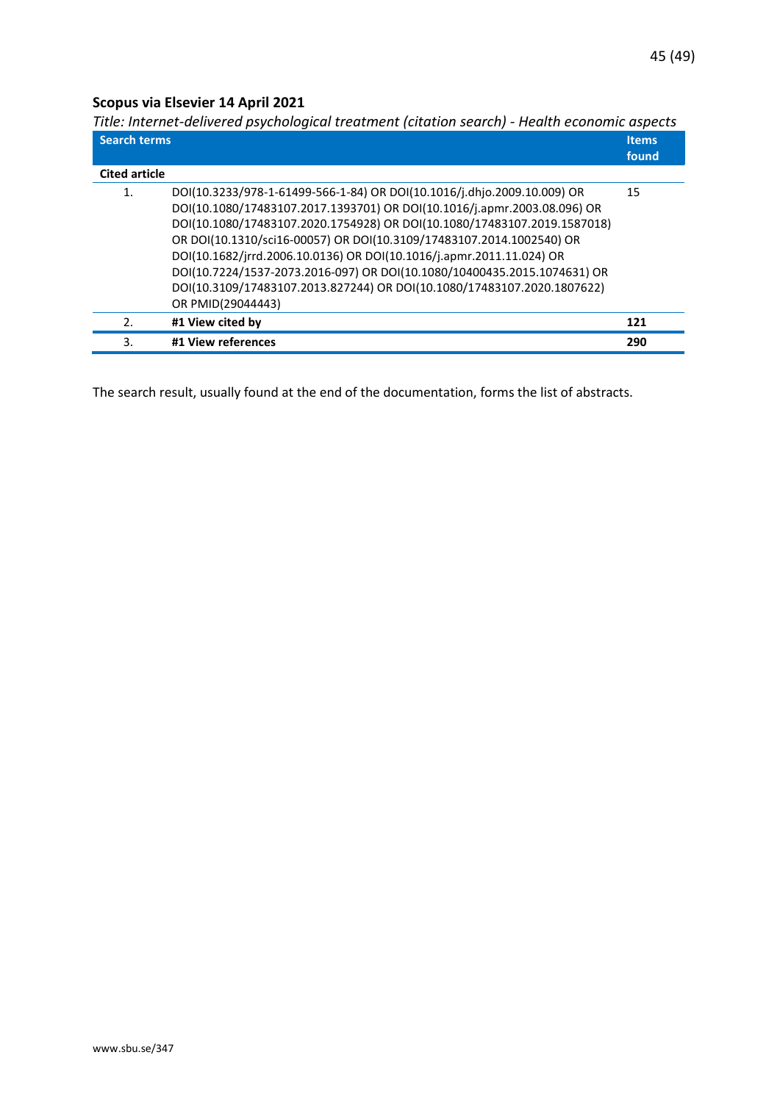## <span id="page-44-0"></span>**Scopus via Elsevier 14 April 2021**

<span id="page-44-1"></span>*Title: Internet-delivered psychological treatment (citation search) - Health economic aspects*

| <b>Search terms</b>  |                                                                          | <b>Items</b><br>found |
|----------------------|--------------------------------------------------------------------------|-----------------------|
| <b>Cited article</b> |                                                                          |                       |
| 1.                   | DOI(10.3233/978-1-61499-566-1-84) OR DOI(10.1016/j.dhjo.2009.10.009) OR  | 15                    |
|                      | DOI(10.1080/17483107.2017.1393701) OR DOI(10.1016/j.apmr.2003.08.096) OR |                       |
|                      | DOI(10.1080/17483107.2020.1754928) OR DOI(10.1080/17483107.2019.1587018) |                       |
|                      | OR DOI(10.1310/sci16-00057) OR DOI(10.3109/17483107.2014.1002540) OR     |                       |
|                      | DOI(10.1682/jrrd.2006.10.0136) OR DOI(10.1016/j.apmr.2011.11.024) OR     |                       |
|                      | DOI(10.7224/1537-2073.2016-097) OR DOI(10.1080/10400435.2015.1074631) OR |                       |
|                      | DOI(10.3109/17483107.2013.827244) OR DOI(10.1080/17483107.2020.1807622)  |                       |
|                      | OR PMID(29044443)                                                        |                       |
| 2.                   | #1 View cited by                                                         | 121                   |
| 3.                   | #1 View references                                                       | 290                   |

The search result, usually found at the end of the documentation, forms the list of abstracts.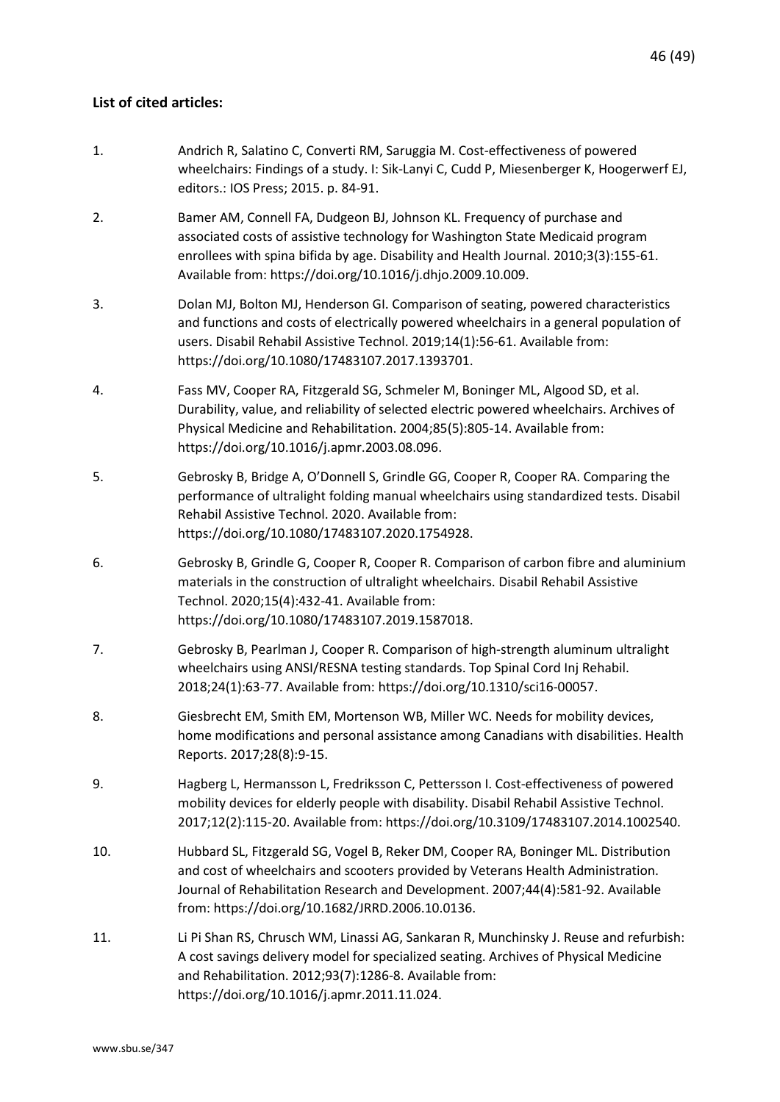#### <span id="page-45-0"></span>**List of cited articles:**

- 1. Andrich R, Salatino C, Converti RM, Saruggia M. Cost-effectiveness of powered wheelchairs: Findings of a study. I: Sik-Lanyi C, Cudd P, Miesenberger K, Hoogerwerf EJ, editors.: IOS Press; 2015. p. 84-91.
- 2. Bamer AM, Connell FA, Dudgeon BJ, Johnson KL. Frequency of purchase and associated costs of assistive technology for Washington State Medicaid program enrollees with spina bifida by age. Disability and Health Journal. 2010;3(3):155-61. Available from: https://doi.org/10.1016/j.dhjo.2009.10.009.
- 3. Dolan MJ, Bolton MJ, Henderson GI. Comparison of seating, powered characteristics and functions and costs of electrically powered wheelchairs in a general population of users. Disabil Rehabil Assistive Technol. 2019;14(1):56-61. Available from: https://doi.org/10.1080/17483107.2017.1393701.
- 4. Fass MV, Cooper RA, Fitzgerald SG, Schmeler M, Boninger ML, Algood SD, et al. Durability, value, and reliability of selected electric powered wheelchairs. Archives of Physical Medicine and Rehabilitation. 2004;85(5):805-14. Available from: https://doi.org/10.1016/j.apmr.2003.08.096.
- 5. Gebrosky B, Bridge A, O'Donnell S, Grindle GG, Cooper R, Cooper RA. Comparing the performance of ultralight folding manual wheelchairs using standardized tests. Disabil Rehabil Assistive Technol. 2020. Available from: https://doi.org/10.1080/17483107.2020.1754928.
- 6. Gebrosky B, Grindle G, Cooper R, Cooper R. Comparison of carbon fibre and aluminium materials in the construction of ultralight wheelchairs. Disabil Rehabil Assistive Technol. 2020;15(4):432-41. Available from: https://doi.org/10.1080/17483107.2019.1587018.
- 7. Gebrosky B, Pearlman J, Cooper R. Comparison of high-strength aluminum ultralight wheelchairs using ANSI/RESNA testing standards. Top Spinal Cord Inj Rehabil. 2018;24(1):63-77. Available from: https://doi.org/10.1310/sci16-00057.
- 8. Giesbrecht EM, Smith EM, Mortenson WB, Miller WC. Needs for mobility devices, home modifications and personal assistance among Canadians with disabilities. Health Reports. 2017;28(8):9-15.
- 9. Hagberg L, Hermansson L, Fredriksson C, Pettersson I. Cost-effectiveness of powered mobility devices for elderly people with disability. Disabil Rehabil Assistive Technol. 2017;12(2):115-20. Available from: https://doi.org/10.3109/17483107.2014.1002540.
- 10. Hubbard SL, Fitzgerald SG, Vogel B, Reker DM, Cooper RA, Boninger ML. Distribution and cost of wheelchairs and scooters provided by Veterans Health Administration. Journal of Rehabilitation Research and Development. 2007;44(4):581-92. Available from: https://doi.org/10.1682/JRRD.2006.10.0136.
- 11. Li Pi Shan RS, Chrusch WM, Linassi AG, Sankaran R, Munchinsky J. Reuse and refurbish: A cost savings delivery model for specialized seating. Archives of Physical Medicine and Rehabilitation. 2012;93(7):1286-8. Available from: https://doi.org/10.1016/j.apmr.2011.11.024.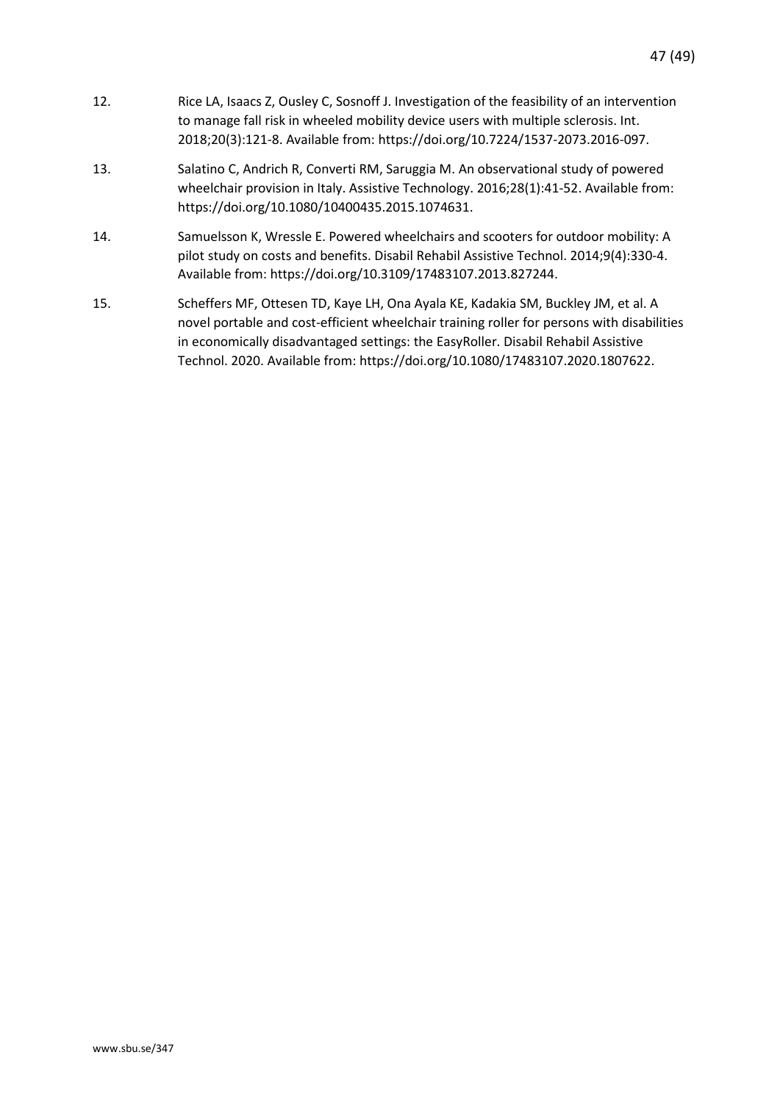- 12. Rice LA, Isaacs Z, Ousley C, Sosnoff J. Investigation of the feasibility of an intervention to manage fall risk in wheeled mobility device users with multiple sclerosis. Int. 2018;20(3):121-8. Available from: https://doi.org/10.7224/1537-2073.2016-097.
- 13. Salatino C, Andrich R, Converti RM, Saruggia M. An observational study of powered wheelchair provision in Italy. Assistive Technology. 2016;28(1):41-52. Available from: https://doi.org/10.1080/10400435.2015.1074631.
- 14. Samuelsson K, Wressle E. Powered wheelchairs and scooters for outdoor mobility: A pilot study on costs and benefits. Disabil Rehabil Assistive Technol. 2014;9(4):330-4. Available from: https://doi.org/10.3109/17483107.2013.827244.
- 15. Scheffers MF, Ottesen TD, Kaye LH, Ona Ayala KE, Kadakia SM, Buckley JM, et al. A novel portable and cost-efficient wheelchair training roller for persons with disabilities in economically disadvantaged settings: the EasyRoller. Disabil Rehabil Assistive Technol. 2020. Available from: https://doi.org/10.1080/17483107.2020.1807622.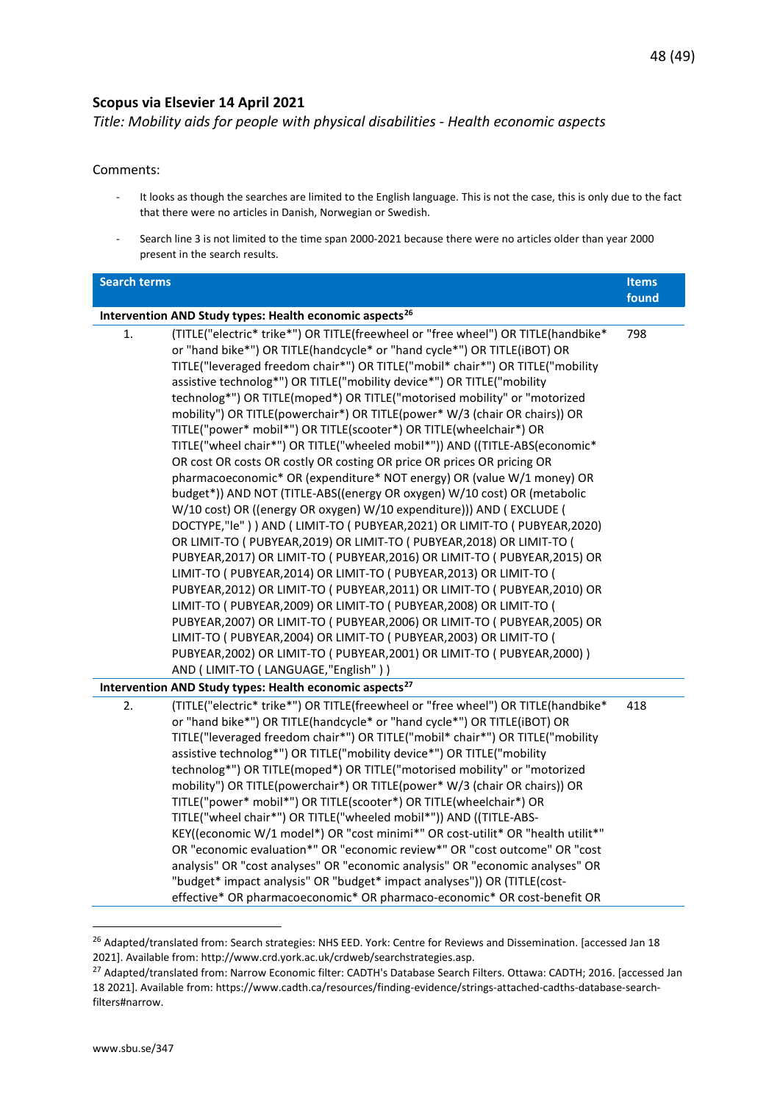#### <span id="page-47-0"></span>**Scopus via Elsevier 14 April 2021**

<span id="page-47-1"></span>*Title: Mobility aids for people with physical disabilities - Health economic aspects*

#### Comments:

- It looks as though the searches are limited to the English language. This is not the case, this is only due to the fact that there were no articles in Danish, Norwegian or Swedish.
- Search line 3 is not limited to the time span 2000-2021 because there were no articles older than year 2000 present in the search results.

| <b>Search terms</b> |                                                                                                                                                                                                                                                                                                                                                                                                                                                                                                                                                                                                                                                                                                                                                                                                                                                                                                                                                                                                                                                                                                                                                                                                                                                                                                                                                                                                                                                                                                                                                                                                                                                                                                         | <b>Items</b> |
|---------------------|---------------------------------------------------------------------------------------------------------------------------------------------------------------------------------------------------------------------------------------------------------------------------------------------------------------------------------------------------------------------------------------------------------------------------------------------------------------------------------------------------------------------------------------------------------------------------------------------------------------------------------------------------------------------------------------------------------------------------------------------------------------------------------------------------------------------------------------------------------------------------------------------------------------------------------------------------------------------------------------------------------------------------------------------------------------------------------------------------------------------------------------------------------------------------------------------------------------------------------------------------------------------------------------------------------------------------------------------------------------------------------------------------------------------------------------------------------------------------------------------------------------------------------------------------------------------------------------------------------------------------------------------------------------------------------------------------------|--------------|
|                     |                                                                                                                                                                                                                                                                                                                                                                                                                                                                                                                                                                                                                                                                                                                                                                                                                                                                                                                                                                                                                                                                                                                                                                                                                                                                                                                                                                                                                                                                                                                                                                                                                                                                                                         | found        |
|                     | Intervention AND Study types: Health economic aspects <sup>26</sup>                                                                                                                                                                                                                                                                                                                                                                                                                                                                                                                                                                                                                                                                                                                                                                                                                                                                                                                                                                                                                                                                                                                                                                                                                                                                                                                                                                                                                                                                                                                                                                                                                                     |              |
| 1.                  | (TITLE("electric* trike*") OR TITLE(freewheel or "free wheel") OR TITLE(handbike*<br>or "hand bike*") OR TITLE(handcycle* or "hand cycle*") OR TITLE(iBOT) OR<br>TITLE("leveraged freedom chair*") OR TITLE("mobil* chair*") OR TITLE("mobility<br>assistive technolog*") OR TITLE("mobility device*") OR TITLE("mobility<br>technolog*") OR TITLE(moped*) OR TITLE("motorised mobility" or "motorized<br>mobility") OR TITLE(powerchair*) OR TITLE(power* W/3 (chair OR chairs)) OR<br>TITLE("power* mobil*") OR TITLE(scooter*) OR TITLE(wheelchair*) OR<br>TITLE("wheel chair*") OR TITLE("wheeled mobil*")) AND ((TITLE-ABS(economic*<br>OR cost OR costs OR costly OR costing OR price OR prices OR pricing OR<br>pharmacoeconomic* OR (expenditure* NOT energy) OR (value W/1 money) OR<br>budget*)) AND NOT (TITLE-ABS((energy OR oxygen) W/10 cost) OR (metabolic<br>W/10 cost) OR ((energy OR oxygen) W/10 expenditure))) AND (EXCLUDE (<br>DOCTYPE,"Ie" ) ) AND ( LIMIT-TO ( PUBYEAR, 2021) OR LIMIT-TO ( PUBYEAR, 2020)<br>OR LIMIT-TO ( PUBYEAR, 2019) OR LIMIT-TO ( PUBYEAR, 2018) OR LIMIT-TO (<br>PUBYEAR, 2017) OR LIMIT-TO ( PUBYEAR, 2016) OR LIMIT-TO ( PUBYEAR, 2015) OR<br>LIMIT-TO ( PUBYEAR, 2014) OR LIMIT-TO ( PUBYEAR, 2013) OR LIMIT-TO (<br>PUBYEAR, 2012) OR LIMIT-TO ( PUBYEAR, 2011) OR LIMIT-TO ( PUBYEAR, 2010) OR<br>LIMIT-TO ( PUBYEAR, 2009) OR LIMIT-TO ( PUBYEAR, 2008) OR LIMIT-TO (<br>PUBYEAR, 2007) OR LIMIT-TO ( PUBYEAR, 2006) OR LIMIT-TO ( PUBYEAR, 2005) OR<br>LIMIT-TO ( PUBYEAR, 2004) OR LIMIT-TO ( PUBYEAR, 2003) OR LIMIT-TO (<br>PUBYEAR, 2002) OR LIMIT-TO ( PUBYEAR, 2001) OR LIMIT-TO ( PUBYEAR, 2000) )<br>AND (LIMIT-TO (LANGUAGE,"English")) | 798          |
|                     | Intervention AND Study types: Health economic aspects <sup>27</sup>                                                                                                                                                                                                                                                                                                                                                                                                                                                                                                                                                                                                                                                                                                                                                                                                                                                                                                                                                                                                                                                                                                                                                                                                                                                                                                                                                                                                                                                                                                                                                                                                                                     |              |
| 2.                  | (TITLE("electric* trike*") OR TITLE(freewheel or "free wheel") OR TITLE(handbike*<br>or "hand bike*") OR TITLE(handcycle* or "hand cycle*") OR TITLE(iBOT) OR<br>TITLE("leveraged freedom chair*") OR TITLE("mobil* chair*") OR TITLE("mobility<br>assistive technolog*") OR TITLE("mobility device*") OR TITLE("mobility<br>technolog*") OR TITLE(moped*) OR TITLE("motorised mobility" or "motorized<br>mobility") OR TITLE(powerchair*) OR TITLE(power* W/3 (chair OR chairs)) OR<br>TITLE("power* mobil*") OR TITLE(scooter*) OR TITLE(wheelchair*) OR<br>TITLE("wheel chair*") OR TITLE("wheeled mobil*")) AND ((TITLE-ABS-<br>KEY((economic W/1 model*) OR "cost minimi*" OR cost-utilit* OR "health utilit*"<br>OR "economic evaluation*" OR "economic review*" OR "cost outcome" OR "cost<br>analysis" OR "cost analyses" OR "economic analysis" OR "economic analyses" OR<br>"budget* impact analysis" OR "budget* impact analyses")) OR (TITLE(cost-<br>effective* OR pharmacoeconomic* OR pharmaco-economic* OR cost-benefit OR                                                                                                                                                                                                                                                                                                                                                                                                                                                                                                                                                                                                                                                              | 418          |

<span id="page-47-2"></span><sup>&</sup>lt;sup>26</sup> Adapted/translated from: Search strategies: NHS EED. York: Centre for Reviews and Dissemination. [accessed Jan 18 2021]. Available from: http://www.crd.york.ac.uk/crdweb/searchstrategies.asp.

<span id="page-47-3"></span><sup>&</sup>lt;sup>27</sup> Adapted/translated from: Narrow Economic filter: CADTH's Database Search Filters. Ottawa: CADTH; 2016. [accessed Jan 18 2021]. Available from: https://www.cadth.ca/resources/finding-evidence/strings-attached-cadths-database-searchfilters#narrow.